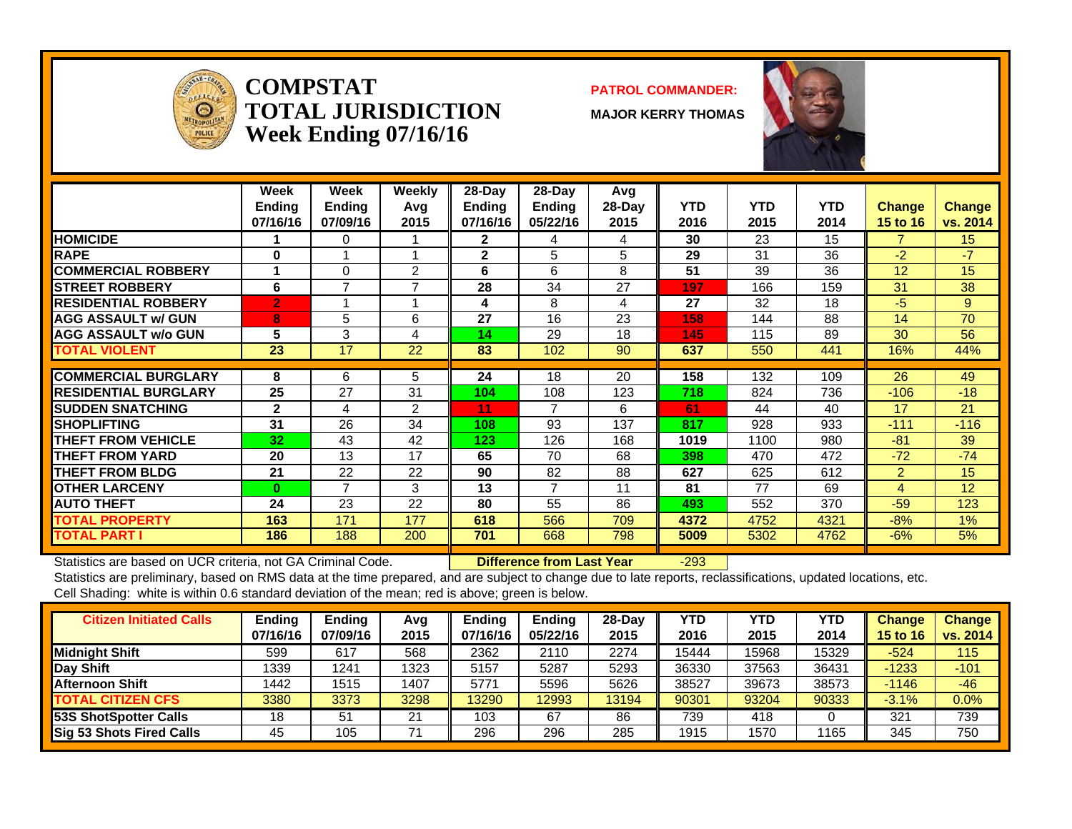

**COMPSTATTOTAL JURISDICTIONWeek Ending 07/16/16**

#### **PATROL COMMANDER:**

**MAJOR KERRY THOMAS**



|                             | Week<br><b>Ending</b><br>07/16/16 | Week<br><b>Ending</b><br>07/09/16 | <b>Weekly</b><br>Avq<br>2015 | 28-Day<br><b>Ending</b><br>07/16/16 | $28$ -Day<br><b>Ending</b><br>05/22/16 | Avg<br>$28-Day$<br>2015 | <b>YTD</b><br>2016 | <b>YTD</b><br>2015 | <b>YTD</b><br>2014 | <b>Change</b><br><b>15 to 16</b> | <b>Change</b><br>vs. 2014 |
|-----------------------------|-----------------------------------|-----------------------------------|------------------------------|-------------------------------------|----------------------------------------|-------------------------|--------------------|--------------------|--------------------|----------------------------------|---------------------------|
| <b>HOMICIDE</b>             |                                   | 0                                 |                              | $\mathbf{2}$                        | 4                                      | 4                       | 30                 | 23                 | 15                 |                                  | 15 <sub>15</sub>          |
| <b>RAPE</b>                 | O                                 |                                   |                              | $\mathbf{2}$                        | 5                                      | 5                       | 29                 | 31                 | 36                 | $-2$                             | $-7$                      |
| <b>COMMERCIAL ROBBERY</b>   |                                   | $\Omega$                          | 2                            | 6                                   | 6                                      | 8                       | 51                 | 39                 | 36                 | 12                               | 15                        |
| <b>STREET ROBBERY</b>       | 6                                 | $\overline{7}$                    | $\overline{ }$               | 28                                  | 34                                     | 27                      | 197                | 166                | 159                | 31                               | 38                        |
| <b>RESIDENTIAL ROBBERY</b>  | $\overline{2}$                    |                                   |                              | 4                                   | 8                                      | 4                       | 27                 | 32                 | 18                 | $-5$                             | 9                         |
| <b>AGG ASSAULT w/ GUN</b>   | 8                                 | 5                                 | 6                            | 27                                  | 16                                     | 23                      | 158                | 144                | 88                 | 14                               | 70                        |
| <b>AGG ASSAULT w/o GUN</b>  | 5                                 | 3                                 | 4                            | 14                                  | 29                                     | 18                      | 145                | 115                | 89                 | 30                               | 56                        |
| <b>TOTAL VIOLENT</b>        | 23                                | 17                                | 22                           | 83                                  | 102                                    | 90                      | 637                | 550                | 441                | 16%                              | 44%                       |
|                             |                                   |                                   |                              |                                     |                                        |                         |                    |                    |                    |                                  |                           |
| <b>COMMERCIAL BURGLARY</b>  | 8                                 | 6                                 | 5                            | 24                                  | 18                                     | 20                      | 158                | 132                | 109                | 26                               | 49                        |
| <b>RESIDENTIAL BURGLARY</b> | 25                                | 27                                | 31                           | 104                                 | 108                                    | 123                     | 718                | 824                | 736                | $-106$                           | $-18$                     |
| <b>SUDDEN SNATCHING</b>     | $\mathbf{2}$                      | 4                                 | $\overline{2}$               | 11                                  | $\overline{7}$                         | 6                       | 61                 | 44                 | 40                 | 17                               | 21                        |
| <b>ISHOPLIFTING</b>         | 31                                | 26                                | 34                           | 108                                 | 93                                     | 137                     | 817                | 928                | 933                | $-111$                           | $-116$                    |
| <b>THEFT FROM VEHICLE</b>   | 32                                | 43                                | 42                           | 123                                 | 126                                    | 168                     | 1019               | 1100               | 980                | $-81$                            | 39                        |
| <b>THEFT FROM YARD</b>      | 20                                | 13                                | 17                           | 65                                  | 70                                     | 68                      | 398                | 470                | 472                | $-72$                            | $-74$                     |
| <b>THEFT FROM BLDG</b>      | 21                                | 22                                | 22                           | 90                                  | 82                                     | 88                      | 627                | 625                | 612                | $\overline{2}$                   | 15                        |
| <b>OTHER LARCENY</b>        | $\mathbf{0}$                      | 7                                 | 3                            | 13                                  | $\overline{7}$                         | 11                      | 81                 | 77                 | 69                 | 4                                | 12                        |
| <b>AUTO THEFT</b>           | 24                                | 23                                | 22                           | 80                                  | 55                                     | 86                      | 493                | 552                | 370                | $-59$                            | 123                       |
| <b>TOTAL PROPERTY</b>       | 163                               | 171                               | 177                          | 618                                 | 566                                    | 709                     | 4372               | 4752               | 4321               | $-8%$                            | 1%                        |
| <b>TOTAL PART I</b>         | 186                               | 188                               | 200                          | 701                                 | 668                                    | 798                     | 5009               | 5302               | 4762               | $-6%$                            | 5%                        |

Statistics are based on UCR criteria, not GA Criminal Code. **Difference from Last Year** -293

| <b>Citizen Initiated Calls</b>  | <b>Ending</b><br>07/16/16 | <b>Ending</b><br>07/09/16 | Avg<br>2015 | <b>Ending</b><br>07/16/16 | <b>Ending</b><br>05/22/16 | 28-Day<br>2015 | YTD<br>2016 | <b>YTD</b><br>2015 | <b>YTD</b><br>2014 | <b>Change</b><br>15 to 16 | <b>Change</b><br>vs. 2014 |
|---------------------------------|---------------------------|---------------------------|-------------|---------------------------|---------------------------|----------------|-------------|--------------------|--------------------|---------------------------|---------------------------|
| <b>Midnight Shift</b>           | 599                       | 617                       | 568         | 2362                      | 2110                      | 2274           | 15444       | 5968               | 15329              | -524                      | 115                       |
| <b>Day Shift</b>                | 1339                      | 1241                      | 1323        | 5157                      | 5287                      | 5293           | 36330       | 37563              | 36431              | $-1233$                   | $-101$                    |
| Afternoon Shift                 | 1442                      | 1515                      | 1407        | 5771                      | 5596                      | 5626           | 38527       | 39673              | 38573              | $-1146$                   | $-46$                     |
| <b>TOTAL CITIZEN CFS</b>        | 3380                      | 3373                      | 3298        | 13290                     | 2993                      | 13194          | 90301       | 93204              | 90333              | $-3.1%$                   | $0.0\%$                   |
| <b>53S ShotSpotter Calls</b>    | 18                        | 51                        | 21          | 103                       | 67                        | 86             | 739         | 418                |                    | 321                       | 739                       |
| <b>Sig 53 Shots Fired Calls</b> | 45                        | 105                       |             | 296                       | 296                       | 285            | 1915        | 1570               | 1165               | 345                       | 750                       |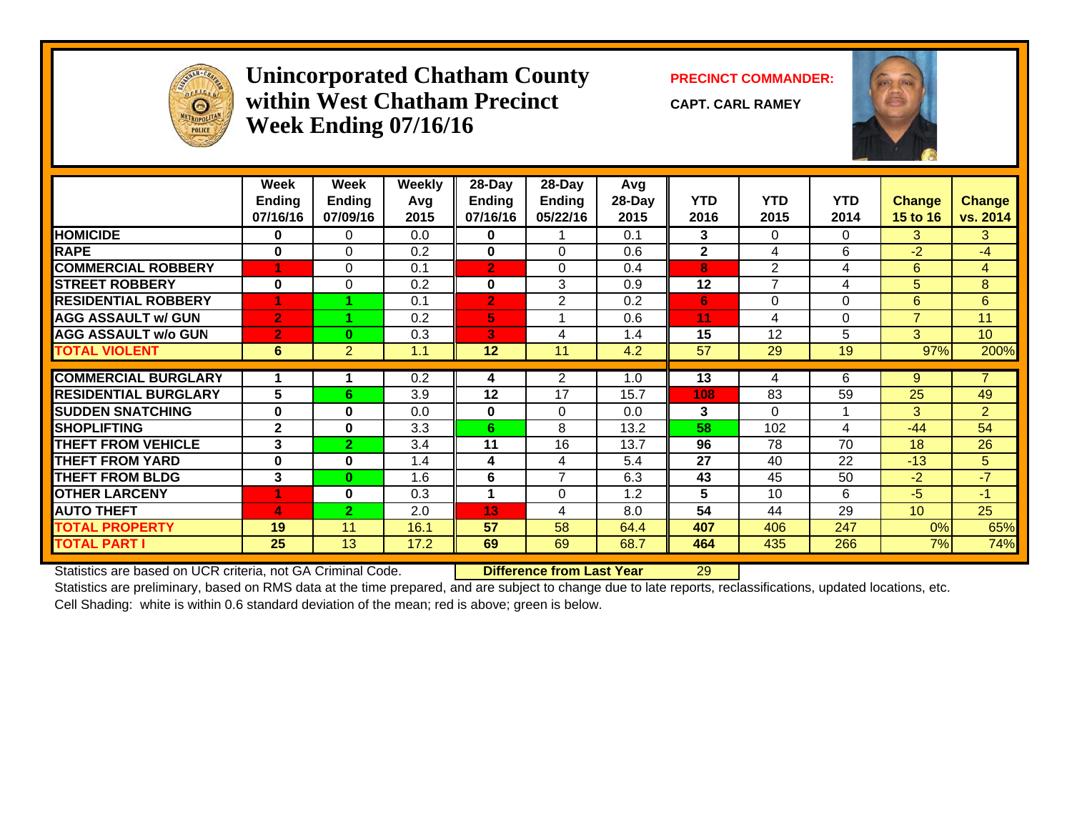

#### **Unincorporated Chatham County PRECINCT COMMANDER: within West Chatham PrecinctWeek Ending 07/16/16**

**CAPT. CARL RAMEY**



|                             | Week<br><b>Ending</b><br>07/16/16 | Week<br><b>Ending</b><br>07/09/16 | <b>Weekly</b><br>Avg<br>2015 | $28$ -Day<br><b>Ending</b><br>07/16/16 | 28-Day<br><b>Ending</b><br>05/22/16 | Avg<br>28-Day<br>2015 | <b>YTD</b><br>2016 | <b>YTD</b><br>2015 | <b>YTD</b><br>2014 | Change<br><b>15 to 16</b> | <b>Change</b><br>vs. 2014 |
|-----------------------------|-----------------------------------|-----------------------------------|------------------------------|----------------------------------------|-------------------------------------|-----------------------|--------------------|--------------------|--------------------|---------------------------|---------------------------|
| <b>HOMICIDE</b>             | 0                                 | 0                                 | 0.0                          | $\bf{0}$                               |                                     | 0.1                   | 3                  | 0                  | $\Omega$           | 3                         | 3                         |
| <b>RAPE</b>                 | $\bf{0}$                          | $\Omega$                          | 0.2                          | $\mathbf{0}$                           | $\Omega$                            | 0.6                   | $\mathbf{2}$       | 4                  | 6                  | $-2$                      | -4                        |
| <b>COMMERCIAL ROBBERY</b>   | 4                                 | $\Omega$                          | 0.1                          | $\overline{2}$                         | $\Omega$                            | 0.4                   | 8                  | $\overline{2}$     | 4                  | 6                         | 4                         |
| <b>ISTREET ROBBERY</b>      | $\bf{0}$                          | $\Omega$                          | 0.2                          | $\bf{0}$                               | 3                                   | 0.9                   | 12                 | 7                  | 4                  | 5                         | 8                         |
| <b>RESIDENTIAL ROBBERY</b>  |                                   |                                   | 0.1                          | $\overline{2}$                         | $\overline{2}$                      | 0.2                   | 6                  | 0                  | $\Omega$           | 6                         | 6                         |
| <b>AGG ASSAULT w/ GUN</b>   | $\overline{2}$                    |                                   | 0.2                          | 5                                      |                                     | 0.6                   | 11                 | 4                  | $\Omega$           | $\overline{7}$            | 11                        |
| <b>AGG ASSAULT w/o GUN</b>  | $\overline{2}$                    | $\bf{0}$                          | 0.3                          | В'                                     | 4                                   | 1.4                   | 15                 | 12                 | 5                  | 3                         | 10                        |
| <b>TOTAL VIOLENT</b>        | 6                                 | 2                                 | 1.1                          | 12                                     | 11                                  | 4.2                   | 57                 | 29                 | 19                 | 97%                       | 200%                      |
| <b>COMMERCIAL BURGLARY</b>  |                                   |                                   | 0.2                          | 4                                      | $\overline{2}$                      | 1.0                   | 13                 | 4                  | 6                  | 9                         |                           |
| <b>RESIDENTIAL BURGLARY</b> | 5                                 | 6                                 | 3.9                          | 12                                     | 17                                  | 15.7                  | 108                | 83                 | 59                 | 25                        | 49                        |
| <b>SUDDEN SNATCHING</b>     | $\bf{0}$                          | $\bf{0}$                          | 0.0                          | $\mathbf{0}$                           | $\Omega$                            | 0.0                   | 3                  | 0                  |                    | 3                         | $\overline{2}$            |
| <b>SHOPLIFTING</b>          | $\mathbf{2}$                      | $\mathbf{0}$                      | 3.3                          | 6                                      | 8                                   | 13.2                  | 58                 | 102                | 4                  | $-44$                     | 54                        |
| <b>THEFT FROM VEHICLE</b>   | 3                                 | $\overline{2}$                    | 3.4                          | 11                                     | 16                                  | 13.7                  | 96                 | 78                 | 70                 | 18                        | 26                        |
| <b>THEFT FROM YARD</b>      | $\mathbf 0$                       | $\bf{0}$                          | 1.4                          | 4                                      | 4                                   | 5.4                   | 27                 | 40                 | 22                 | $-13$                     | 5                         |
| <b>THEFT FROM BLDG</b>      | 3                                 | $\bf{0}$                          | 1.6                          | 6                                      | $\overline{7}$                      | 6.3                   | 43                 | 45                 | 50                 | $-2$                      | $-7$                      |
| <b>OTHER LARCENY</b>        |                                   | $\bf{0}$                          | 0.3                          |                                        | $\Omega$                            | 1.2                   | 5                  | 10                 | 6                  | $-5$                      | $-1$                      |
| <b>AUTO THEFT</b>           | 4                                 | 2                                 | 2.0                          | 13                                     | 4                                   | 8.0                   | 54                 | 44                 | 29                 | 10 <sup>1</sup>           | 25                        |
| <b>TOTAL PROPERTY</b>       | 19                                | 11                                | 16.1                         | 57                                     | 58                                  | 64.4                  | 407                | 406                | 247                | 0%                        | 65%                       |
| <b>TOTAL PART I</b>         | 25                                | 13                                | 17.2                         | 69                                     | 69                                  | 68.7                  | 464                | 435                | 266                | 7%                        | 74%                       |

Statistics are based on UCR criteria, not GA Criminal Code. **Difference from Last Year** 29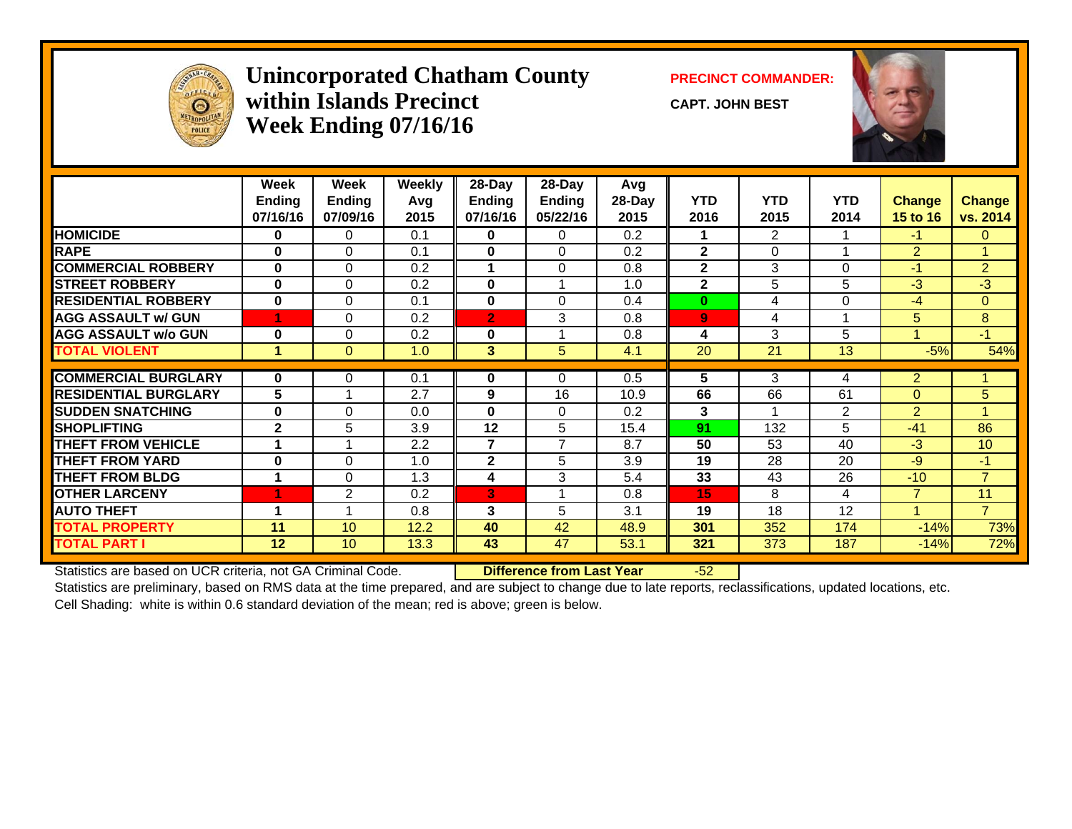

#### **Unincorporated Chatham County PRECINCT COMMANDER: within Islands PrecinctWeek Ending 07/16/16**

**CAPT. JOHN BEST**



|                             | Week<br><b>Ending</b><br>07/16/16 | Week<br><b>Ending</b><br>07/09/16 | Weekly<br>Avq<br>2015 | 28-Day<br><b>Ending</b><br>07/16/16 | $28$ -Day<br><b>Ending</b><br>05/22/16 | Avg<br>28-Day<br>2015 | <b>YTD</b><br>2016 | <b>YTD</b><br>2015 | <b>YTD</b><br>2014 | <b>Change</b><br><b>15 to 16</b> | <b>Change</b><br>vs. 2014 |
|-----------------------------|-----------------------------------|-----------------------------------|-----------------------|-------------------------------------|----------------------------------------|-----------------------|--------------------|--------------------|--------------------|----------------------------------|---------------------------|
| <b>HOMICIDE</b>             | 0                                 | 0                                 | 0.1                   | $\mathbf 0$                         | 0                                      | 0.2                   |                    | $\overline{2}$     |                    | $-1$                             | $\mathbf{0}$              |
| <b>RAPE</b>                 | $\bf{0}$                          | $\Omega$                          | 0.1                   | $\bf{0}$                            | $\Omega$                               | 0.2                   | $\overline{2}$     | 0                  |                    | $\overline{2}$                   |                           |
| <b>COMMERCIAL ROBBERY</b>   | $\bf{0}$                          | $\Omega$                          | 0.2                   | 1                                   | $\Omega$                               | 0.8                   | $\mathbf{2}$       | 3                  | $\Omega$           | $-1$                             | $\overline{2}$            |
| <b>STREET ROBBERY</b>       | $\bf{0}$                          | $\Omega$                          | 0.2                   | $\bf{0}$                            |                                        | 1.0                   | $\mathbf{2}$       | 5                  | 5                  | $-3$                             | $-3$                      |
| <b>RESIDENTIAL ROBBERY</b>  | $\bf{0}$                          | $\Omega$                          | 0.1                   | $\bf{0}$                            | $\Omega$                               | 0.4                   | $\bf{0}$           | 4                  | $\Omega$           | $-4$                             | $\mathbf{0}$              |
| <b>AGG ASSAULT w/ GUN</b>   |                                   | 0                                 | 0.2                   | $\overline{2}$                      | 3                                      | 0.8                   | $\overline{9}$     | 4                  |                    | 5                                | 8                         |
| <b>AGG ASSAULT w/o GUN</b>  | $\bf{0}$                          | $\Omega$                          | 0.2                   | $\bf{0}$                            |                                        | 0.8                   | 4                  | 3                  | 5                  |                                  | $-1$                      |
| <b>TOTAL VIOLENT</b>        |                                   | $\Omega$                          | 1.0                   | $\overline{\mathbf{3}}$             | 5                                      | 4.1                   | 20                 | 21                 | 13                 | $-5%$                            | 54%                       |
|                             |                                   |                                   |                       |                                     |                                        |                       |                    |                    |                    |                                  |                           |
| <b>COMMERCIAL BURGLARY</b>  | 0                                 | 0                                 | 0.1                   | $\mathbf 0$                         | 0                                      | 0.5                   | 5                  | 3                  | 4                  | $\overline{2}$                   |                           |
| <b>RESIDENTIAL BURGLARY</b> | 5                                 |                                   | 2.7                   | 9                                   | 16                                     | 10.9                  | 66                 | 66                 | 61                 | $\Omega$                         | 5                         |
| <b>SUDDEN SNATCHING</b>     | 0                                 | $\Omega$                          | 0.0                   | $\bf{0}$                            | $\Omega$                               | 0.2                   | 3                  | 4                  | 2                  | $\overline{2}$                   | 4                         |
| <b>SHOPLIFTING</b>          | $\overline{2}$                    | 5                                 | 3.9                   | 12                                  | 5                                      | 15.4                  | 91                 | 132                | 5                  | $-41$                            | 86                        |
| <b>THEFT FROM VEHICLE</b>   |                                   |                                   | 2.2                   | $\overline{\mathbf{z}}$             | $\overline{7}$                         | 8.7                   | 50                 | 53                 | 40                 | $-3$                             | 10                        |
| <b>THEFT FROM YARD</b>      | $\bf{0}$                          | $\Omega$                          | 1.0                   | $\mathbf{2}$                        | 5                                      | 3.9                   | 19                 | 28                 | 20                 | $-9$                             | $-1$                      |
| <b>THEFT FROM BLDG</b>      |                                   | $\Omega$                          | 1.3                   | 4                                   | 3                                      | 5.4                   | 33                 | 43                 | 26                 | $-10$                            | $\overline{7}$            |
| <b>OTHER LARCENY</b>        |                                   | $\overline{2}$                    | 0.2                   | 3                                   |                                        | 0.8                   | 15                 | 8                  | 4                  | 7                                | 11                        |
| <b>AUTO THEFT</b>           | 1                                 |                                   | 0.8                   | 3                                   | 5                                      | 3.1                   | 19                 | 18                 | 12                 |                                  | $\overline{7}$            |
| <b>TOTAL PROPERTY</b>       | 11                                | 10                                | 12.2                  | 40                                  | 42                                     | 48.9                  | 301                | 352                | 174                | $-14%$                           | 73%                       |
| <b>TOTAL PART I</b>         | 12                                | 10                                | 13.3                  | 43                                  | 47                                     | 53.1                  | 321                | 373                | 187                | $-14%$                           | 72%                       |

Statistics are based on UCR criteria, not GA Criminal Code. **Difference from Last Year** -52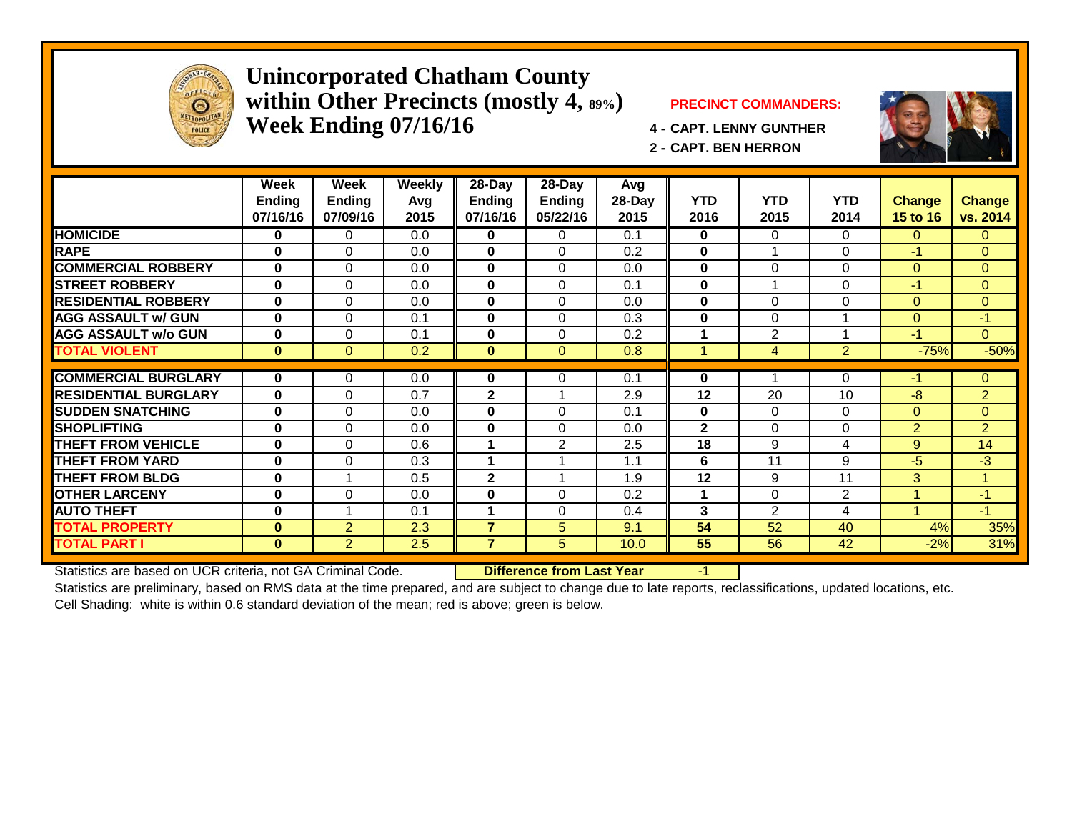

#### **Unincorporated Chatham County within Other Precincts (mostly 4, 89%) PRECINCT COMMANDERS: Week Ending 07/16/16 4 - CAPT. LENNY GUNTHER**



**2 - CAPT. BEN HERRON**

|                             | Week<br><b>Ending</b><br>07/16/16 | Week<br><b>Ending</b><br>07/09/16 | Weekly<br>Avg<br>2015 | $28 - Day$<br><b>Ending</b><br>07/16/16 | $28 - Day$<br>Ending<br>05/22/16 | Avg<br>28-Day<br>2015 | <b>YTD</b><br>2016 | <b>YTD</b><br>2015 | <b>YTD</b><br>2014      | <b>Change</b><br>15 to 16 | <b>Change</b><br>vs. 2014 |
|-----------------------------|-----------------------------------|-----------------------------------|-----------------------|-----------------------------------------|----------------------------------|-----------------------|--------------------|--------------------|-------------------------|---------------------------|---------------------------|
| <b>HOMICIDE</b>             | 0                                 | 0                                 | 0.0                   | 0                                       | 0                                | 0.1                   | $\bf{0}$           | $\Omega$           | $\Omega$                | $\Omega$                  | $\Omega$                  |
| <b>RAPE</b>                 | $\bf{0}$                          | $\Omega$                          | 0.0                   | $\bf{0}$                                | $\Omega$                         | 0.2                   | 0                  |                    | $\Omega$                | $-1$                      | $\Omega$                  |
| <b>COMMERCIAL ROBBERY</b>   | $\bf{0}$                          | $\Omega$                          | 0.0                   | 0                                       | $\Omega$                         | 0.0                   | $\bf{0}$           | 0                  | $\Omega$                | $\mathbf{0}$              | $\mathbf{0}$              |
| <b>STREET ROBBERY</b>       | 0                                 | $\Omega$                          | 0.0                   | $\mathbf{0}$                            | 0                                | 0.1                   | 0                  |                    | $\Omega$                | $-1$                      | $\Omega$                  |
| <b>RESIDENTIAL ROBBERY</b>  | $\bf{0}$                          | $\Omega$                          | 0.0                   | 0                                       | 0                                | 0.0                   | $\bf{0}$           | $\Omega$           | $\Omega$                | $\Omega$                  | $\Omega$                  |
| <b>AGG ASSAULT w/ GUN</b>   | 0                                 | $\Omega$                          | 0.1                   | 0                                       | $\Omega$                         | 0.3                   | 0                  | $\Omega$           | -4                      | $\Omega$                  | $-1$                      |
| <b>AGG ASSAULT w/o GUN</b>  | $\bf{0}$                          | $\Omega$                          | 0.1                   | 0                                       | $\Omega$                         | 0.2                   | 1                  | $\overline{2}$     | $\overline{\mathbf{A}}$ | $-1$                      | $\mathbf{0}$              |
| <b>TOTAL VIOLENT</b>        | $\bf{0}$                          | $\Omega$                          | 0.2                   | $\bf{0}$                                | $\Omega$                         | 0.8                   |                    | $\overline{4}$     | 2                       | $-75%$                    | $-50%$                    |
|                             |                                   |                                   |                       |                                         |                                  |                       |                    |                    |                         |                           |                           |
| <b>COMMERCIAL BURGLARY</b>  | $\bf{0}$                          | 0                                 | 0.0                   | 0                                       | 0                                | 0.1                   | 0                  |                    | $\Omega$                | $-1$                      | $\overline{0}$            |
| <b>RESIDENTIAL BURGLARY</b> | $\bf{0}$                          | $\Omega$                          | 0.7                   | $\mathbf{2}$                            |                                  | 2.9                   | 12                 | 20                 | 10                      | -8                        | $\overline{2}$            |
| <b>SUDDEN SNATCHING</b>     | $\bf{0}$                          | $\Omega$                          | 0.0                   | 0                                       | $\Omega$                         | 0.1                   | $\bf{0}$           | $\Omega$           | $\Omega$                | $\Omega$                  | $\Omega$                  |
| <b>SHOPLIFTING</b>          | 0                                 | $\Omega$                          | 0.0                   | 0                                       | 0                                | 0.0                   | $\overline{2}$     | $\Omega$           | $\Omega$                | $\overline{2}$            | 2                         |
| <b>THEFT FROM VEHICLE</b>   | 0                                 | $\Omega$                          | 0.6                   | 4                                       | $\overline{2}$                   | 2.5                   | 18                 | 9                  | 4                       | 9                         | 14                        |
| <b>THEFT FROM YARD</b>      | 0                                 | $\Omega$                          | 0.3                   |                                         |                                  | 1.1                   | 6                  | 11                 | 9                       | -5                        | $-3$                      |
| <b>THEFT FROM BLDG</b>      | 0                                 |                                   | 0.5                   | $\mathbf{2}$                            |                                  | 1.9                   | 12                 | 9                  | 11                      | 3                         | 1                         |
| <b>OTHER LARCENY</b>        | $\mathbf 0$                       | $\Omega$                          | 0.0                   | 0                                       | 0                                | 0.2                   |                    | 0                  | $\mathbf{2}$            |                           | $-1$                      |
| <b>AUTO THEFT</b>           | $\bf{0}$                          |                                   | 0.1                   |                                         | 0                                | 0.4                   | 3                  | $\overline{2}$     | 4                       |                           | $-1$                      |
| <b>TOTAL PROPERTY</b>       | $\bf{0}$                          | $\overline{2}$                    | 2.3                   | $\overline{7}$                          | 5                                | 9.1                   | 54                 | 52                 | 40                      | 4%                        | 35%                       |
| <b>TOTAL PART I</b>         | $\mathbf{0}$                      | $\overline{2}$                    | 2.5                   | $\overline{7}$                          | 5                                | 10.0                  | 55                 | 56                 | 42                      | $-2%$                     | 31%                       |

Statistics are based on UCR criteria, not GA Criminal Code. **Difference from Last Year** -1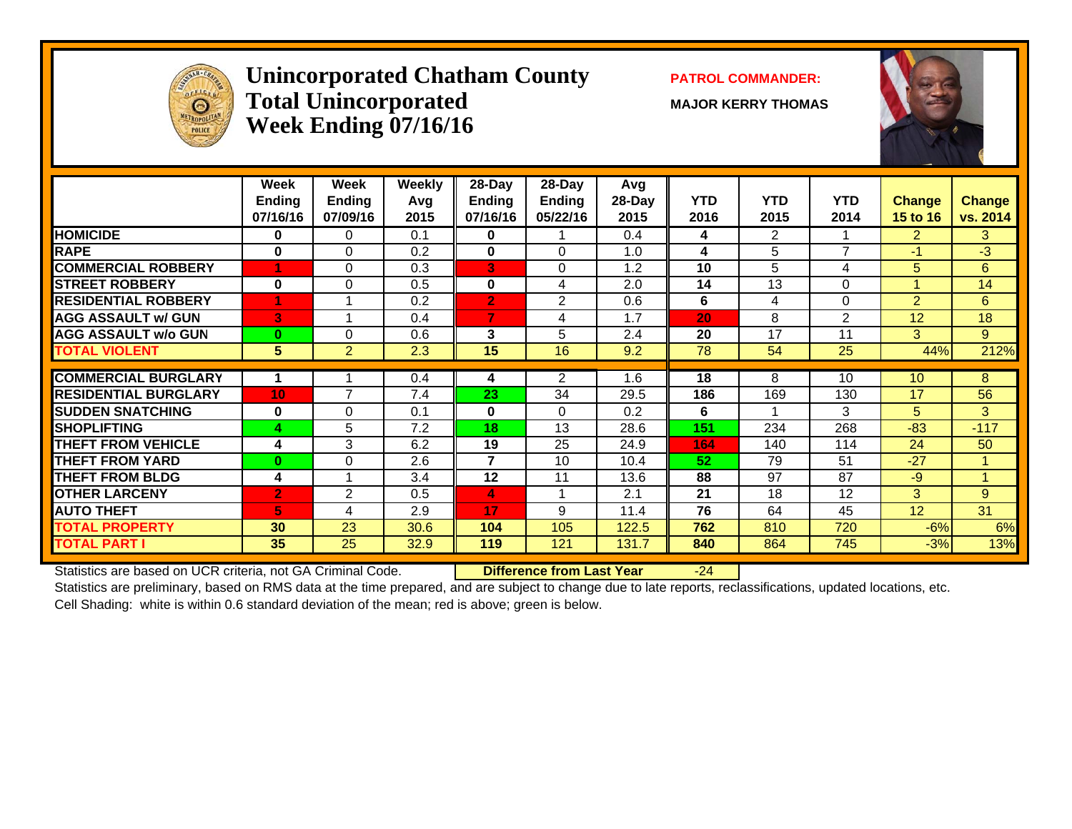

#### **Unincorporated Chatham County PATROL COMMANDER:**  $\bf Total\ Unincorporated$   $\qquad\qquad$   $\qquad\qquad$   $\qquad$   $\qquad$   $\qquad$   $\qquad$   $\qquad$   $\qquad$   $\qquad$   $\qquad$   $\qquad$   $\qquad$   $\qquad$   $\qquad$   $\qquad$   $\qquad$   $\qquad$   $\qquad$   $\qquad$   $\qquad$   $\qquad$   $\qquad$   $\qquad$   $\qquad$   $\qquad$   $\qquad$   $\qquad$   $\qquad$   $\qquad$   $\qquad$   $\qquad$   $\qquad$   $\qquad$   $\qquad$  **Week Ending 07/16/16**



|                             | Week<br><b>Ending</b><br>07/16/16 | Week<br><b>Ending</b><br>07/09/16 | <b>Weekly</b><br>Avg<br>2015 | 28-Day<br>Ending<br>07/16/16 | 28-Day<br>Ending<br>05/22/16 | Avg<br>28-Day<br>2015 | <b>YTD</b><br>2016 | <b>YTD</b><br>2015 | <b>YTD</b><br>2014 | <b>Change</b><br>15 to 16 | <b>Change</b><br>vs. 2014 |
|-----------------------------|-----------------------------------|-----------------------------------|------------------------------|------------------------------|------------------------------|-----------------------|--------------------|--------------------|--------------------|---------------------------|---------------------------|
| <b>HOMICIDE</b>             | 0                                 | 0                                 | 0.1                          | 0                            |                              | 0.4                   | 4                  | $\overline{2}$     |                    | $\overline{2}$            | 3                         |
| <b>RAPE</b>                 | 0                                 | $\Omega$                          | 0.2                          | $\bf{0}$                     | $\Omega$                     | 1.0                   | 4                  | 5                  | 7                  | $-1$                      | $-3$                      |
| <b>COMMERCIAL ROBBERY</b>   |                                   | $\Omega$                          | 0.3                          | 3                            | $\Omega$                     | 1.2                   | 10                 | 5                  | 4                  | 5                         | 6                         |
| <b>STREET ROBBERY</b>       | $\bf{0}$                          | $\Omega$                          | 0.5                          | $\mathbf{0}$                 | 4                            | 2.0                   | 14                 | 13                 | $\Omega$           |                           | 14                        |
| <b>RESIDENTIAL ROBBERY</b>  | 4                                 |                                   | 0.2                          | $\overline{2}$               | $\mathfrak{p}$               | 0.6                   | 6                  | 4                  | $\Omega$           | $\overline{2}$            | 6                         |
| <b>AGG ASSAULT w/ GUN</b>   | 3                                 |                                   | 0.4                          | $\overline{7}$               | 4                            | 1.7                   | 20                 | 8                  | 2                  | 12                        | 18                        |
| <b>AGG ASSAULT w/o GUN</b>  | $\bf{0}$                          | 0                                 | 0.6                          | 3                            | 5                            | 2.4                   | 20                 | 17                 | 11                 | 3                         | 9                         |
| <b>TOTAL VIOLENT</b>        | 5                                 | $\overline{2}$                    | 2.3                          | 15                           | 16                           | 9.2                   | 78                 | 54                 | 25                 | 44%                       | 212%                      |
|                             |                                   |                                   |                              |                              |                              |                       |                    |                    |                    |                           |                           |
| <b>COMMERCIAL BURGLARY</b>  |                                   |                                   | 0.4                          | 4                            | 2                            | 1.6                   | 18                 | 8                  | 10                 | 10                        | 8                         |
| <b>RESIDENTIAL BURGLARY</b> | 10                                | $\overline{7}$                    | 7.4                          | 23                           | 34                           | 29.5                  | 186                | 169                | 130                | 17                        | 56                        |
| <b>SUDDEN SNATCHING</b>     | $\bf{0}$                          | $\Omega$                          | 0.1                          | 0                            | $\Omega$                     | 0.2                   | 6                  |                    | 3                  | 5                         | 3                         |
| <b>SHOPLIFTING</b>          | 4                                 | 5                                 | 7.2                          | 18                           | 13                           | 28.6                  | 151                | 234                | 268                | $-83$                     | $-117$                    |
| THEFT FROM VEHICLE          | 4                                 | 3                                 | 6.2                          | 19                           | 25                           | 24.9                  | 164                | 140                | 114                | 24                        | 50                        |
| <b>THEFT FROM YARD</b>      | $\bf{0}$                          | 0                                 | 2.6                          | $\overline{7}$               | 10                           | 10.4                  | 52                 | 79                 | 51                 | $-27$                     | 1                         |
| <b>THEFT FROM BLDG</b>      | 4                                 |                                   | 3.4                          | 12                           | 11                           | 13.6                  | 88                 | 97                 | 87                 | $-9$                      | 1                         |
| <b>OTHER LARCENY</b>        | $\overline{2}$                    | 2                                 | 0.5                          | 4                            |                              | 2.1                   | 21                 | 18                 | 12                 | 3                         | 9                         |
| <b>AUTO THEFT</b>           | 5                                 | 4                                 | 2.9                          | 17                           | 9                            | 11.4                  | 76                 | 64                 | 45                 | 12                        | $\overline{31}$           |
| <b>TOTAL PROPERTY</b>       | 30                                | 23                                | 30.6                         | 104                          | 105                          | 122.5                 | 762                | 810                | 720                | $-6%$                     | 6%                        |
| <b>TOTAL PART I</b>         | 35                                | 25                                | 32.9                         | 119                          | 121                          | 131.7                 | 840                | 864                | 745                | $-3%$                     | 13%                       |

Statistics are based on UCR criteria, not GA Criminal Code. **Difference from Last Year** -24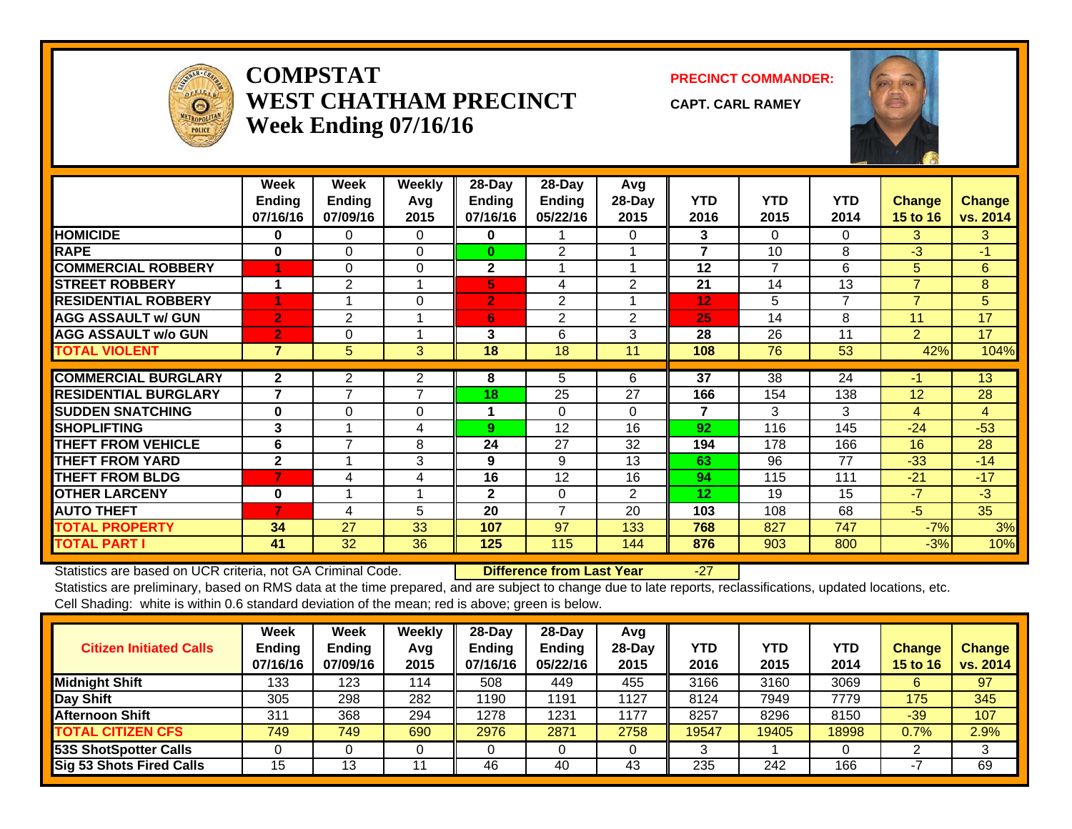

#### **COMPSTATWEST CHATHAM PRECINCTWeek Ending 07/16/16**

**PRECINCT COMMANDER:**

**CAPT. CARL RAMEY**



|                             | Week<br><b>Endina</b><br>07/16/16 | Week<br><b>Ending</b><br>07/09/16 | Weekly<br>Avg<br>2015 | 28-Day<br><b>Ending</b><br>07/16/16 | 28-Day<br>Ending<br>05/22/16 | Avg<br>28-Day<br>2015 | <b>YTD</b><br>2016 | <b>YTD</b><br>2015 | <b>YTD</b><br>2014 | Change<br><b>15 to 16</b> | <b>Change</b><br>vs. 2014 |
|-----------------------------|-----------------------------------|-----------------------------------|-----------------------|-------------------------------------|------------------------------|-----------------------|--------------------|--------------------|--------------------|---------------------------|---------------------------|
| <b>HOMICIDE</b>             | 0                                 | $\Omega$                          | $\Omega$              | 0                                   |                              | 0                     | 3                  | 0                  | $\Omega$           | 3                         | 3                         |
| <b>RAPE</b>                 | $\bf{0}$                          | 0                                 | $\Omega$              | $\bf{0}$                            | 2                            |                       | 7                  | 10                 | 8                  | $-3$                      | $-1$                      |
| <b>COMMERCIAL ROBBERY</b>   | 4                                 | $\Omega$                          | $\Omega$              | $\mathbf{2}$                        |                              |                       | 12                 | $\overline{7}$     | 6                  | 5                         | 6                         |
| <b>STREET ROBBERY</b>       | 1                                 | 2                                 |                       | 5,                                  | 4                            | $\overline{2}$        | 21                 | 14                 | 13                 | $\overline{7}$            | 8                         |
| <b>RESIDENTIAL ROBBERY</b>  |                                   |                                   | $\Omega$              | $\overline{2}$                      | 2                            |                       | 12                 | 5                  | $\overline{7}$     | $\overline{7}$            | 5                         |
| <b>AGG ASSAULT w/ GUN</b>   | $\overline{2}$                    | $\overline{2}$                    |                       | 6                                   | 2                            | $\overline{2}$        | 25                 | 14                 | 8                  | 11                        | 17                        |
| <b>AGG ASSAULT w/o GUN</b>  | $\overline{2}$                    | 0                                 |                       | 3                                   | 6                            | 3                     | 28                 | 26                 | 11                 | $\overline{2}$            | 17                        |
| <b>TOTAL VIOLENT</b>        | $\overline{7}$                    | 5                                 | 3                     | 18                                  | 18                           | 11                    | 108                | 76                 | 53                 | 42%                       | 104%                      |
|                             |                                   |                                   |                       |                                     |                              |                       |                    |                    |                    |                           |                           |
| <b>COMMERCIAL BURGLARY</b>  | $\mathbf{2}$                      | $\overline{2}$                    | $\overline{2}$        | 8                                   | 5                            | 6                     | 37                 | 38                 | 24                 | $-1$                      | 13                        |
| <b>RESIDENTIAL BURGLARY</b> | $\overline{7}$                    | $\overline{\phantom{a}}$          | 7                     | 18                                  | 25                           | 27                    | 166                | 154                | 138                | 12                        | 28                        |
| <b>SUDDEN SNATCHING</b>     | $\bf{0}$                          | 0                                 | 0                     | 1                                   | $\Omega$                     | 0                     | 7                  | 3                  | 3                  | 4                         | 4                         |
| <b>SHOPLIFTING</b>          | 3                                 |                                   | 4                     | 9 <sup>°</sup>                      | 12                           | 16                    | 92                 | 116                | 145                | $-24$                     | $-53$                     |
| <b>THEFT FROM VEHICLE</b>   | 6                                 | 7                                 | 8                     | 24                                  | 27                           | 32                    | 194                | 178                | 166                | 16                        | 28                        |
| <b>THEFT FROM YARD</b>      | $\mathbf{2}$                      |                                   | 3                     | 9                                   | 9                            | 13                    | 63                 | 96                 | 77                 | $-33$                     | $-14$                     |
| <b>THEFT FROM BLDG</b>      | 7                                 | 4                                 | 4                     | 16                                  | 12                           | 16                    | 94                 | 115                | 111                | $-21$                     | $-17$                     |
| <b>OTHER LARCENY</b>        | $\bf{0}$                          |                                   |                       | $\mathbf{2}$                        | $\Omega$                     | 2                     | 12                 | 19                 | 15                 | $-7$                      | $-3$                      |
| <b>AUTO THEFT</b>           | $\overline{7}$                    | 4                                 | 5                     | 20                                  | $\overline{7}$               | 20                    | 103                | 108                | 68                 | -5                        | 35                        |
| <b>TOTAL PROPERTY</b>       | 34                                | 27                                | 33                    | 107                                 | 97                           | 133                   | 768                | 827                | 747                | $-7%$                     | 3%                        |
| <b>TOTAL PART I</b>         | 41                                | 32                                | 36                    | 125                                 | 115                          | 144                   | 876                | 903                | 800                | $-3%$                     | 10%                       |

Statistics are based on UCR criteria, not GA Criminal Code. **Difference from Last Year** -27

| <b>Citizen Initiated Calls</b>  | <b>Week</b><br><b>Ending</b><br>07/16/16 | <b>Week</b><br><b>Ending</b><br>07/09/16 | Weekly<br>Avg<br>2015 | $28$ -Day<br>Ending<br>07/16/16 | $28-Dav$<br><b>Ending</b><br>05/22/16 | Avg<br>$28-Day$<br>2015 | YTD<br>2016 | <b>YTD</b><br>2015 | YTD<br>2014 | <b>Change</b><br>15 to 16 | <b>Change</b><br>vs. 2014 |
|---------------------------------|------------------------------------------|------------------------------------------|-----------------------|---------------------------------|---------------------------------------|-------------------------|-------------|--------------------|-------------|---------------------------|---------------------------|
| <b>Midnight Shift</b>           | 133                                      | 123                                      | 114                   | 508                             | 449                                   | 455                     | 3166        | 3160               | 3069        | 6                         | 97                        |
| Day Shift                       | 305                                      | 298                                      | 282                   | 1190                            | 1191                                  | 1127                    | 8124        | 7949               | 7779        | 175                       | 345                       |
| <b>Afternoon Shift</b>          | 311                                      | 368                                      | 294                   | 1278                            | 1231                                  | 1177                    | 8257        | 8296               | 8150        | $-39$                     | 107                       |
| <b>TOTAL CITIZEN CFS</b>        | 749                                      | 749                                      | 690                   | 2976                            | 2871                                  | 2758                    | 19547       | 19405              | 18998       | 0.7%                      | 2.9%                      |
| 53S ShotSpotter Calls           |                                          |                                          |                       |                                 |                                       |                         |             |                    |             |                           |                           |
| <b>Sig 53 Shots Fired Calls</b> | 15                                       | 13                                       |                       | 46                              | 40                                    | 43                      | 235         | 242                | 166         |                           | 69                        |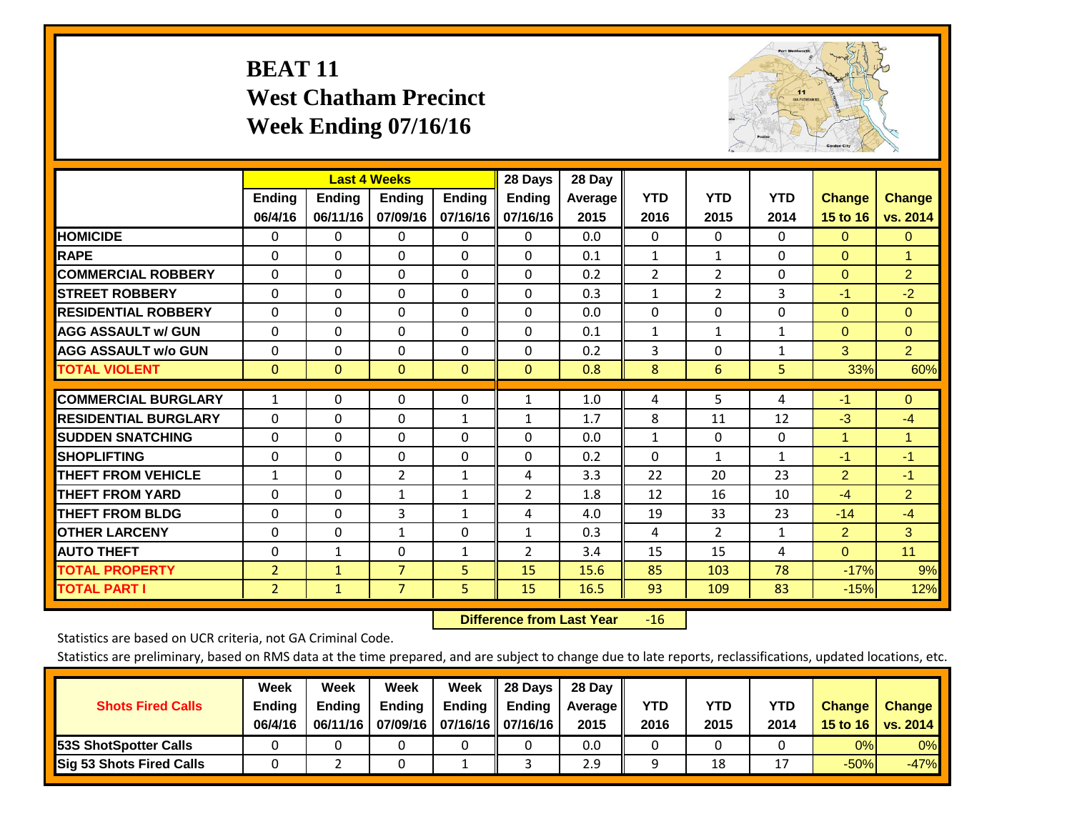# **BEAT 11 West Chatham Precinct Week Ending 07/16/16**



|                             |                | <b>Last 4 Weeks</b> |                |               | 28 Days        | 28 Day  |                |                |              |                |                |
|-----------------------------|----------------|---------------------|----------------|---------------|----------------|---------|----------------|----------------|--------------|----------------|----------------|
|                             | <b>Ending</b>  | <b>Ending</b>       | <b>Ending</b>  | <b>Ending</b> | <b>Ending</b>  | Average | <b>YTD</b>     | <b>YTD</b>     | <b>YTD</b>   | <b>Change</b>  | <b>Change</b>  |
|                             | 06/4/16        | 06/11/16            | 07/09/16       | 07/16/16      | 07/16/16       | 2015    | 2016           | 2015           | 2014         | 15 to 16       | vs. 2014       |
| <b>HOMICIDE</b>             | $\Omega$       | 0                   | $\Omega$       | $\Omega$      | 0              | 0.0     | $\mathbf{0}$   | $\mathbf{0}$   | $\Omega$     | $\Omega$       | $\mathbf{0}$   |
| <b>RAPE</b>                 | $\Omega$       | $\Omega$            | $\Omega$       | 0             | $\Omega$       | 0.1     | 1              | 1              | 0            | $\Omega$       | 1              |
| <b>COMMERCIAL ROBBERY</b>   | $\Omega$       | $\Omega$            | $\mathbf{0}$   | $\Omega$      | $\Omega$       | 0.2     | $\overline{2}$ | $\overline{2}$ | $\Omega$     | $\mathbf{0}$   | $\overline{2}$ |
| <b>STREET ROBBERY</b>       | $\Omega$       | $\Omega$            | $\Omega$       | $\Omega$      | $\Omega$       | 0.3     | $\mathbf{1}$   | $\overline{2}$ | 3            | $-1$           | $-2$           |
| <b>RESIDENTIAL ROBBERY</b>  | $\Omega$       | $\Omega$            | $\mathbf{0}$   | $\Omega$      | $\Omega$       | 0.0     | $\Omega$       | $\Omega$       | 0            | $\Omega$       | $\Omega$       |
| <b>AGG ASSAULT w/ GUN</b>   | 0              | $\Omega$            | $\Omega$       | $\Omega$      | 0              | 0.1     | $\mathbf{1}$   | 1              | 1            | $\Omega$       | $\mathbf{0}$   |
| <b>AGG ASSAULT w/o GUN</b>  | 0              | $\Omega$            | $\mathbf{0}$   | $\Omega$      | $\Omega$       | 0.2     | 3              | 0              | 1            | 3              | $\overline{2}$ |
| <b>TOTAL VIOLENT</b>        | $\mathbf{0}$   | $\Omega$            | $\mathbf{0}$   | $\mathbf{0}$  | $\mathbf{0}$   | 0.8     | 8              | 6              | 5            | 33%            | 60%            |
| <b>COMMERCIAL BURGLARY</b>  |                | $\Omega$            | $\Omega$       |               |                |         |                | 5              |              | $-1$           | $\Omega$       |
|                             | $\mathbf{1}$   |                     |                | 0             | 1              | 1.0     | 4              |                | 4            |                |                |
| <b>RESIDENTIAL BURGLARY</b> | $\Omega$       | 0                   | $\mathbf{0}$   | $\mathbf{1}$  | $\mathbf{1}$   | 1.7     | 8              | 11             | 12           | $-3$           | $-4$           |
| <b>SUDDEN SNATCHING</b>     | $\Omega$       | 0                   | $\Omega$       | $\Omega$      | 0              | 0.0     | $\mathbf{1}$   | 0              | 0            | $\overline{1}$ | $\mathbf{1}$   |
| <b>ISHOPLIFTING</b>         | $\Omega$       | $\Omega$            | $\mathbf{0}$   | $\Omega$      | 0              | 0.2     | $\mathbf{0}$   | $\mathbf{1}$   | $\mathbf{1}$ | $-1$           | $-1$           |
| <b>THEFT FROM VEHICLE</b>   | 1              | $\Omega$            | $\overline{2}$ | 1             | 4              | 3.3     | 22             | 20             | 23           | $\overline{2}$ | $-1$           |
| <b>THEFT FROM YARD</b>      | 0              | $\Omega$            | 1              | 1             | $\overline{2}$ | 1.8     | 12             | 16             | 10           | $-4$           | $\overline{2}$ |
| <b>THEFT FROM BLDG</b>      | $\Omega$       | 0                   | 3              | 1             | 4              | 4.0     | 19             | 33             | 23           | $-14$          | $-4$           |
| <b>OTHER LARCENY</b>        | $\Omega$       | $\Omega$            | $\mathbf{1}$   | 0             | $\mathbf{1}$   | 0.3     | 4              | $\overline{2}$ | 1            | $\overline{2}$ | 3              |
| <b>AUTO THEFT</b>           | $\mathbf 0$    | $\mathbf{1}$        | 0              | 1             | 2              | 3.4     | 15             | 15             | 4            | $\Omega$       | 11             |
| <b>TOTAL PROPERTY</b>       | $\overline{2}$ | $\mathbf{1}$        | $\overline{7}$ | 5             | 15             | 15.6    | 85             | 103            | 78           | $-17%$         | 9%             |
| <b>TOTAL PART I</b>         | 2              | $\mathbf{1}$        | $\overline{7}$ | 5.            | 15             | 16.5    | 93             | 109            | 83           | $-15%$         | 12%            |

 **Difference from Last Year**r -16

Statistics are based on UCR criteria, not GA Criminal Code.

| <b>Shots Fired Calls</b>        | Week<br><b>Ending</b><br>06/4/16 | Week<br><b>Endina</b><br>06/11/16 | Week<br><b>Ending</b> | Week<br>Ending<br>07/09/16   07/16/16   07/16/16 | 28 Days<br><b>Ending</b> | 28 Day<br>Average II<br>2015 | YTD<br>2016 | YTD<br>2015 | YTD<br>2014 | <b>Change</b><br>15 to 16 $\vert$ | <b>Change</b><br>vs. 2014 |
|---------------------------------|----------------------------------|-----------------------------------|-----------------------|--------------------------------------------------|--------------------------|------------------------------|-------------|-------------|-------------|-----------------------------------|---------------------------|
| <b>153S ShotSpotter Calls</b>   |                                  |                                   |                       |                                                  |                          | 0.0                          |             |             |             | 0%                                | 0%                        |
| <b>Sig 53 Shots Fired Calls</b> |                                  |                                   |                       |                                                  |                          | 2.9                          |             | 18          |             | $-50%$                            | $-47%$                    |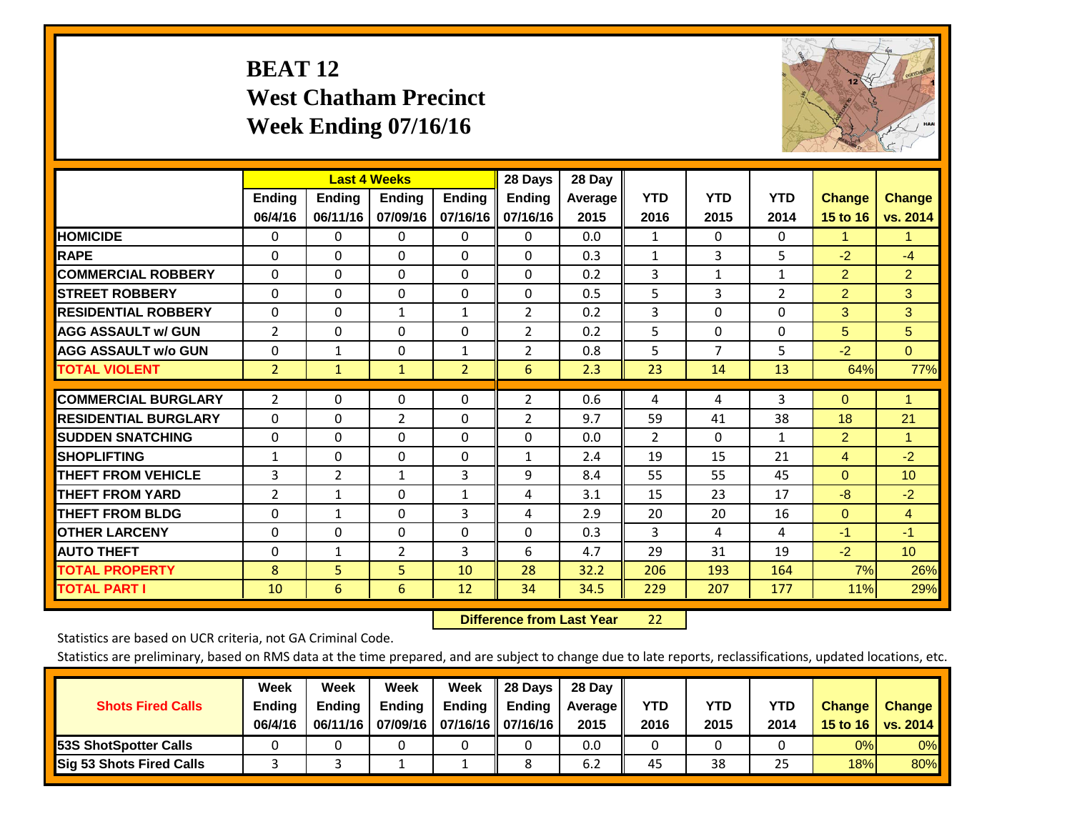# **BEAT 12 West Chatham Precinct Week Ending 07/16/16**



|                             |                |                | <b>Last 4 Weeks</b> |                | 28 Days        | 28 Day  |                |              |                |                |                      |
|-----------------------------|----------------|----------------|---------------------|----------------|----------------|---------|----------------|--------------|----------------|----------------|----------------------|
|                             | <b>Ending</b>  | <b>Ending</b>  | <b>Endina</b>       | <b>Endina</b>  | <b>Endina</b>  | Average | <b>YTD</b>     | <b>YTD</b>   | <b>YTD</b>     | <b>Change</b>  | <b>Change</b>        |
|                             | 06/4/16        | 06/11/16       | 07/09/16            | 07/16/16       | 07/16/16       | 2015    | 2016           | 2015         | 2014           | 15 to 16       | vs. 2014             |
| <b>HOMICIDE</b>             | 0              | $\Omega$       | $\Omega$            | 0              | 0              | 0.0     | 1              | $\Omega$     | 0              | 1              | 1.                   |
| <b>RAPE</b>                 | $\Omega$       | $\Omega$       | $\mathbf{0}$        | 0              | 0              | 0.3     | $\mathbf{1}$   | 3            | 5              | $-2$           | $-4$                 |
| <b>COMMERCIAL ROBBERY</b>   | $\Omega$       | $\Omega$       | $\Omega$            | $\Omega$       | $\Omega$       | 0.2     | 3              | $\mathbf{1}$ | $\mathbf{1}$   | $\overline{2}$ | $\overline{2}$       |
| <b>ISTREET ROBBERY</b>      | $\Omega$       | $\Omega$       | $\Omega$            | $\Omega$       | $\Omega$       | 0.5     | 5              | 3            | $\overline{2}$ | $\overline{2}$ | 3                    |
| <b>RESIDENTIAL ROBBERY</b>  | $\Omega$       | $\Omega$       | $\mathbf{1}$        | $\mathbf{1}$   | $\overline{2}$ | 0.2     | 3              | $\Omega$     | 0              | 3              | 3                    |
| <b>AGG ASSAULT w/ GUN</b>   | $\overline{2}$ | $\Omega$       | $\Omega$            | $\Omega$       | $\overline{2}$ | 0.2     | 5              | $\Omega$     | 0              | 5              | 5                    |
| <b>AGG ASSAULT w/o GUN</b>  | $\mathbf 0$    | 1              | $\Omega$            | 1              | $\overline{2}$ | 0.8     | 5              | 7            | 5              | $-2$           | $\Omega$             |
| <b>TOTAL VIOLENT</b>        | $\overline{2}$ | $\mathbf{1}$   | $\mathbf{1}$        | $\overline{2}$ | 6              | 2.3     | 23             | 14           | 13             | 64%            | 77%                  |
|                             |                |                |                     |                |                |         |                |              |                |                |                      |
| <b>COMMERCIAL BURGLARY</b>  | 2              | $\Omega$       | $\mathbf{0}$        | $\Omega$       | $\overline{2}$ | 0.6     | 4              | 4            | 3              | $\Omega$       | $\blacktriangleleft$ |
| <b>RESIDENTIAL BURGLARY</b> | $\Omega$       | 0              | $\overline{2}$      | $\Omega$       | $\overline{2}$ | 9.7     | 59             | 41           | 38             | 18             | 21                   |
| <b>SUDDEN SNATCHING</b>     | $\Omega$       | 0              | $\Omega$            | $\Omega$       | $\Omega$       | 0.0     | $\overline{2}$ | $\Omega$     | 1              | $\overline{2}$ | $\blacktriangleleft$ |
| <b>SHOPLIFTING</b>          | $\mathbf{1}$   | $\Omega$       | $\Omega$            | $\Omega$       | $\mathbf{1}$   | 2.4     | 19             | 15           | 21             | 4              | $-2$                 |
| <b>THEFT FROM VEHICLE</b>   | 3              | $\overline{2}$ | $\mathbf{1}$        | 3              | 9              | 8.4     | 55             | 55           | 45             | $\Omega$       | 10 <sup>1</sup>      |
| <b>THEFT FROM YARD</b>      | 2              | $\mathbf{1}$   | $\Omega$            | $\mathbf{1}$   | 4              | 3.1     | 15             | 23           | 17             | -8             | $-2$                 |
| <b>THEFT FROM BLDG</b>      | 0              | 1              | $\Omega$            | 3              | 4              | 2.9     | 20             | 20           | 16             | $\Omega$       | $\overline{4}$       |
| <b>OTHER LARCENY</b>        | $\Omega$       | $\Omega$       | $\Omega$            | 0              | 0              | 0.3     | 3              | 4            | 4              | $-1$           | $-1$                 |
| <b>AUTO THEFT</b>           | 0              | 1              | 2                   | 3              | 6              | 4.7     | 29             | 31           | 19             | $-2$           | 10                   |
| <b>TOTAL PROPERTY</b>       | 8              | 5              | 5                   | 10             | 28             | 32.2    | 206            | 193          | 164            | 7%             | 26%                  |
| <b>TOTAL PART I</b>         | 10             | 6              | 6                   | 12             | 34             | 34.5    | 229            | 207          | 177            | 11%            | 29%                  |

 **Difference from Last Year**22

Statistics are based on UCR criteria, not GA Criminal Code.

| <b>Shots Fired Calls</b>        | Week<br><b>Ending</b><br>06/4/16 | Week<br><b>Endina</b><br>06/11/16 | Week<br>Ending | Week<br>Ending<br>07/09/16   07/16/16   07/16/16 | 28 Days<br><b>Ending</b> | 28 Day<br>Average II<br>2015 | YTD<br>2016 | YTD<br>2015 | YTD<br>2014 | <b>Change</b><br>15 to 16 | <b>Change</b><br>vs. 2014 |
|---------------------------------|----------------------------------|-----------------------------------|----------------|--------------------------------------------------|--------------------------|------------------------------|-------------|-------------|-------------|---------------------------|---------------------------|
| <b>153S ShotSpotter Calls</b>   |                                  |                                   |                |                                                  |                          | 0.0                          |             |             |             | 0%                        | 0%                        |
| <b>Sig 53 Shots Fired Calls</b> |                                  |                                   |                |                                                  |                          | 6.2                          | 45          | 38          | 25          | 18%                       | 80%                       |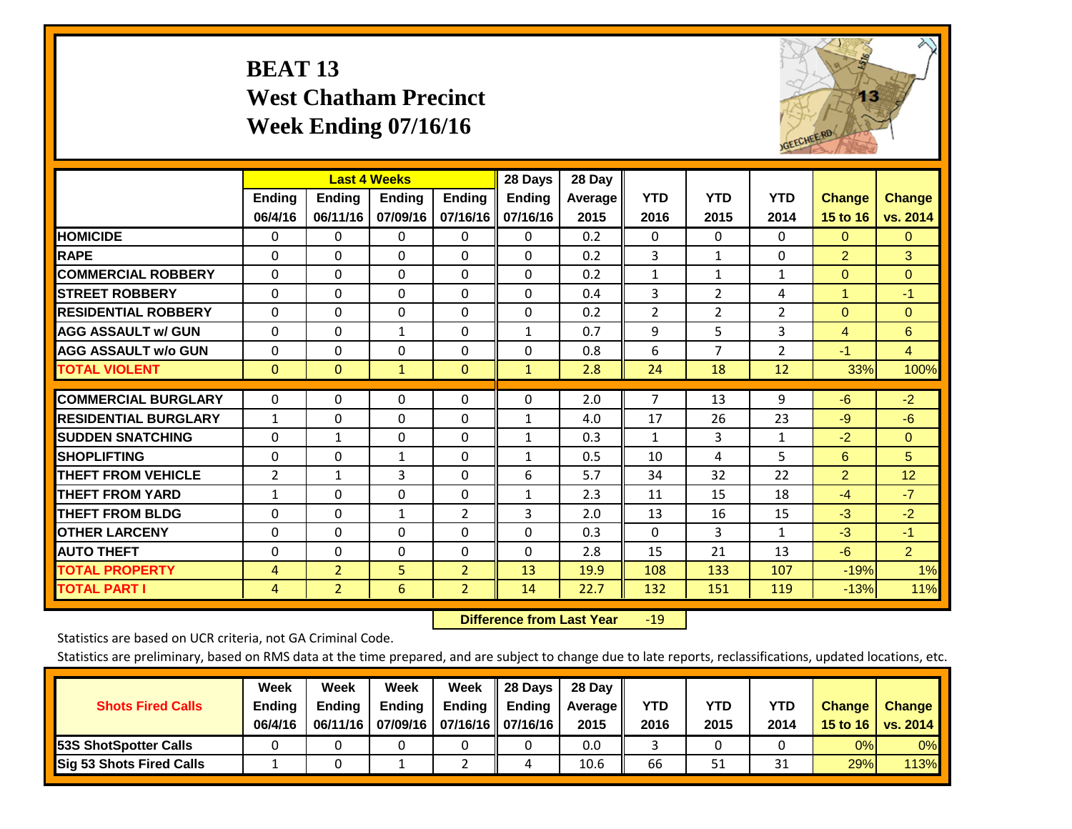# **BEAT 13 West Chatham Precinct Week Ending 07/16/16**



|                             |                          | <b>Last 4 Weeks</b>       |                           |                           | 28 Days                   | 28 Day            |                    |                    |                    |                           |                           |
|-----------------------------|--------------------------|---------------------------|---------------------------|---------------------------|---------------------------|-------------------|--------------------|--------------------|--------------------|---------------------------|---------------------------|
|                             | <b>Ending</b><br>06/4/16 | <b>Ending</b><br>06/11/16 | <b>Endina</b><br>07/09/16 | <b>Endina</b><br>07/16/16 | <b>Endina</b><br>07/16/16 | Average  <br>2015 | <b>YTD</b><br>2016 | <b>YTD</b><br>2015 | <b>YTD</b><br>2014 | <b>Change</b><br>15 to 16 | <b>Change</b><br>vs. 2014 |
| <b>HOMICIDE</b>             | 0                        | 0                         | 0                         | 0                         | 0                         | 0.2               | $\Omega$           | 0                  | 0                  | $\Omega$                  | $\mathbf{0}$              |
| <b>RAPE</b>                 | $\Omega$                 | $\Omega$                  | $\Omega$                  | $\Omega$                  | $\Omega$                  | 0.2               | 3                  | $\mathbf{1}$       | 0                  | $\overline{2}$            | 3                         |
| <b>COMMERCIAL ROBBERY</b>   | $\Omega$                 | $\Omega$                  | $\Omega$                  | $\Omega$                  | $\Omega$                  | 0.2               | $\mathbf{1}$       | 1                  | $\mathbf{1}$       | $\Omega$                  | $\Omega$                  |
| <b>STREET ROBBERY</b>       | $\Omega$                 | $\Omega$                  | $\mathbf{0}$              | 0                         | $\Omega$                  | 0.4               | 3                  | $\overline{2}$     | 4                  | $\blacktriangleleft$      | $-1$                      |
| <b>RESIDENTIAL ROBBERY</b>  | 0                        | $\Omega$                  | $\mathbf{0}$              | $\Omega$                  | 0                         | 0.2               | $\overline{2}$     | $\overline{2}$     | 2                  | $\Omega$                  | $\mathbf{0}$              |
| <b>AGG ASSAULT w/ GUN</b>   | $\Omega$                 | $\Omega$                  | 1                         | $\Omega$                  | $\mathbf{1}$              | 0.7               | 9                  | 5.                 | 3                  | 4                         | 6                         |
| <b>AGG ASSAULT w/o GUN</b>  | $\Omega$                 | 0                         | $\mathbf{0}$              | $\Omega$                  | $\Omega$                  | 0.8               | 6                  | 7                  | $\overline{2}$     | $-1$                      | $\overline{4}$            |
| <b>TOTAL VIOLENT</b>        | $\mathbf{0}$             | $\mathbf{0}$              | $\mathbf{1}$              | $\mathbf{0}$              | $\mathbf{1}$              | 2.8               | 24                 | 18                 | 12                 | 33%                       | 100%                      |
| <b>COMMERCIAL BURGLARY</b>  | $\Omega$                 | 0                         | $\mathbf{0}$              | $\Omega$                  | $\Omega$                  | 2.0               | $\overline{7}$     | 13                 | 9                  | $-6$                      | $-2$                      |
| <b>RESIDENTIAL BURGLARY</b> | $\mathbf{1}$             | $\Omega$                  | $\mathbf{0}$              | $\Omega$                  | $\mathbf{1}$              | 4.0               | 17                 | 26                 | 23                 | $-9$                      | $-6$                      |
| <b>ISUDDEN SNATCHING</b>    | $\Omega$                 | 1                         | $\Omega$                  | $\Omega$                  | $\mathbf{1}$              | 0.3               | 1                  | 3                  | $\mathbf{1}$       | $-2$                      | $\mathbf{0}$              |
| <b>SHOPLIFTING</b>          | $\Omega$                 | $\Omega$                  | $\mathbf{1}$              | $\Omega$                  | $\mathbf{1}$              | 0.5               | 10                 | 4                  | 5                  | 6                         | 5                         |
| <b>THEFT FROM VEHICLE</b>   | 2                        | 1                         | 3                         | $\Omega$                  | 6                         | 5.7               | 34                 | 32                 | 22                 | $\overline{2}$            | 12                        |
| <b>THEFT FROM YARD</b>      | $\mathbf{1}$             | $\Omega$                  | $\Omega$                  | 0                         | 1                         | 2.3               | 11                 | 15                 | 18                 | $-4$                      | $-7$                      |
| <b>THEFT FROM BLDG</b>      | 0                        | $\Omega$                  | $\mathbf{1}$              | $\overline{2}$            | 3                         | 2.0               | 13                 | 16                 | 15                 | $-3$                      | $-2$                      |
| <b>OTHER LARCENY</b>        | $\Omega$                 | $\Omega$                  | $\Omega$                  | $\Omega$                  | 0                         | 0.3               | $\Omega$           | 3                  | 1                  | $-3$                      | $-1$                      |
| <b>AUTO THEFT</b>           | 0                        | 0                         | $\Omega$                  | 0                         | $\Omega$                  | 2.8               | 15                 | 21                 | 13                 | $-6$                      | $\overline{2}$            |
| <b>TOTAL PROPERTY</b>       | 4                        | $\overline{2}$            | 5                         | $\overline{2}$            | 13                        | 19.9              | 108                | 133                | 107                | $-19%$                    | 1%                        |
| <b>TOTAL PART I</b>         | 4                        | $\overline{2}$            | 6                         | $\overline{2}$            | 14                        | 22.7              | 132                | 151                | 119                | $-13%$                    | 11%                       |

 **Difference from Last Year**r -19

Statistics are based on UCR criteria, not GA Criminal Code.

| <b>Shots Fired Calls</b>        | Week<br><b>Ending</b><br>06/4/16 | Week<br><b>Endina</b><br>06/11/16 | Week<br>Ending | Week<br>Ending<br>07/09/16   07/16/16   07/16/16 | 28 Days<br><b>Ending</b> | 28 Day<br>Average II<br>2015 | YTD<br>2016 | YTD<br>2015 | <b>YTD</b><br>2014 | <b>Change</b><br>15 to 16 | <b>Change</b><br>vs. 2014 |
|---------------------------------|----------------------------------|-----------------------------------|----------------|--------------------------------------------------|--------------------------|------------------------------|-------------|-------------|--------------------|---------------------------|---------------------------|
| <b>153S ShotSpotter Calls</b>   |                                  |                                   |                |                                                  |                          | 0.0                          |             |             |                    | 0%                        | 0%                        |
| <b>Sig 53 Shots Fired Calls</b> |                                  |                                   |                |                                                  | 4                        | 10.6                         | 66          | 51          | <b>n</b><br>31     | 29%                       | 113% <b> </b>             |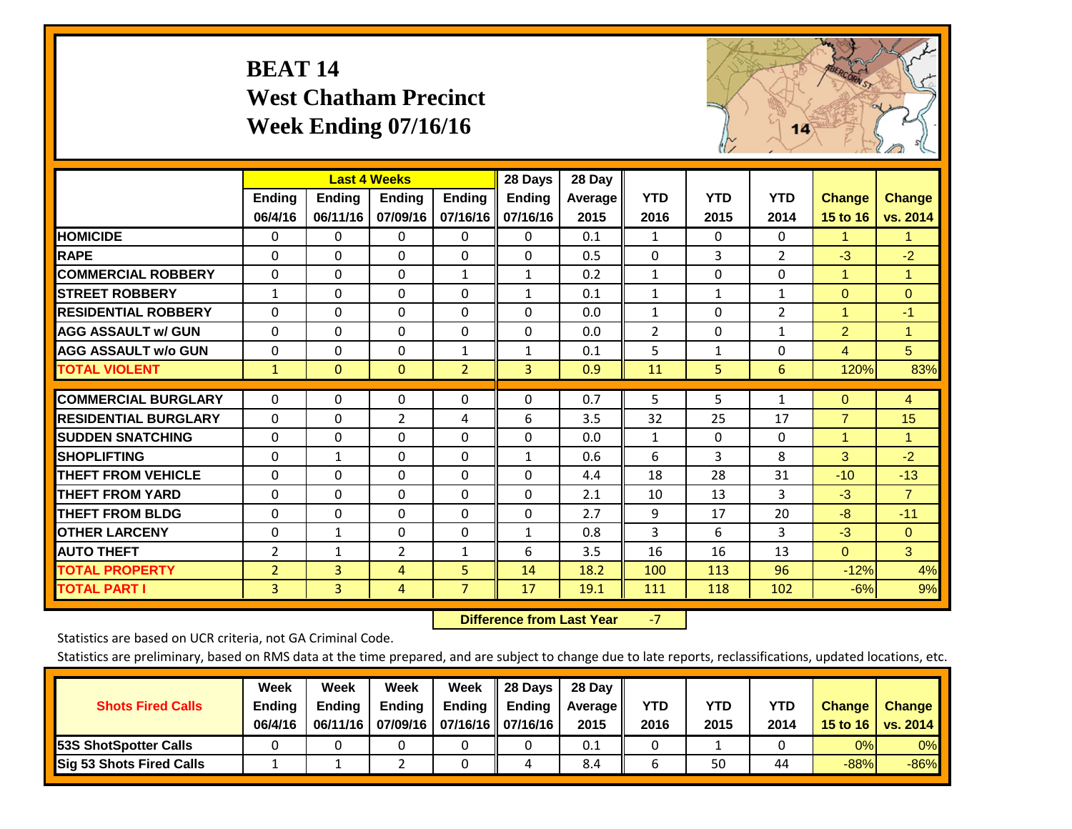# **BEAT 14 West Chatham Precinct Week Ending 07/16/16**



|                             |                | <b>Last 4 Weeks</b> |                |                | 28 Days       | 28 Day         |              |              |              |                      |                |
|-----------------------------|----------------|---------------------|----------------|----------------|---------------|----------------|--------------|--------------|--------------|----------------------|----------------|
|                             | Ending         | Ending              | <b>Ending</b>  | <b>Ending</b>  | <b>Ending</b> | <b>Average</b> | <b>YTD</b>   | <b>YTD</b>   | <b>YTD</b>   | <b>Change</b>        | <b>Change</b>  |
|                             | 06/4/16        | 06/11/16            | 07/09/16       | 07/16/16       | 07/16/16      | 2015           | 2016         | 2015         | 2014         | 15 to 16             | vs. 2014       |
| <b>HOMICIDE</b>             | 0              | 0                   | $\Omega$       | 0              | $\Omega$      | 0.1            | 1            | 0            | 0            | 1.                   | 1.             |
| <b>RAPE</b>                 | $\Omega$       | $\Omega$            | $\Omega$       | $\Omega$       | $\Omega$      | 0.5            | $\Omega$     | 3            | 2            | $-3$                 | $-2$           |
| <b>COMMERCIAL ROBBERY</b>   | $\Omega$       | $\Omega$            | $\Omega$       | 1              | $\mathbf{1}$  | 0.2            | $\mathbf{1}$ | $\Omega$     | $\Omega$     | $\mathbf{1}$         | $\mathbf{1}$   |
| <b>STREET ROBBERY</b>       | $\mathbf{1}$   | $\Omega$            | $\Omega$       | $\Omega$       | $\mathbf{1}$  | 0.1            | 1            | 1            | 1            | $\mathbf{0}$         | $\Omega$       |
| <b>RESIDENTIAL ROBBERY</b>  | $\Omega$       | 0                   | $\mathbf 0$    | $\Omega$       | $\Omega$      | 0.0            | $\mathbf{1}$ | 0            | 2            | $\blacktriangleleft$ | $-1$           |
| <b>AGG ASSAULT w/ GUN</b>   | $\Omega$       | $\Omega$            | $\mathbf{0}$   | $\Omega$       | $\Omega$      | 0.0            | 2            | 0            | $\mathbf{1}$ | $\overline{2}$       | 1              |
| <b>AGG ASSAULT w/o GUN</b>  | $\Omega$       | $\Omega$            | $\Omega$       | $\mathbf{1}$   | $\mathbf{1}$  | 0.1            | 5            | $\mathbf{1}$ | $\Omega$     | $\overline{4}$       | 5 <sup>5</sup> |
| <b>TOTAL VIOLENT</b>        | $\mathbf{1}$   | $\mathbf{0}$        | $\overline{0}$ | $\overline{2}$ | 3             | 0.9            | 11           | 5            | 6            | 120%                 | 83%            |
|                             |                |                     |                |                |               |                |              |              |              |                      |                |
| <b>COMMERCIAL BURGLARY</b>  | $\Omega$       | $\Omega$            | 0              | 0              | $\Omega$      | 0.7            | 5            | 5            | 1            | $\mathbf{0}$         | 4              |
| <b>RESIDENTIAL BURGLARY</b> | $\Omega$       | $\Omega$            | $\overline{2}$ | 4              | 6             | 3.5            | 32           | 25           | 17           | $\overline{7}$       | 15             |
| <b>ISUDDEN SNATCHING</b>    | $\Omega$       | 0                   | $\Omega$       | $\Omega$       | $\Omega$      | 0.0            | $\mathbf{1}$ | 0            | $\Omega$     | 1                    | 1.             |
| <b>SHOPLIFTING</b>          | $\Omega$       | 1                   | $\Omega$       | $\Omega$       | $\mathbf{1}$  | 0.6            | 6            | 3            | 8            | 3                    | $-2$           |
| <b>THEFT FROM VEHICLE</b>   | $\Omega$       | $\Omega$            | 0              | $\Omega$       | $\Omega$      | 4.4            | 18           | 28           | 31           | $-10$                | $-13$          |
| <b>THEFT FROM YARD</b>      | $\Omega$       | $\Omega$            | $\Omega$       | $\Omega$       | $\Omega$      | 2.1            | 10           | 13           | 3            | $-3$                 | $\overline{7}$ |
| <b>THEFT FROM BLDG</b>      | $\Omega$       | 0                   | $\mathbf{0}$   | $\Omega$       | $\Omega$      | 2.7            | 9            | 17           | 20           | -8                   | $-11$          |
| <b>OTHER LARCENY</b>        | $\Omega$       | 1                   | $\mathbf{0}$   | $\Omega$       | $\mathbf{1}$  | 0.8            | 3            | 6            | 3            | $-3$                 | $\Omega$       |
| <b>AUTO THEFT</b>           | $\overline{2}$ | $\mathbf{1}$        | $\overline{2}$ | 1              | 6             | 3.5            | 16           | 16           | 13           | $\Omega$             | 3              |
| <b>TOTAL PROPERTY</b>       | $\overline{2}$ | 3                   | 4              | 5              | 14            | 18.2           | 100          | 113          | 96           | $-12%$               | 4%             |
| <b>TOTAL PART I</b>         | $\overline{3}$ | $\overline{3}$      | $\overline{4}$ | $\overline{7}$ | 17            | 19.1           | 111          | 118          | 102          | $-6%$                | 9%             |

 **Difference from Last Year**‐7

Statistics are based on UCR criteria, not GA Criminal Code.

| <b>Shots Fired Calls</b>        | Week<br><b>Ending</b><br>06/4/16 | Week<br><b>Endina</b><br>06/11/16 | Week<br>Ending | Week<br>Ending<br>07/09/16   07/16/16   07/16/16 | 28 Days<br><b>Ending</b> | 28 Day<br>Average II<br>2015 | YTD<br>2016 | YTD<br>2015 | YTD<br>2014 | <b>Change</b><br>15 to 16 | <b>Change</b><br>vs. 2014 |
|---------------------------------|----------------------------------|-----------------------------------|----------------|--------------------------------------------------|--------------------------|------------------------------|-------------|-------------|-------------|---------------------------|---------------------------|
| <b>153S ShotSpotter Calls</b>   |                                  |                                   |                |                                                  |                          | 0.1                          |             |             |             | 0%                        | 0%                        |
| <b>Sig 53 Shots Fired Calls</b> |                                  |                                   |                |                                                  |                          | 8.4                          |             | 50          | 44          | $-88%$                    | $-86%$                    |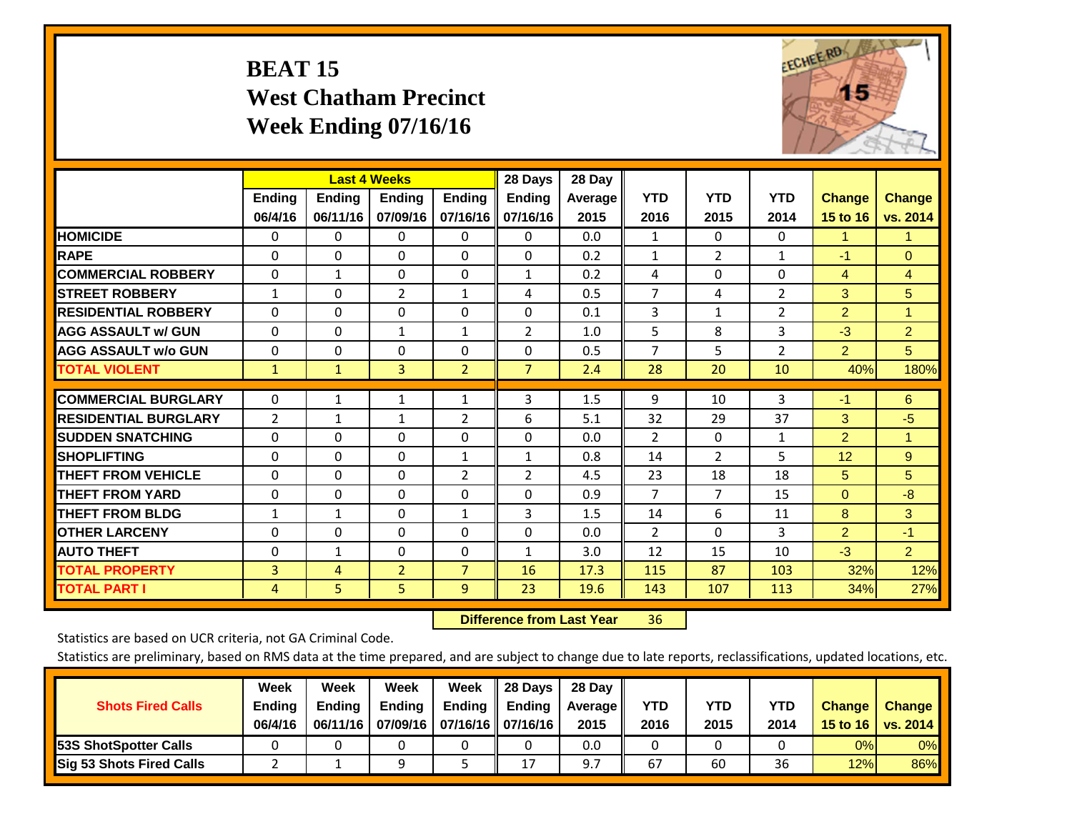# **BEAT 15 West Chatham Precinct Week Ending 07/16/16**



|                             |               |               | <b>Last 4 Weeks</b> |                | 28 Days        | 28 Day  |                |                |                |                |                |
|-----------------------------|---------------|---------------|---------------------|----------------|----------------|---------|----------------|----------------|----------------|----------------|----------------|
|                             | <b>Ending</b> | <b>Ending</b> | <b>Endina</b>       | <b>Ending</b>  | <b>Endina</b>  | Average | <b>YTD</b>     | <b>YTD</b>     | <b>YTD</b>     | <b>Change</b>  | <b>Change</b>  |
|                             | 06/4/16       | 06/11/16      | 07/09/16            | 07/16/16       | 07/16/16       | 2015    | 2016           | 2015           | 2014           | 15 to 16       | vs. 2014       |
| <b>HOMICIDE</b>             | 0             | 0             | $\Omega$            | 0              | 0              | 0.0     | 1              | $\Omega$       | 0              | 1              | 1              |
| <b>RAPE</b>                 | 0             | $\Omega$      | $\Omega$            | $\Omega$       | $\Omega$       | 0.2     | $\mathbf{1}$   | $\overline{2}$ | $\mathbf{1}$   | $-1$           | $\Omega$       |
| <b>COMMERCIAL ROBBERY</b>   | $\Omega$      | $\mathbf{1}$  | $\Omega$            | $\mathbf{0}$   | $\mathbf{1}$   | 0.2     | 4              | $\Omega$       | $\Omega$       | 4              | 4              |
| <b>ISTREET ROBBERY</b>      | $\mathbf{1}$  | $\Omega$      | $\overline{2}$      | $\mathbf{1}$   | 4              | 0.5     | $\overline{7}$ | 4              | 2              | 3              | 5              |
| <b>RESIDENTIAL ROBBERY</b>  | $\Omega$      | 0             | $\mathbf{0}$        | 0              | $\Omega$       | 0.1     | 3              | 1              | 2              | $\overline{2}$ | 1              |
| <b>AGG ASSAULT w/ GUN</b>   | $\Omega$      | 0             | $\mathbf{1}$        | $\mathbf{1}$   | $\overline{2}$ | 1.0     | 5              | 8              | 3              | $-3$           | $\overline{2}$ |
| <b>AGG ASSAULT w/o GUN</b>  | $\Omega$      | 0             | $\mathbf{0}$        | $\Omega$       | $\Omega$       | 0.5     | $\overline{7}$ | 5              | $\overline{2}$ | $\overline{2}$ | 5              |
| <b>TOTAL VIOLENT</b>        | $\mathbf{1}$  | $\mathbf{1}$  | 3                   | $\overline{2}$ | $\overline{7}$ | 2.4     | 28             | 20             | 10             | 40%            | 180%           |
|                             |               |               |                     |                |                |         |                |                |                |                |                |
| <b>COMMERCIAL BURGLARY</b>  | $\Omega$      | 1             | 1                   | 1              | 3              | 1.5     | 9              | 10             | 3              | $-1$           | 6              |
| <b>RESIDENTIAL BURGLARY</b> | 2             | 1             | 1                   | 2              | 6              | 5.1     | 32             | 29             | 37             | 3              | $-5$           |
| <b>SUDDEN SNATCHING</b>     | 0             | 0             | $\mathbf{0}$        | $\mathbf{0}$   | $\Omega$       | 0.0     | $\overline{2}$ | $\Omega$       | 1              | $\overline{2}$ | 1              |
| <b>SHOPLIFTING</b>          | 0             | 0             | $\Omega$            | 1              | 1              | 0.8     | 14             | $\overline{2}$ | 5              | 12             | 9              |
| <b>THEFT FROM VEHICLE</b>   | $\Omega$      | 0             | $\mathbf{0}$        | 2              | 2              | 4.5     | 23             | 18             | 18             | 5              | 5              |
| <b>THEFT FROM YARD</b>      | $\Omega$      | $\Omega$      | $\Omega$            | $\mathbf{0}$   | $\Omega$       | 0.9     | $\overline{7}$ | 7              | 15             | $\mathbf{0}$   | $-8$           |
| <b>THEFT FROM BLDG</b>      | 1             | 1             | $\Omega$            | $\mathbf{1}$   | 3              | 1.5     | 14             | 6              | 11             | 8              | 3              |
| <b>OTHER LARCENY</b>        | $\Omega$      | $\Omega$      | $\Omega$            | $\Omega$       | $\Omega$       | 0.0     | $\overline{2}$ | $\Omega$       | 3              | $\overline{2}$ | $-1$           |
| <b>AUTO THEFT</b>           | 0             | $\mathbf{1}$  | $\Omega$            | $\mathbf 0$    | 1              | 3.0     | 12             | 15             | 10             | $-3$           | $\overline{2}$ |
| <b>TOTAL PROPERTY</b>       | 3             | 4             | $\overline{2}$      | $\overline{7}$ | 16             | 17.3    | 115            | 87             | 103            | 32%            | 12%            |
| <b>TOTAL PART I</b>         | 4             | 5             | 5.                  | 9              | 23             | 19.6    | 143            | 107            | 113            | 34%            | 27%            |

 **Difference from Last Year**r 36

Statistics are based on UCR criteria, not GA Criminal Code.

| <b>Shots Fired Calls</b>        | Week<br><b>Ending</b><br>06/4/16 | Week<br><b>Endina</b><br>06/11/16 | Week<br>Ending | Week<br>Ending<br>07/09/16   07/16/16   07/16/16 | 28 Days<br><b>Ending</b> | 28 Day<br>Average II<br>2015 | YTD<br>2016 | YTD<br>2015 | YTD<br>2014 | <b>Change</b><br>15 to 16 | <b>Change</b><br>vs. 2014 |
|---------------------------------|----------------------------------|-----------------------------------|----------------|--------------------------------------------------|--------------------------|------------------------------|-------------|-------------|-------------|---------------------------|---------------------------|
| <b>153S ShotSpotter Calls</b>   |                                  |                                   |                |                                                  |                          | 0.0                          |             |             |             | 0%                        | 0%                        |
| <b>Sig 53 Shots Fired Calls</b> |                                  |                                   |                |                                                  | 17                       | 9.7                          | 67          | 60          | 36          | 12%                       | 86%                       |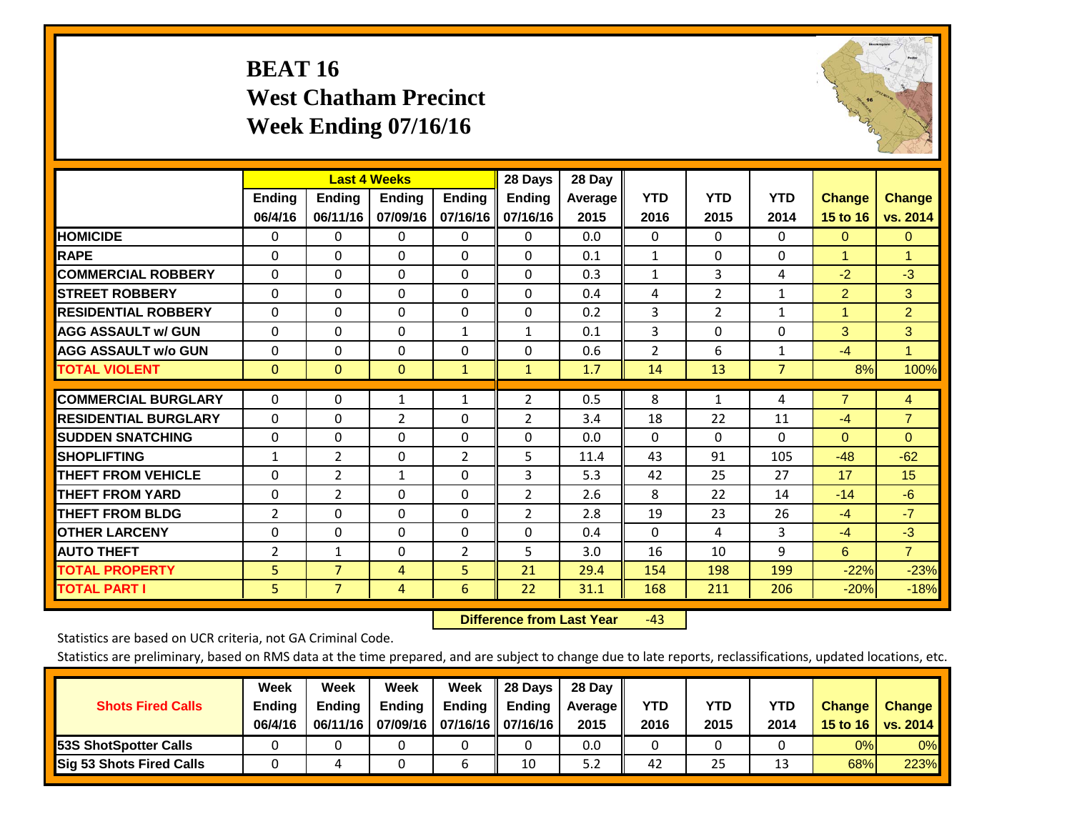# **BEAT 16 West Chatham Precinct Week Ending 07/16/16**



|                             |                | <b>Last 4 Weeks</b> |               |                | 28 Days        | 28 Day  |                |                |                |                |                |
|-----------------------------|----------------|---------------------|---------------|----------------|----------------|---------|----------------|----------------|----------------|----------------|----------------|
|                             | <b>Ending</b>  | <b>Ending</b>       | <b>Endina</b> | <b>Ending</b>  | <b>Ending</b>  | Average | <b>YTD</b>     | <b>YTD</b>     | <b>YTD</b>     | <b>Change</b>  | <b>Change</b>  |
|                             | 06/4/16        | 06/11/16            | 07/09/16      | 07/16/16       | 07/16/16       | 2015    | 2016           | 2015           | 2014           | 15 to 16       | vs. 2014       |
| <b>HOMICIDE</b>             | 0              | 0                   | $\Omega$      | 0              | 0              | 0.0     | $\mathbf{0}$   | 0              | 0              | $\mathbf{0}$   | $\mathbf{0}$   |
| <b>RAPE</b>                 | 0              | $\Omega$            | $\Omega$      | $\Omega$       | $\Omega$       | 0.1     | 1              | $\Omega$       | $\Omega$       | 1              | 1              |
| <b>COMMERCIAL ROBBERY</b>   | $\Omega$       | 0                   | $\Omega$      | 0              | $\Omega$       | 0.3     | $\mathbf{1}$   | 3              | 4              | $-2$           | $-3$           |
| <b>ISTREET ROBBERY</b>      | $\Omega$       | $\Omega$            | $\Omega$      | $\Omega$       | $\Omega$       | 0.4     | 4              | $\overline{2}$ | $\mathbf{1}$   | $\overline{2}$ | 3              |
| <b>RESIDENTIAL ROBBERY</b>  | $\Omega$       | $\Omega$            | $\Omega$      | $\mathbf{0}$   | $\Omega$       | 0.2     | 3              | 2              | 1              | $\overline{1}$ | $\overline{2}$ |
| <b>AGG ASSAULT w/ GUN</b>   | $\Omega$       | $\Omega$            | $\Omega$      | $\mathbf{1}$   | 1              | 0.1     | 3              | $\Omega$       | $\Omega$       | 3              | 3              |
| <b>AGG ASSAULT w/o GUN</b>  | 0              | 0                   | $\Omega$      | 0              | $\Omega$       | 0.6     | $\overline{2}$ | 6              | 1              | $-4$           | $\mathbf{1}$   |
| <b>TOTAL VIOLENT</b>        | $\Omega$       | $\Omega$            | $\mathbf{0}$  | $\mathbf{1}$   | $\mathbf{1}$   | 1.7     | 14             | 13             | $\overline{7}$ | 8%             | 100%           |
| <b>COMMERCIAL BURGLARY</b>  | $\Omega$       | $\Omega$            | 1             | 1              | 2              | 0.5     | 8              | 1              | 4              | $\overline{7}$ | 4              |
|                             |                |                     |               |                |                |         |                |                |                |                |                |
| <b>RESIDENTIAL BURGLARY</b> | $\Omega$       | 0                   | 2             | $\mathbf{0}$   | 2              | 3.4     | 18             | 22             | 11             | $-4$           | $\overline{7}$ |
| <b>SUDDEN SNATCHING</b>     | 0              | 0                   | $\mathbf{0}$  | $\mathbf{0}$   | 0              | 0.0     | $\Omega$       | $\Omega$       | $\Omega$       | $\Omega$       | $\mathbf{0}$   |
| <b>SHOPLIFTING</b>          | 1              | $\overline{2}$      | $\Omega$      | $\overline{2}$ | 5.             | 11.4    | 43             | 91             | 105            | $-48$          | $-62$          |
| <b>THEFT FROM VEHICLE</b>   | $\Omega$       | $\overline{2}$      | $\mathbf{1}$  | 0              | 3              | 5.3     | 42             | 25             | 27             | 17             | 15             |
| <b>THEFT FROM YARD</b>      | 0              | $\overline{2}$      | $\Omega$      | 0              | $\overline{2}$ | 2.6     | 8              | 22             | 14             | $-14$          | $-6$           |
| <b>THEFT FROM BLDG</b>      | $\overline{2}$ | $\Omega$            | $\Omega$      | $\mathbf{0}$   | $\overline{2}$ | 2.8     | 19             | 23             | 26             | $-4$           | $-7$           |
| <b>OTHER LARCENY</b>        | 0              | 0                   | $\Omega$      | $\Omega$       | $\Omega$       | 0.4     | $\Omega$       | 4              | 3              | $-4$           | $-3$           |
| <b>AUTO THEFT</b>           | 2              | $\mathbf{1}$        | 0             | 2              | 5              | 3.0     | 16             | 10             | 9              | 6              | $\overline{7}$ |
| <b>TOTAL PROPERTY</b>       | 5              | $\overline{7}$      | 4             | 5              | 21             | 29.4    | 154            | 198            | 199            | $-22%$         | $-23%$         |
| <b>TOTAL PART I</b>         | 5.             | $\overline{7}$      | 4             | 6              | 22             | 31.1    | 168            | 211            | 206            | $-20%$         | $-18%$         |

 **Difference from Last Year**‐43

Statistics are based on UCR criteria, not GA Criminal Code.

| <b>Shots Fired Calls</b>        | Week<br><b>Ending</b><br>06/4/16 | Week<br><b>Endina</b><br>06/11/16 | Week<br>Ending | Week<br>Ending<br>07/09/16   07/16/16   07/16/16 | 28 Days<br><b>Ending</b> | 28 Day<br>Average II<br>2015 | YTD<br>2016 | YTD<br>2015 | YTD<br>2014 | <b>Change</b><br>15 to 16 | <b>Change</b><br>vs. 2014 |
|---------------------------------|----------------------------------|-----------------------------------|----------------|--------------------------------------------------|--------------------------|------------------------------|-------------|-------------|-------------|---------------------------|---------------------------|
| <b>153S ShotSpotter Calls</b>   |                                  |                                   |                |                                                  |                          | 0.0                          |             |             |             | 0%                        | 0%                        |
| <b>Sig 53 Shots Fired Calls</b> |                                  |                                   |                |                                                  | 10                       | 5.2                          | 42          | 25          | 1.          | 68%                       | 223%                      |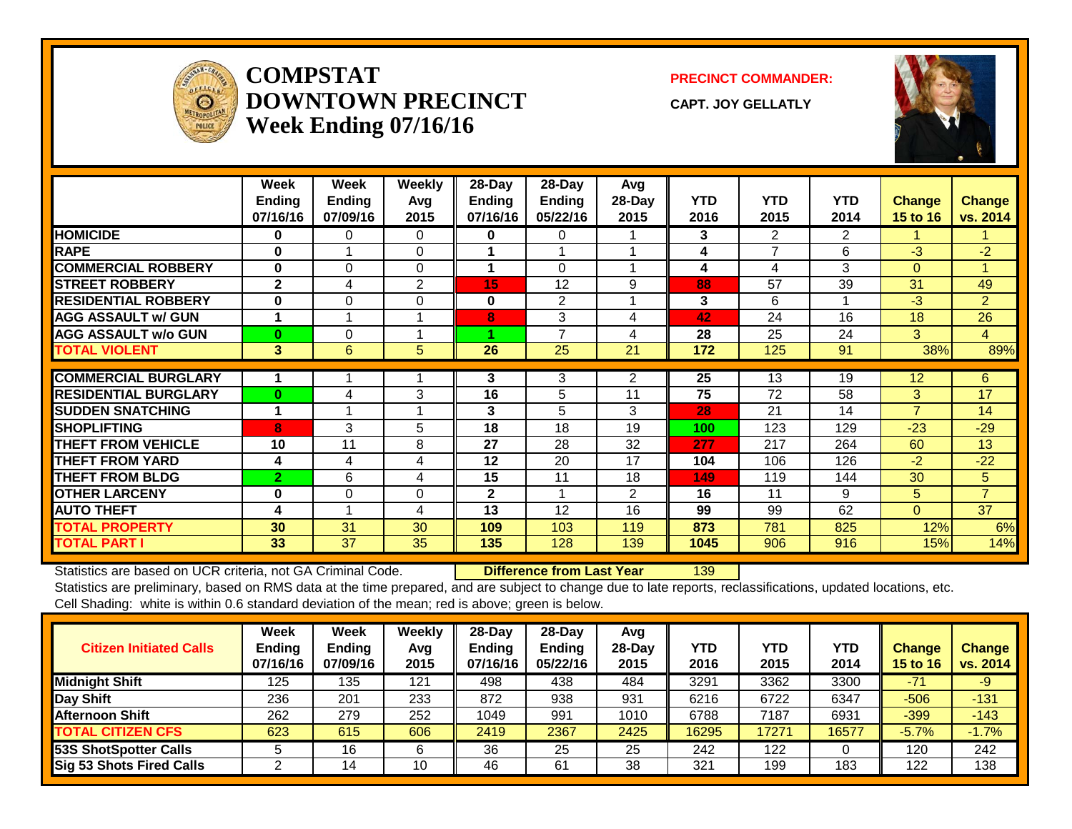

#### **COMPSTATDOWNTOWN PRECINCTWeek Ending 07/16/16**

**PRECINCT COMMANDER:**

**CAPT. JOY GELLATLY**



|                             | Week<br>Ending<br>07/16/16 | Week<br><b>Ending</b><br>07/09/16 | <b>Weekly</b><br>Avg<br>2015 | 28-Day<br><b>Ending</b><br>07/16/16 | $28$ -Day<br><b>Ending</b><br>05/22/16 | Avg<br>28-Day<br>2015 | <b>YTD</b><br>2016 | <b>YTD</b><br>2015 | <b>YTD</b><br>2014 | <b>Change</b><br>15 to 16 | <b>Change</b><br>vs. 2014 |
|-----------------------------|----------------------------|-----------------------------------|------------------------------|-------------------------------------|----------------------------------------|-----------------------|--------------------|--------------------|--------------------|---------------------------|---------------------------|
| <b>HOMICIDE</b>             | 0                          | 0                                 | 0                            | 0                                   | 0                                      |                       | 3                  | 2                  | 2                  |                           |                           |
| <b>RAPE</b>                 | $\bf{0}$                   |                                   | $\Omega$                     |                                     |                                        |                       | 4                  | 7                  | 6                  | $-3$                      | $-2$                      |
| <b>COMMERCIAL ROBBERY</b>   | $\bf{0}$                   | $\Omega$                          | $\Omega$                     | 1                                   | $\Omega$                               |                       | 4                  | 4                  | 3                  | $\overline{0}$            | $\overline{A}$            |
| <b>STREET ROBBERY</b>       | $\mathbf{2}$               | 4                                 | 2                            | 15                                  | 12                                     | 9                     | 88                 | 57                 | 39                 | 31                        | 49                        |
| <b>RESIDENTIAL ROBBERY</b>  | $\bf{0}$                   | $\Omega$                          | $\Omega$                     | $\bf{0}$                            | 2                                      |                       | 3                  | 6                  |                    | $-3$                      | $\overline{2}$            |
| <b>AGG ASSAULT w/ GUN</b>   |                            |                                   |                              | 8                                   | 3                                      | 4                     | 42                 | 24                 | 16                 | 18                        | 26                        |
| <b>AGG ASSAULT w/o GUN</b>  | $\mathbf{0}$               | $\Omega$                          |                              |                                     | $\overline{\phantom{a}}$               | 4                     | 28                 | 25                 | 24                 | 3                         | $\overline{4}$            |
| <b>TOTAL VIOLENT</b>        | 3                          | 6                                 | 5                            | 26                                  | 25                                     | 21                    | 172                | 125                | 91                 | 38%                       | 89%                       |
| <b>COMMERCIAL BURGLARY</b>  |                            |                                   |                              |                                     |                                        |                       |                    | 13                 | 19                 |                           |                           |
|                             |                            |                                   |                              | 3                                   | 3                                      | 2                     | 25                 |                    |                    | 12                        | 6                         |
| <b>RESIDENTIAL BURGLARY</b> | $\bf{0}$                   | 4                                 | 3                            | 16                                  | 5                                      | 11                    | 75                 | 72                 | 58                 | 3                         | 17                        |
| <b>SUDDEN SNATCHING</b>     |                            |                                   |                              | 3                                   | 5                                      | 3                     | 28                 | 21                 | 14                 | $\overline{7}$            | 14                        |
| <b>SHOPLIFTING</b>          | 8                          | 3                                 | 5                            | 18                                  | 18                                     | 19                    | 100                | 123                | 129                | $-23$                     | $-29$                     |
| <b>THEFT FROM VEHICLE</b>   | 10                         | 11                                | 8                            | 27                                  | 28                                     | 32                    | 277                | 217                | 264                | 60                        | 13                        |
| <b>THEFT FROM YARD</b>      | 4                          | 4                                 | 4                            | 12                                  | 20                                     | 17                    | 104                | 106                | 126                | $-2$                      | $-22$                     |
| <b>THEFT FROM BLDG</b>      | 2                          | 6                                 | 4                            | 15                                  | 11                                     | 18                    | 149                | 119                | 144                | 30                        | 5                         |
| <b>OTHER LARCENY</b>        | $\bf{0}$                   | $\Omega$                          | $\Omega$                     | $\mathbf{2}$                        |                                        | $\overline{2}$        | 16                 | 11                 | 9                  | 5                         | $\overline{7}$            |
| <b>AUTO THEFT</b>           | 4                          |                                   | 4                            | 13                                  | 12                                     | 16                    | 99                 | 99                 | 62                 | $\Omega$                  | 37                        |
| <b>TOTAL PROPERTY</b>       | 30                         | 31                                | 30                           | 109                                 | 103                                    | 119                   | 873                | 781                | 825                | 12%                       | 6%                        |
| <b>TOTAL PART I</b>         | 33                         | 37                                | 35                           | 135                                 | 128                                    | 139                   | 1045               | 906                | 916                | 15%                       | 14%                       |

Statistics are based on UCR criteria, not GA Criminal Code. **Difference from Last Year** 139

| <b>Citizen Initiated Calls</b> | Week<br><b>Ending</b><br>07/16/16 | Week<br><b>Ending</b><br>07/09/16 | Weekly<br>Avg<br>2015 | 28-Dav<br><b>Ending</b><br>07/16/16 | $28$ -Dav<br><b>Ending</b><br>05/22/16 | Avg<br>$28-Dav$<br>2015 | YTD<br>2016 | YTD<br>2015 | <b>YTD</b><br>2014 | Change<br><b>15 to 16</b> | <b>Change</b><br>vs. 2014 |
|--------------------------------|-----------------------------------|-----------------------------------|-----------------------|-------------------------------------|----------------------------------------|-------------------------|-------------|-------------|--------------------|---------------------------|---------------------------|
| <b>Midnight Shift</b>          | 125                               | 135                               | 121                   | 498                                 | 438                                    | 484                     | 3291        | 3362        | 3300               | $-71$                     | -9                        |
| Day Shift                      | 236                               | 201                               | 233                   | 872                                 | 938                                    | 931                     | 6216        | 6722        | 6347               | $-506$                    | $-131$                    |
| <b>Afternoon Shift</b>         | 262                               | 279                               | 252                   | 1049                                | 991                                    | 1010                    | 6788        | 7187        | 6931               | $-399$                    | $-143$                    |
| <b>TOTAL CITIZEN CFS</b>       | 623                               | 615                               | 606                   | 2419                                | 2367                                   | 2425                    | 16295       | 17271       | 16577              | $-5.7%$                   | $-1.7%$                   |
| 53S ShotSpotter Calls          |                                   | 16                                | 6                     | 36                                  | 25                                     | 25                      | 242         | 122         |                    | 120                       | 242                       |
| Sig 53 Shots Fired Calls       |                                   | 14                                | 10                    | 46                                  | 61                                     | 38                      | 321         | 199         | 183                | 122                       | 138                       |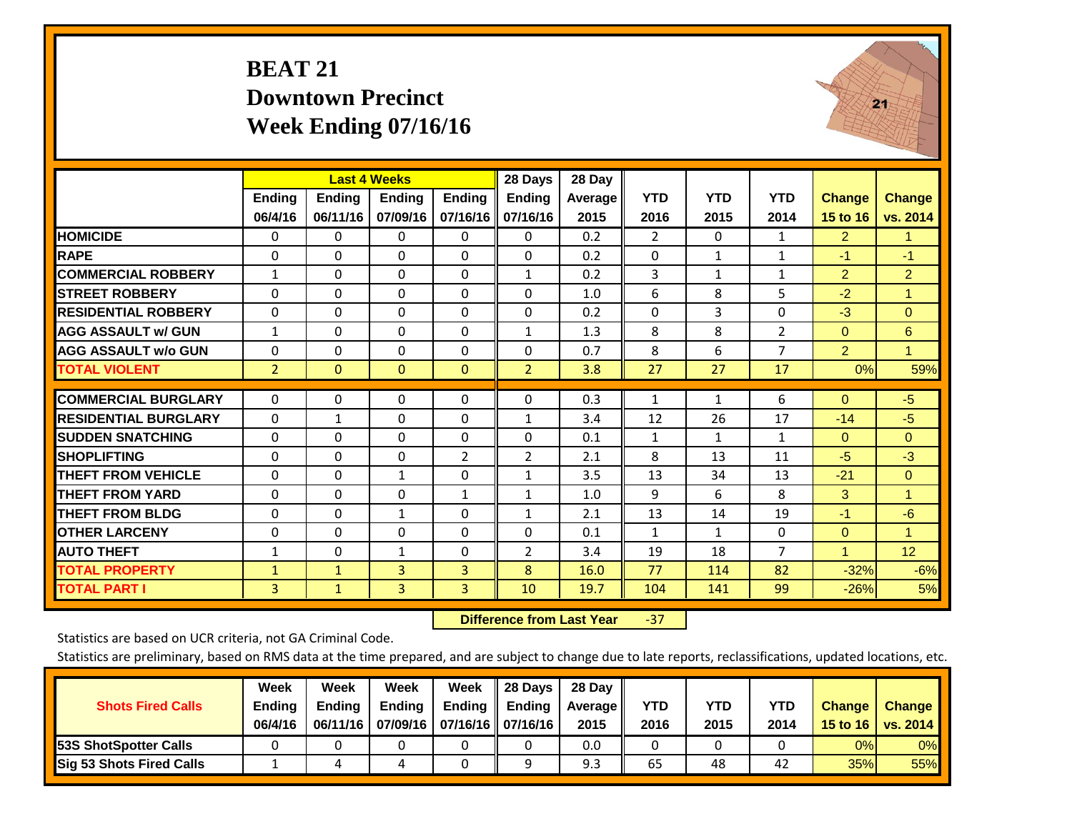# **BEAT 21 Downtown Precinct Week Ending 07/16/16**



|                             |                | <b>Last 4 Weeks</b> |               |                | 28 Days        | 28 Day  |                |              |                |                      |                 |
|-----------------------------|----------------|---------------------|---------------|----------------|----------------|---------|----------------|--------------|----------------|----------------------|-----------------|
|                             | <b>Ending</b>  | <b>Ending</b>       | <b>Ending</b> | <b>Ending</b>  | <b>Ending</b>  | Average | <b>YTD</b>     | <b>YTD</b>   | <b>YTD</b>     | <b>Change</b>        | <b>Change</b>   |
|                             | 06/4/16        | 06/11/16            | 07/09/16      | 07/16/16       | 07/16/16       | 2015    | 2016           | 2015         | 2014           | 15 to 16             | vs. 2014        |
| <b>HOMICIDE</b>             | 0              | 0                   | $\mathbf{0}$  | $\Omega$       | $\Omega$       | 0.2     | $\overline{2}$ | $\Omega$     | 1              | $\overline{2}$       | 1.              |
| <b>RAPE</b>                 | 0              | $\Omega$            | $\mathbf{0}$  | $\Omega$       | $\Omega$       | 0.2     | $\Omega$       | $\mathbf{1}$ | 1              | $-1$                 | $-1$            |
| <b>COMMERCIAL ROBBERY</b>   | $\mathbf{1}$   | $\Omega$            | $\Omega$      | $\Omega$       | $\mathbf{1}$   | 0.2     | 3              | 1            | $\mathbf{1}$   | $\overline{2}$       | $\overline{2}$  |
| <b>STREET ROBBERY</b>       | $\Omega$       | $\Omega$            | $\Omega$      | $\Omega$       | $\Omega$       | 1.0     | 6              | 8            | 5              | $-2$                 | $\mathbf{1}$    |
| <b>RESIDENTIAL ROBBERY</b>  | $\Omega$       | 0                   | $\Omega$      | $\mathbf{0}$   | $\Omega$       | 0.2     | $\Omega$       | 3            | 0              | $-3$                 | $\mathbf{0}$    |
| <b>AGG ASSAULT w/ GUN</b>   | $\mathbf{1}$   | $\Omega$            | $\Omega$      | $\Omega$       | $\mathbf{1}$   | 1.3     | 8              | 8            | $\overline{2}$ | $\mathbf{0}$         | 6               |
| <b>AGG ASSAULT w/o GUN</b>  | $\Omega$       | 0                   | $\mathbf{0}$  | $\mathbf{0}$   | 0              | 0.7     | 8              | 6            | 7              | $\overline{2}$       | $\mathbf{1}$    |
| <b>TOTAL VIOLENT</b>        | $\overline{2}$ | $\mathbf{0}$        | $\mathbf{0}$  | $\mathbf{0}$   | $\overline{2}$ | 3.8     | 27             | 27           | 17             | 0%                   | 59%             |
| <b>COMMERCIAL BURGLARY</b>  | $\Omega$       | 0                   | 0             | 0              | $\Omega$       | 0.3     | $\mathbf{1}$   | $\mathbf{1}$ | 6              | $\mathbf{0}$         | $-5$            |
| <b>RESIDENTIAL BURGLARY</b> | 0              | 1                   | $\mathbf{0}$  | $\mathbf{0}$   | 1              | 3.4     | 12             | 26           | 17             | $-14$                | $-5$            |
| <b>ISUDDEN SNATCHING</b>    | $\Omega$       | 0                   | $\mathbf{0}$  | $\mathbf{0}$   | $\Omega$       | 0.1     | $\mathbf{1}$   | 1            | $\mathbf{1}$   | $\mathbf{0}$         | $\Omega$        |
| <b>SHOPLIFTING</b>          | $\Omega$       | $\Omega$            | $\Omega$      | $\overline{2}$ | 2              | 2.1     | 8              | 13           | 11             | $-5$                 | $-3$            |
| <b>THEFT FROM VEHICLE</b>   | $\Omega$       | 0                   | $\mathbf{1}$  | $\mathbf{0}$   | $\mathbf{1}$   | 3.5     | 13             | 34           | 13             | $-21$                | $\Omega$        |
| <b>THEFT FROM YARD</b>      | $\Omega$       | $\Omega$            | $\Omega$      | 1              | $\mathbf{1}$   | 1.0     | 9              | 6            | 8              | 3                    | $\overline{1}$  |
| <b>THEFT FROM BLDG</b>      | $\Omega$       | $\Omega$            | 1             | $\mathbf{0}$   | $\mathbf{1}$   | 2.1     | 13             | 14           | 19             | $-1$                 | $-6$            |
| <b>OTHER LARCENY</b>        | 0              | 0                   | $\Omega$      | $\mathbf{0}$   | 0              | 0.1     | $\mathbf{1}$   | 1            | 0              | $\Omega$             | $\blacksquare$  |
| <b>AUTO THEFT</b>           | $\mathbf{1}$   | 0                   | 1             | 0              | 2              | 3.4     | 19             | 18           | $\overline{7}$ | $\blacktriangleleft$ | 12 <sub>2</sub> |
| <b>TOTAL PROPERTY</b>       | 1              | $\mathbf{1}$        | 3             | 3              | 8              | 16.0    | 77             | 114          | 82             | $-32%$               | $-6%$           |
| <b>TOTAL PART I</b>         | 3              | $\mathbf{1}$        | 3             | $\overline{3}$ | 10             | 19.7    | 104            | 141          | 99             | $-26%$               | 5%              |

 **Difference from Last Year**‐37

Statistics are based on UCR criteria, not GA Criminal Code.

| <b>Shots Fired Calls</b>        | Week<br><b>Ending</b><br>06/4/16 | Week<br><b>Endina</b><br>06/11/16 | Week<br>Ending | Week<br>Ending<br>07/09/16   07/16/16   07/16/16 | 28 Days<br><b>Ending</b> | 28 Day<br>Average II<br>2015 | YTD<br>2016 | YTD<br>2015 | YTD<br>2014 | <b>Change</b><br>15 to 16 | <b>Change</b><br>vs. 2014 |
|---------------------------------|----------------------------------|-----------------------------------|----------------|--------------------------------------------------|--------------------------|------------------------------|-------------|-------------|-------------|---------------------------|---------------------------|
| <b>153S ShotSpotter Calls</b>   |                                  |                                   |                |                                                  |                          | 0.0                          |             |             |             | 0%                        | 0%                        |
| <b>Sig 53 Shots Fired Calls</b> |                                  |                                   |                |                                                  |                          | 9.3                          | 65          | 48          | 42          | 35%                       | 55%                       |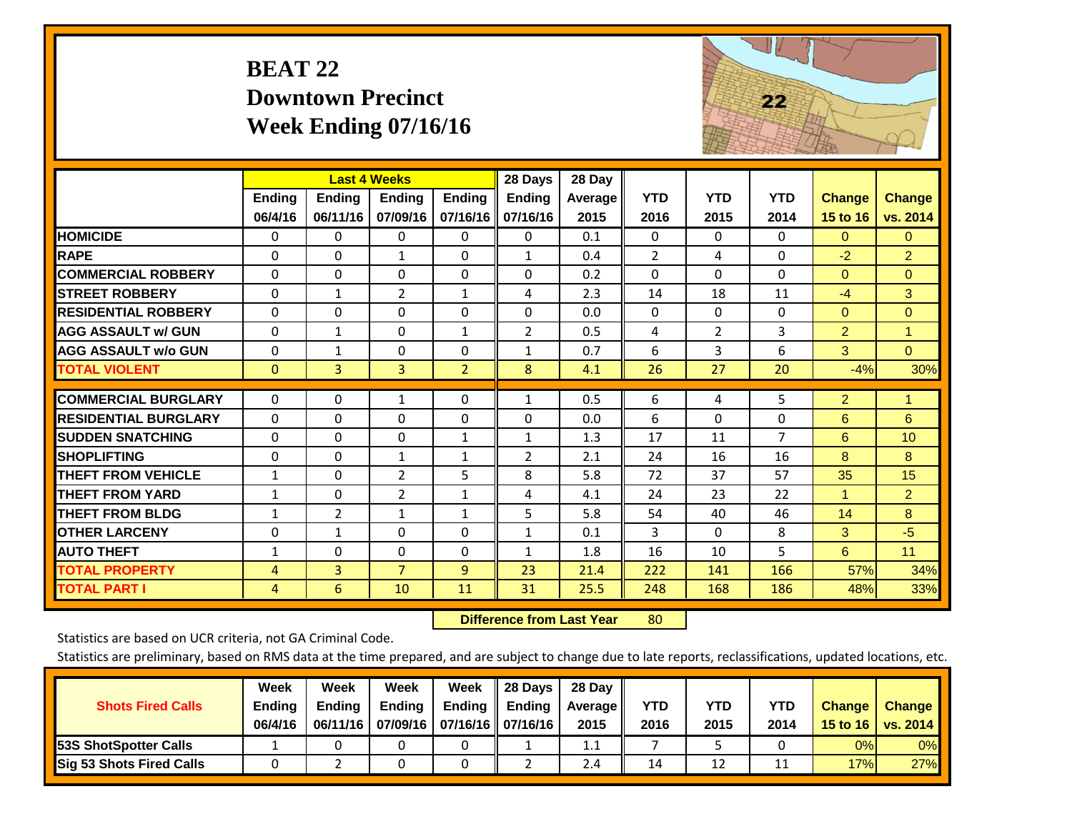# **BEAT 22 Downtown Precinct Week Ending 07/16/16**



|                             |                | <b>Last 4 Weeks</b> |                |                | 28 Days        | 28 Day         |                |                |                |                      |                |
|-----------------------------|----------------|---------------------|----------------|----------------|----------------|----------------|----------------|----------------|----------------|----------------------|----------------|
|                             | Ending         | <b>Ending</b>       | <b>Endina</b>  | <b>Ending</b>  | <b>Ending</b>  | <b>Average</b> | <b>YTD</b>     | <b>YTD</b>     | <b>YTD</b>     | <b>Change</b>        | <b>Change</b>  |
|                             | 06/4/16        | 06/11/16            | 07/09/16       | 07/16/16       | 07/16/16       | 2015           | 2016           | 2015           | 2014           | 15 to 16             | vs. 2014       |
| <b>HOMICIDE</b>             | 0              | 0                   | 0              | $\Omega$       | 0              | 0.1            | $\Omega$       | 0              | $\Omega$       | $\mathbf{0}$         | $\mathbf{0}$   |
| <b>RAPE</b>                 | $\Omega$       | 0                   | 1              | 0              | $\mathbf{1}$   | 0.4            | $\overline{2}$ | 4              | $\Omega$       | $-2$                 | $\overline{2}$ |
| <b>COMMERCIAL ROBBERY</b>   | $\Omega$       | 0                   | $\mathbf 0$    | $\Omega$       | $\Omega$       | 0.2            | $\Omega$       | $\Omega$       | $\Omega$       | $\Omega$             | $\mathbf{0}$   |
| <b>STREET ROBBERY</b>       | $\Omega$       | $\mathbf 1$         | 2              | $\mathbf{1}$   | 4              | 2.3            | 14             | 18             | 11             | $-4$                 | 3              |
| <b>RESIDENTIAL ROBBERY</b>  | $\Omega$       | 0                   | $\mathbf{0}$   | $\Omega$       | $\Omega$       | 0.0            | $\mathbf{0}$   | $\Omega$       | 0              | $\Omega$             | $\overline{0}$ |
| <b>AGG ASSAULT w/ GUN</b>   | $\Omega$       | 1                   | 0              | $\mathbf{1}$   | $\overline{2}$ | 0.5            | 4              | $\overline{2}$ | 3              | $\overline{2}$       | $\mathbf{1}$   |
| <b>AGG ASSAULT w/o GUN</b>  | $\Omega$       | $\mathbf{1}$        | $\Omega$       | $\Omega$       | $\mathbf{1}$   | 0.7            | 6              | 3              | 6              | 3                    | $\Omega$       |
| <b>TOTAL VIOLENT</b>        | $\mathbf{0}$   | $\overline{3}$      | 3              | $\overline{2}$ | 8              | 4.1            | 26             | 27             | 20             | $-4%$                | 30%            |
|                             |                |                     |                |                |                |                |                |                |                |                      |                |
| <b>COMMERCIAL BURGLARY</b>  | $\Omega$       | 0                   | $\mathbf{1}$   | 0              | $\mathbf{1}$   | 0.5            | 6              | 4              | 5              | $\overline{2}$       | 1              |
| <b>RESIDENTIAL BURGLARY</b> | $\Omega$       | 0                   | $\Omega$       | $\Omega$       | $\Omega$       | 0.0            | 6              | $\Omega$       | 0              | 6                    | 6              |
| <b>SUDDEN SNATCHING</b>     | $\Omega$       | 0                   | 0              | $\mathbf{1}$   | 1              | 1.3            | 17             | 11             | $\overline{7}$ | 6                    | 10             |
| <b>SHOPLIFTING</b>          | $\Omega$       | 0                   | 1              | 1              | $\overline{2}$ | 2.1            | 24             | 16             | 16             | 8                    | 8              |
| <b>THEFT FROM VEHICLE</b>   | $\mathbf{1}$   | 0                   | 2              | 5              | 8              | 5.8            | 72             | 37             | 57             | 35                   | 15             |
| <b>THEFT FROM YARD</b>      | $\mathbf{1}$   | 0                   | $\overline{2}$ | $\mathbf{1}$   | 4              | 4.1            | 24             | 23             | 22             | $\blacktriangleleft$ | $\overline{2}$ |
| <b>THEFT FROM BLDG</b>      | $\mathbf{1}$   | $\overline{2}$      | 1              | $\mathbf{1}$   | 5              | 5.8            | 54             | 40             | 46             | 14                   | 8              |
| <b>OTHER LARCENY</b>        | $\Omega$       | 1                   | $\Omega$       | $\Omega$       | 1              | 0.1            | 3              | $\Omega$       | 8              | 3                    | $-5$           |
| <b>AUTO THEFT</b>           | $\mathbf{1}$   | 0                   | 0              | 0              | $\mathbf{1}$   | 1.8            | 16             | 10             | 5              | 6                    | 11             |
| <b>TOTAL PROPERTY</b>       | $\overline{4}$ | $\overline{3}$      | $\overline{7}$ | 9              | 23             | 21.4           | 222            | 141            | 166            | 57%                  | 34%            |
| <b>TOTAL PART I</b>         | 4              | 6                   | 10             | 11             | 31             | 25.5           | 248            | 168            | 186            | 48%                  | 33%            |

 **Difference from Last Year**r 80

Statistics are based on UCR criteria, not GA Criminal Code.

| <b>Shots Fired Calls</b>        | Week<br><b>Ending</b><br>06/4/16 | Week<br><b>Endina</b><br>06/11/16 | Week<br><b>Ending</b> | Week<br>Ending<br>07/09/16   07/16/16   07/16/16 | 28 Days<br><b>Ending</b> | 28 Day<br>Average II<br>2015 | YTD<br>2016 | YTD<br>2015 | YTD<br>2014 | <b>Change</b><br>15 to 16 $\vert$ | <b>Change</b><br>vs. 2014 |
|---------------------------------|----------------------------------|-----------------------------------|-----------------------|--------------------------------------------------|--------------------------|------------------------------|-------------|-------------|-------------|-----------------------------------|---------------------------|
| <b>153S ShotSpotter Calls</b>   |                                  |                                   |                       |                                                  |                          | 1.1                          |             |             |             | 0%                                | 0%                        |
| <b>Sig 53 Shots Fired Calls</b> |                                  |                                   |                       |                                                  |                          | 2.4                          | 14          | 12          |             | 17%                               | 27%                       |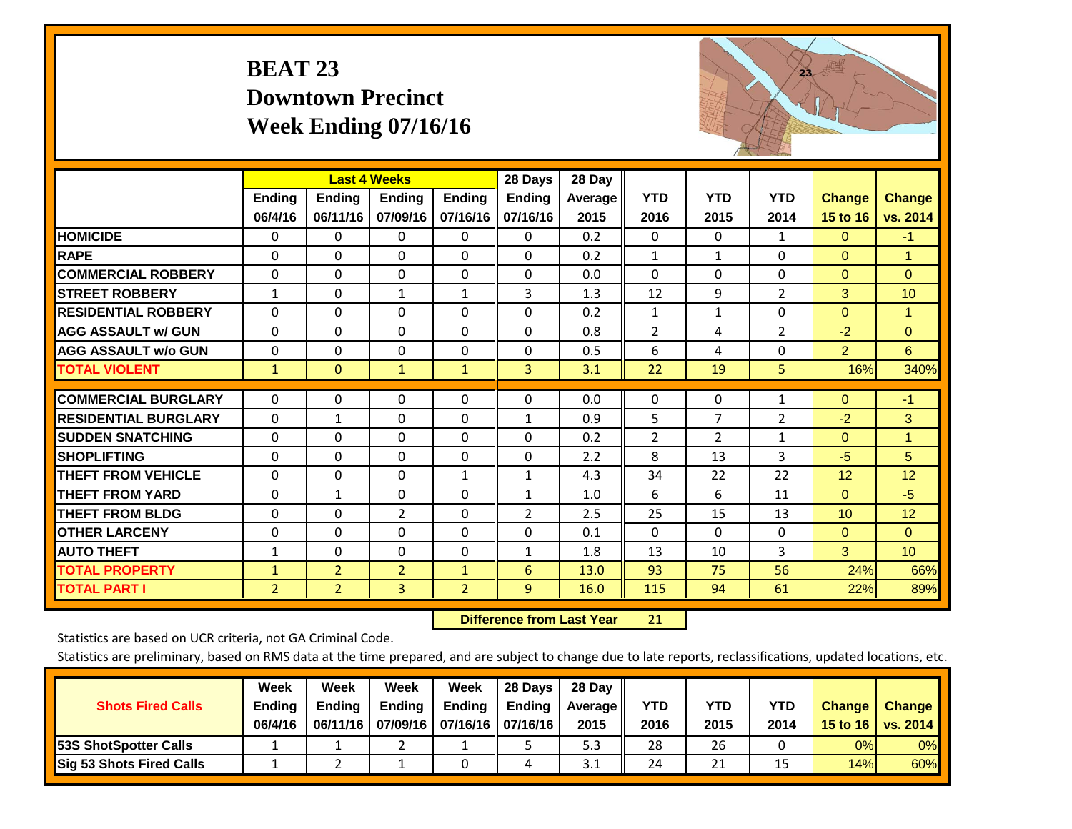# **BEAT 23 Downtown Precinct Week Ending 07/16/16**



|                             |                          | <b>Last 4 Weeks</b>       |                           |                           | 28 Days                   | 28 Day                 |                    |                    |                    |                           |                           |
|-----------------------------|--------------------------|---------------------------|---------------------------|---------------------------|---------------------------|------------------------|--------------------|--------------------|--------------------|---------------------------|---------------------------|
|                             | <b>Ending</b><br>06/4/16 | <b>Ending</b><br>06/11/16 | <b>Ending</b><br>07/09/16 | <b>Ending</b><br>07/16/16 | <b>Ending</b><br>07/16/16 | <b>Average</b><br>2015 | <b>YTD</b><br>2016 | <b>YTD</b><br>2015 | <b>YTD</b><br>2014 | <b>Change</b><br>15 to 16 | <b>Change</b><br>vs. 2014 |
| <b>HOMICIDE</b>             | 0                        | $\Omega$                  | 0                         | $\Omega$                  | $\Omega$                  | 0.2                    | $\Omega$           | $\Omega$           | $\mathbf{1}$       | $\Omega$                  | $-1$                      |
| <b>RAPE</b>                 | $\Omega$                 | 0                         | $\mathbf{0}$              | $\Omega$                  | $\Omega$                  | 0.2                    | $\mathbf{1}$       | $\mathbf{1}$       | $\Omega$           | $\Omega$                  | 1.                        |
| <b>COMMERCIAL ROBBERY</b>   | $\Omega$                 | $\Omega$                  | 0                         | $\Omega$                  | $\Omega$                  | 0.0                    | $\mathbf{0}$       | $\Omega$           | $\Omega$           | $\mathbf{0}$              | $\Omega$                  |
| <b>STREET ROBBERY</b>       | $\mathbf{1}$             | $\Omega$                  | 1                         | $\mathbf{1}$              | 3                         | 1.3                    | 12                 | 9                  | 2                  | 3                         | 10                        |
| <b>RESIDENTIAL ROBBERY</b>  | $\Omega$                 | $\Omega$                  | $\mathbf 0$               | $\Omega$                  | $\Omega$                  | 0.2                    | $\mathbf{1}$       | 1                  | 0                  | $\mathbf{0}$              | $\mathbf{1}$              |
| <b>AGG ASSAULT w/ GUN</b>   | $\Omega$                 | 0                         | $\mathbf{0}$              | $\Omega$                  | $\Omega$                  | 0.8                    | $\overline{2}$     | 4                  | $\overline{2}$     | $-2$                      | $\Omega$                  |
| <b>AGG ASSAULT w/o GUN</b>  | 0                        | 0                         | $\mathbf 0$               | 0                         | 0                         | 0.5                    | 6                  | 4                  | $\Omega$           | $\overline{2}$            | 6                         |
| <b>TOTAL VIOLENT</b>        | $\mathbf{1}$             | $\mathbf{0}$              | $\mathbf{1}$              | $\mathbf{1}$              | 3                         | 3.1                    | 22                 | 19                 | 5                  | 16%                       | 340%                      |
| <b>COMMERCIAL BURGLARY</b>  | $\Omega$                 | $\Omega$                  | 0                         | $\Omega$                  | $\Omega$                  | 0.0                    | $\Omega$           | 0                  | 1                  | $\Omega$                  | $-1$                      |
| <b>RESIDENTIAL BURGLARY</b> | 0                        | 1                         | 0                         | $\Omega$                  | 1                         | 0.9                    | 5                  | 7                  | $\overline{2}$     | $-2$                      | 3                         |
| <b>SUDDEN SNATCHING</b>     | $\Omega$                 | 0                         | $\mathbf{0}$              | $\Omega$                  | 0                         | 0.2                    | $\overline{2}$     | $\overline{2}$     | $\mathbf{1}$       | $\Omega$                  | 1                         |
| <b>SHOPLIFTING</b>          | $\Omega$                 | 0                         | $\mathbf 0$               | $\Omega$                  | $\Omega$                  | 2.2                    | 8                  | 13                 | 3                  | $-5$                      | 5                         |
| <b>THEFT FROM VEHICLE</b>   | $\Omega$                 | $\Omega$                  | $\Omega$                  | $\mathbf{1}$              | $\mathbf{1}$              | 4.3                    | 34                 | 22                 | 22                 | 12                        | 12                        |
| <b>THEFT FROM YARD</b>      | 0                        | 1                         | 0                         | $\Omega$                  | $\mathbf{1}$              | 1.0                    | 6                  | 6                  | 11                 | $\mathbf{0}$              | $-5$                      |
| <b>THEFT FROM BLDG</b>      | $\Omega$                 | $\Omega$                  | 2                         | 0                         | $\overline{2}$            | 2.5                    | 25                 | 15                 | 13                 | 10                        | 12                        |
| <b>OTHER LARCENY</b>        | $\Omega$                 | $\Omega$                  | $\Omega$                  | $\Omega$                  | $\Omega$                  | 0.1                    | $\mathbf{0}$       | $\Omega$           | $\Omega$           | $\mathbf{0}$              | $\Omega$                  |
| <b>AUTO THEFT</b>           | $\mathbf{1}$             | $\mathbf 0$               | $\Omega$                  | $\Omega$                  | $\mathbf{1}$              | 1.8                    | 13                 | 10                 | 3                  | 3                         | 10 <sup>°</sup>           |
| <b>TOTAL PROPERTY</b>       | $\mathbf{1}$             | $\overline{2}$            | $\overline{2}$            | $\mathbf{1}$              | 6                         | 13.0                   | 93                 | 75                 | 56                 | 24%                       | 66%                       |
| <b>TOTAL PART I</b>         | $\overline{2}$           | $\overline{2}$            | 3                         | $\overline{2}$            | $\overline{9}$            | 16.0                   | 115                | 94                 | 61                 | 22%                       | 89%                       |

 **Difference from Last Year**r 21

Statistics are based on UCR criteria, not GA Criminal Code.

|                                 | Week          | Week          | Week   | Week                       | 28 Days       | 28 Day     |      |      |      |                  |                 |
|---------------------------------|---------------|---------------|--------|----------------------------|---------------|------------|------|------|------|------------------|-----------------|
| <b>Shots Fired Calls</b>        | <b>Ending</b> | <b>Ending</b> | Ending | Ending                     | <b>Ending</b> | Average II | YTD  | YTD  | YTD  | <b>Change</b>    | <b>Change</b>   |
|                                 | 06/4/16       | 06/11/16      |        | 07/09/16 07/16/16 07/16/16 |               | 2015       | 2016 | 2015 | 2014 | 15 to 16 $\vert$ | <b>vs. 2014</b> |
| <b>153S ShotSpotter Calls</b>   |               |               |        |                            |               | 5.3        | 28   | 26   |      | 0%               | 0%              |
| <b>Sig 53 Shots Fired Calls</b> |               |               |        |                            | 4             | 3.1        | 24   | 21   |      | 14%              | 60%             |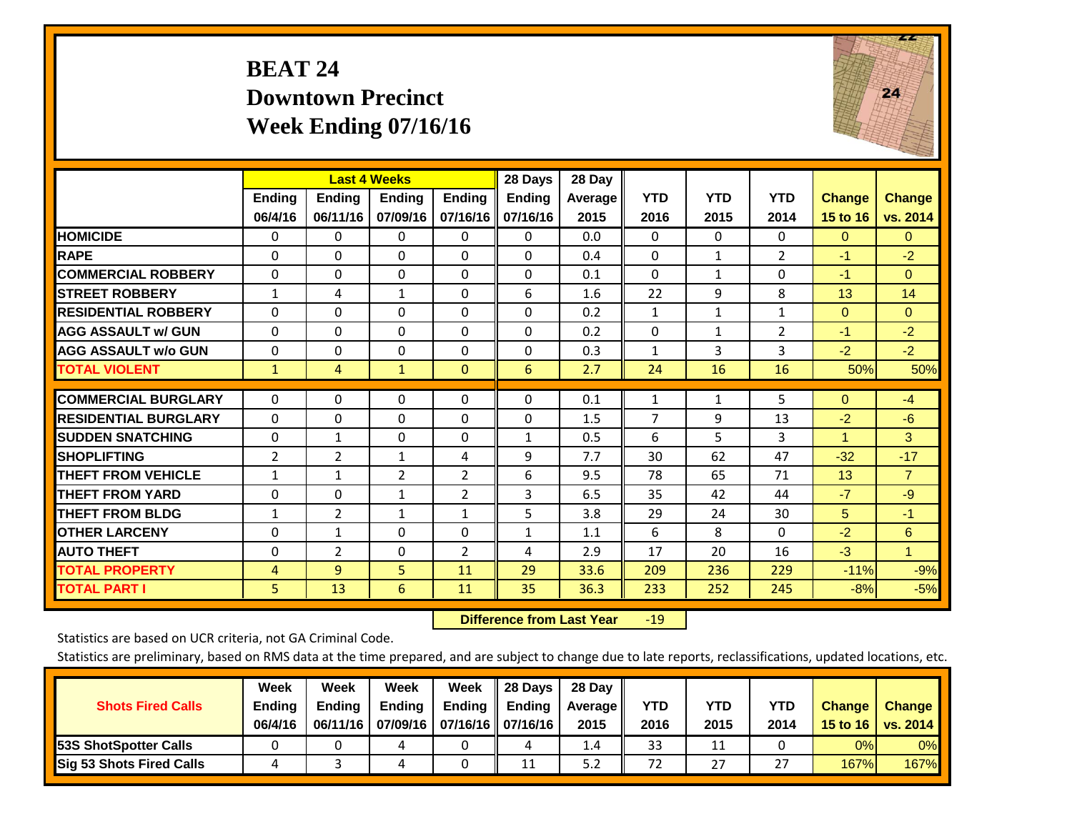# **BEAT 24 Downtown Precinct Week Ending 07/16/16**



|                             |               |                | <b>Last 4 Weeks</b> |                | 28 Days       | 28 Day         |              |              |                |               |                |
|-----------------------------|---------------|----------------|---------------------|----------------|---------------|----------------|--------------|--------------|----------------|---------------|----------------|
|                             | <b>Ending</b> | Ending         | <b>Ending</b>       | <b>Endina</b>  | <b>Endina</b> | <b>Average</b> | <b>YTD</b>   | <b>YTD</b>   | <b>YTD</b>     | <b>Change</b> | <b>Change</b>  |
|                             | 06/4/16       | 06/11/16       | 07/09/16            | 07/16/16       | 07/16/16      | 2015           | 2016         | 2015         | 2014           | 15 to 16      | vs. 2014       |
| <b>HOMICIDE</b>             | 0             | 0              | $\Omega$            | $\Omega$       | 0             | 0.0            | $\Omega$     | $\Omega$     | 0              | $\Omega$      | $\mathbf{0}$   |
| <b>RAPE</b>                 | $\Omega$      | $\Omega$       | $\Omega$            | $\Omega$       | $\Omega$      | 0.4            | $\Omega$     | $\mathbf{1}$ | $\overline{2}$ | $-1$          | $-2$           |
| <b>COMMERCIAL ROBBERY</b>   | $\Omega$      | $\Omega$       | $\Omega$            | $\Omega$       | $\Omega$      | 0.1            | $\Omega$     | $\mathbf{1}$ | $\Omega$       | $-1$          | $\Omega$       |
| <b>ISTREET ROBBERY</b>      | 1             | 4              | 1                   | 0              | 6             | 1.6            | 22           | 9            | 8              | 13            | 14             |
| <b>RESIDENTIAL ROBBERY</b>  | $\Omega$      | 0              | $\mathbf{0}$        | $\Omega$       | $\Omega$      | 0.2            | 1            | $\mathbf{1}$ | $\mathbf{1}$   | $\Omega$      | $\Omega$       |
| <b>AGG ASSAULT w/ GUN</b>   | $\Omega$      | 0              | $\mathbf{0}$        | $\Omega$       | 0             | 0.2            | $\Omega$     | $\mathbf{1}$ | $\overline{2}$ | -1            | $-2$           |
| <b>AGG ASSAULT w/o GUN</b>  | $\Omega$      | $\Omega$       | $\Omega$            | $\Omega$       | $\Omega$      | 0.3            | $\mathbf{1}$ | 3            | 3              | $-2$          | $-2$           |
| <b>TOTAL VIOLENT</b>        | $\mathbf{1}$  | 4              | $\mathbf{1}$        | $\mathbf{0}$   | 6             | 2.7            | 24           | 16           | 16             | 50%           | 50%            |
| <b>COMMERCIAL BURGLARY</b>  | $\Omega$      | 0              | $\mathbf{0}$        | 0              | $\Omega$      | 0.1            | 1            | 1            | 5              | $\Omega$      | $-4$           |
| <b>RESIDENTIAL BURGLARY</b> | $\Omega$      | $\Omega$       |                     |                |               |                | 7            | 9            |                | $-2$          | $-6$           |
|                             |               |                | $\mathbf{0}$        | 0              | 0             | 1.5            |              |              | 13             |               |                |
| <b>ISUDDEN SNATCHING</b>    | $\Omega$      | 1              | $\mathbf{0}$        | 0              | $\mathbf{1}$  | 0.5            | 6            | 5.           | 3              | 1             | 3              |
| <b>SHOPLIFTING</b>          | 2             | $\overline{2}$ | $\mathbf{1}$        | 4              | 9             | 7.7            | 30           | 62           | 47             | $-32$         | $-17$          |
| <b>THEFT FROM VEHICLE</b>   | $\mathbf{1}$  | $\mathbf{1}$   | 2                   | $\overline{2}$ | 6             | 9.5            | 78           | 65           | 71             | 13            | $\overline{7}$ |
| <b>THEFT FROM YARD</b>      | $\Omega$      | 0              | $\mathbf{1}$        | 2              | 3             | 6.5            | 35           | 42           | 44             | $-7$          | $-9$           |
| <b>THEFT FROM BLDG</b>      | 1             | 2              | $\mathbf{1}$        | 1              | 5             | 3.8            | 29           | 24           | 30             | 5             | $-1$           |
| <b>IOTHER LARCENY</b>       | $\Omega$      | 1              | $\mathbf{0}$        | 0              | $\mathbf{1}$  | 1.1            | 6            | 8            | 0              | $-2$          | 6              |
| <b>AUTO THEFT</b>           | $\Omega$      | $\overline{2}$ | $\Omega$            | 2              | 4             | 2.9            | 17           | 20           | 16             | $-3$          | $\mathbf{1}$   |
| <b>TOTAL PROPERTY</b>       | 4             | 9              | 5                   | 11             | 29            | 33.6           | 209          | 236          | 229            | $-11%$        | $-9%$          |
| <b>TOTAL PART I</b>         | 5             | 13             | 6                   | 11             | 35            | 36.3           | 233          | 252          | 245            | $-8%$         | $-5%$          |

 **Difference from Last Year**r -19

Statistics are based on UCR criteria, not GA Criminal Code.

| <b>Shots Fired Calls</b>        | Week<br><b>Ending</b><br>06/4/16 | Week<br><b>Endina</b><br>06/11/16 | Week<br>Ending | Week<br>Ending<br>07/09/16   07/16/16   07/16/16 | 28 Days<br><b>Ending</b> | 28 Day<br>Average II<br>2015 | YTD<br>2016 | YTD<br>2015 | YTD<br>2014  | <b>Change</b><br>15 to 16 | <b>Change</b><br>vs. 2014 |
|---------------------------------|----------------------------------|-----------------------------------|----------------|--------------------------------------------------|--------------------------|------------------------------|-------------|-------------|--------------|---------------------------|---------------------------|
| <b>153S ShotSpotter Calls</b>   |                                  |                                   |                |                                                  | 4                        | 1.4                          | 33          | 11          |              | 0%                        | 0%                        |
| <b>Sig 53 Shots Fired Calls</b> |                                  |                                   |                |                                                  | 11                       | 5.2                          | 72          | 27          | $\mathbf{z}$ | 167%                      | <b>167%</b>               |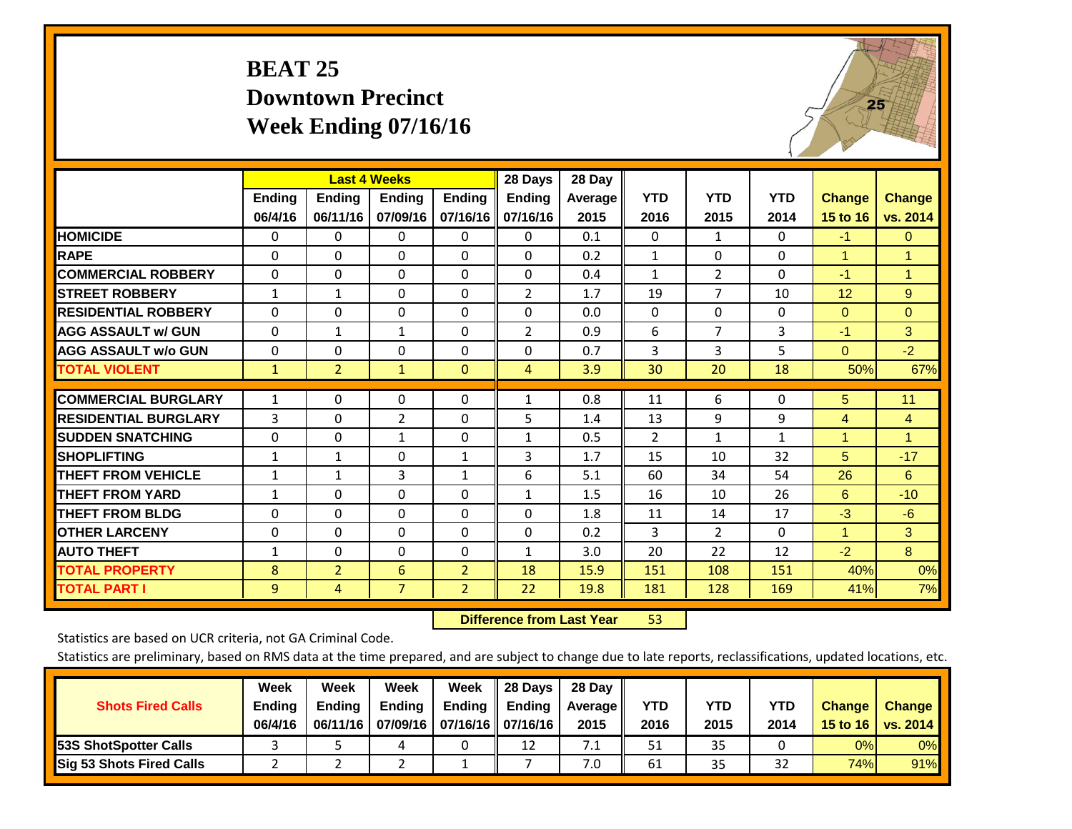# **BEAT 25 Downtown Precinct Week Ending 07/16/16**



|                             |               | <b>Last 4 Weeks</b> |                |                | 28 Days        | 28 Day  |                |                |              |                      |                |
|-----------------------------|---------------|---------------------|----------------|----------------|----------------|---------|----------------|----------------|--------------|----------------------|----------------|
|                             | <b>Ending</b> | <b>Ending</b>       | <b>Ending</b>  | <b>Endina</b>  | Ending         | Average | <b>YTD</b>     | <b>YTD</b>     | <b>YTD</b>   | <b>Change</b>        | <b>Change</b>  |
|                             | 06/4/16       | 06/11/16            | 07/09/16       | 07/16/16       | 07/16/16       | 2015    | 2016           | 2015           | 2014         | 15 to 16             | vs. 2014       |
| <b>HOMICIDE</b>             | 0             | $\Omega$            | 0              | $\Omega$       | $\Omega$       | 0.1     | $\mathbf{0}$   | $\mathbf{1}$   | 0            | $-1$                 | $\mathbf{0}$   |
| <b>RAPE</b>                 | 0             | $\Omega$            | $\Omega$       | $\Omega$       | 0              | 0.2     | 1              | 0              | 0            | 1                    | $\mathbf{1}$   |
| <b>COMMERCIAL ROBBERY</b>   | $\Omega$      | $\Omega$            | $\mathbf{0}$   | $\Omega$       | $\Omega$       | 0.4     | $\mathbf{1}$   | $\overline{2}$ | 0            | $-1$                 | $\mathbf{1}$   |
| <b>STREET ROBBERY</b>       | 1             | $\mathbf{1}$        | $\Omega$       | $\Omega$       | 2              | 1.7     | 19             | $\overline{7}$ | 10           | 12                   | 9              |
| <b>RESIDENTIAL ROBBERY</b>  | $\Omega$      | $\Omega$            | $\Omega$       | $\Omega$       | $\Omega$       | 0.0     | $\mathbf{0}$   | 0              | 0            | $\mathbf{0}$         | $\mathbf{0}$   |
| <b>AGG ASSAULT w/ GUN</b>   | $\Omega$      | $\mathbf{1}$        | $\mathbf{1}$   | $\Omega$       | $\overline{2}$ | 0.9     | 6              | $\overline{7}$ | 3            | $-1$                 | 3              |
| <b>AGG ASSAULT w/o GUN</b>  | 0             | $\Omega$            | $\mathbf{0}$   | 0              | $\Omega$       | 0.7     | 3              | 3              | 5            | $\Omega$             | $-2$           |
| <b>TOTAL VIOLENT</b>        | $\mathbf{1}$  | $\overline{2}$      | $\mathbf{1}$   | $\mathbf{0}$   | $\overline{4}$ | 3.9     | 30             | 20             | 18           | 50%                  | 67%            |
| <b>COMMERCIAL BURGLARY</b>  |               | $\Omega$            |                |                |                | 0.8     |                | 6              |              |                      | 11             |
|                             | 1             |                     | $\Omega$       | $\Omega$       | $\mathbf{1}$   |         | 11             |                | 0            | 5                    |                |
| <b>RESIDENTIAL BURGLARY</b> | 3             | $\Omega$            | 2              | 0              | 5              | 1.4     | 13             | 9              | 9            | 4                    | $\overline{4}$ |
| <b>SUDDEN SNATCHING</b>     | 0             | 0                   | 1              | $\Omega$       | $\mathbf{1}$   | 0.5     | $\overline{2}$ | 1              | $\mathbf{1}$ | 1                    | 1              |
| <b>SHOPLIFTING</b>          | $\mathbf{1}$  | $\mathbf{1}$        | $\Omega$       | $\mathbf{1}$   | 3              | 1.7     | 15             | 10             | 32           | 5                    | $-17$          |
| <b>THEFT FROM VEHICLE</b>   | 1             | 1                   | 3              | $\mathbf{1}$   | 6              | 5.1     | 60             | 34             | 54           | 26                   | 6              |
| <b>THEFT FROM YARD</b>      | $\mathbf{1}$  | $\Omega$            | $\Omega$       | $\Omega$       | $\mathbf{1}$   | 1.5     | 16             | 10             | 26           | 6                    | $-10$          |
| <b>THEFT FROM BLDG</b>      | 0             | 0                   | $\Omega$       | 0              | 0              | 1.8     | 11             | 14             | 17           | $-3$                 | $-6$           |
| <b>OTHER LARCENY</b>        | $\Omega$      | $\Omega$            | $\mathbf{0}$   | $\Omega$       | $\Omega$       | 0.2     | 3              | $\overline{2}$ | 0            | $\blacktriangleleft$ | 3              |
| <b>AUTO THEFT</b>           | 1             | $\Omega$            | $\Omega$       | $\Omega$       | $\mathbf{1}$   | 3.0     | 20             | 22             | 12           | $-2$                 | 8              |
| <b>TOTAL PROPERTY</b>       | 8             | $\overline{2}$      | 6              | $\overline{2}$ | 18             | 15.9    | 151            | 108            | 151          | 40%                  | 0%             |
| <b>TOTAL PART I</b>         | 9             | 4                   | $\overline{7}$ | $\overline{2}$ | 22             | 19.8    | 181            | 128            | 169          | 41%                  | 7%             |

 **Difference from Last Year**r 53

Statistics are based on UCR criteria, not GA Criminal Code.

| <b>Shots Fired Calls</b>        | Week<br><b>Ending</b><br>06/4/16 | Week<br><b>Endina</b><br>06/11/16 | Week<br>Ending | Week<br>Ending<br>07/09/16   07/16/16   07/16/16 | 28 Days<br><b>Ending</b> | 28 Day<br>Average II<br>2015 | YTD<br>2016 | YTD<br>2015 | <b>YTD</b><br>2014 | <b>Change</b><br>15 to 16 | <b>Change</b><br>vs. 2014 |
|---------------------------------|----------------------------------|-----------------------------------|----------------|--------------------------------------------------|--------------------------|------------------------------|-------------|-------------|--------------------|---------------------------|---------------------------|
| <b>153S ShotSpotter Calls</b>   |                                  |                                   |                |                                                  | 12                       | 7.1                          | 51          | 35          |                    | 0%                        | 0%                        |
| <b>Sig 53 Shots Fired Calls</b> |                                  |                                   |                |                                                  |                          | 7.0                          | 61          | 35          | 32                 | 74%                       | 91%                       |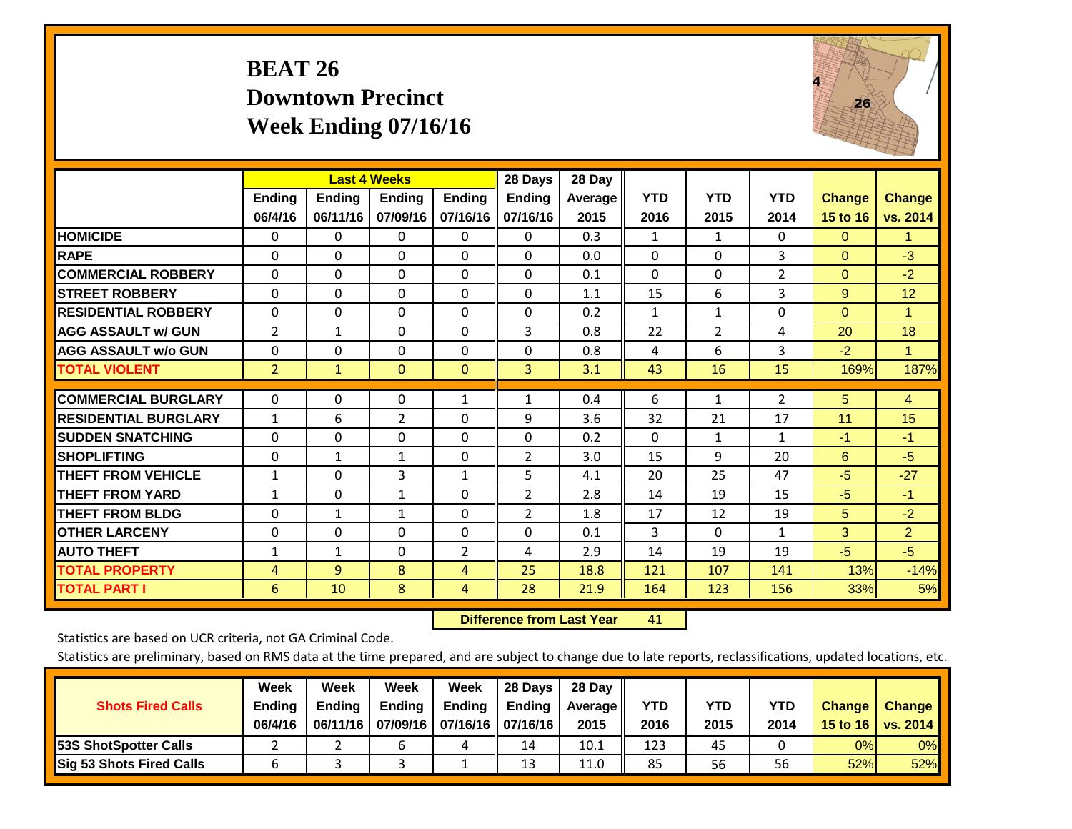# **BEAT 26 Downtown Precinct Week Ending 07/16/16**



|                             |                | <b>Last 4 Weeks</b> |                |                | 28 Days        | 28 Day  |              |                |                |               |                |
|-----------------------------|----------------|---------------------|----------------|----------------|----------------|---------|--------------|----------------|----------------|---------------|----------------|
|                             | <b>Ending</b>  | <b>Ending</b>       | Ending         | <b>Ending</b>  | <b>Ending</b>  | Average | <b>YTD</b>   | <b>YTD</b>     | <b>YTD</b>     | <b>Change</b> | <b>Change</b>  |
|                             | 06/4/16        | 06/11/16            | 07/09/16       | 07/16/16       | 07/16/16       | 2015    | 2016         | 2015           | 2014           | 15 to 16      | vs. 2014       |
| <b>HOMICIDE</b>             | 0              | 0                   | $\Omega$       | 0              | $\mathbf{0}$   | 0.3     | 1            | $\mathbf{1}$   | 0              | $\mathbf{0}$  | 1.             |
| <b>RAPE</b>                 | 0              | $\Omega$            | $\Omega$       | $\Omega$       | $\Omega$       | 0.0     | $\Omega$     | $\Omega$       | 3              | $\Omega$      | $-3$           |
| <b>COMMERCIAL ROBBERY</b>   | $\Omega$       | $\Omega$            | $\Omega$       | $\Omega$       | $\Omega$       | 0.1     | $\Omega$     | $\mathbf{0}$   | $\overline{2}$ | $\mathbf{0}$  | $-2$           |
| <b>ISTREET ROBBERY</b>      | $\Omega$       | $\Omega$            | $\Omega$       | 0              | $\Omega$       | 1.1     | 15           | 6              | 3              | 9             | 12             |
| <b>RESIDENTIAL ROBBERY</b>  | $\Omega$       | 0                   | $\mathbf{0}$   | 0              | $\Omega$       | 0.2     | $\mathbf{1}$ | 1              | 0              | $\mathbf{0}$  | 1              |
| <b>AGG ASSAULT w/ GUN</b>   | 2              | 1                   | $\mathbf{0}$   | $\mathbf{0}$   | 3              | 0.8     | 22           | $\overline{2}$ | 4              | 20            | 18             |
| <b>AGG ASSAULT w/o GUN</b>  | 0              | $\Omega$            | $\Omega$       | $\Omega$       | $\Omega$       | 0.8     | 4            | 6              | 3              | $-2$          | T.             |
| <b>TOTAL VIOLENT</b>        | $\overline{2}$ | $\mathbf{1}$        | $\mathbf{0}$   | $\mathbf{0}$   | 3              | 3.1     | 43           | 16             | 15             | 169%          | 187%           |
| <b>COMMERCIAL BURGLARY</b>  |                |                     |                |                |                |         |              |                |                |               |                |
|                             | $\Omega$       | 0                   | 0              | 1              | 1              | 0.4     | 6            | 1              | 2              | 5             | $\overline{4}$ |
| <b>RESIDENTIAL BURGLARY</b> | $\mathbf{1}$   | 6                   | $\overline{2}$ | $\Omega$       | 9              | 3.6     | 32           | 21             | 17             | 11            | 15             |
| <b>SUDDEN SNATCHING</b>     | $\Omega$       | $\Omega$            | $\Omega$       | $\mathbf{0}$   | $\Omega$       | 0.2     | $\Omega$     | 1              | $\mathbf{1}$   | $-1$          | -1             |
| <b>SHOPLIFTING</b>          | $\Omega$       | 1                   | 1              | $\Omega$       | 2              | 3.0     | 15           | 9              | 20             | 6             | $-5$           |
| <b>THEFT FROM VEHICLE</b>   | $\mathbf{1}$   | 0                   | 3              | $\mathbf{1}$   | 5              | 4.1     | 20           | 25             | 47             | $-5$          | $-27$          |
| <b>THEFT FROM YARD</b>      | $\mathbf{1}$   | $\Omega$            | 1              | $\mathbf 0$    | 2              | 2.8     | 14           | 19             | 15             | $-5$          | $-1$           |
| <b>THEFT FROM BLDG</b>      | 0              | 1                   | $\mathbf{1}$   | $\mathbf{0}$   | $\overline{2}$ | 1.8     | 17           | 12             | 19             | 5             | $-2$           |
| <b>IOTHER LARCENY</b>       | 0              | 0                   | $\Omega$       | $\mathbf{0}$   | $\Omega$       | 0.1     | 3            | $\Omega$       | $\mathbf{1}$   | 3             | $\overline{2}$ |
| <b>AUTO THEFT</b>           | $\mathbf{1}$   | $\mathbf{1}$        | $\Omega$       | $\overline{2}$ | 4              | 2.9     | 14           | 19             | 19             | $-5$          | $-5$           |
| <b>TOTAL PROPERTY</b>       | 4              | $\overline{9}$      | 8              | 4              | 25             | 18.8    | 121          | 107            | 141            | 13%           | $-14%$         |
| <b>TOTAL PART I</b>         | 6              | 10                  | 8              | 4              | 28             | 21.9    | 164          | 123            | 156            | 33%           | 5%             |

 **Difference from Last Year**r 41

Statistics are based on UCR criteria, not GA Criminal Code.

|                                 | Week          | Week          | Week   | Week                       | 28 Days       | 28 Day            |      |      |            |               |               |
|---------------------------------|---------------|---------------|--------|----------------------------|---------------|-------------------|------|------|------------|---------------|---------------|
| <b>Shots Fired Calls</b>        | <b>Ending</b> | <b>Endina</b> | Ending | Ending                     | <b>Ending</b> | <b>Average</b> II | YTD  | YTD  | <b>YTD</b> | <b>Change</b> | <b>Change</b> |
|                                 | 06/4/16       | 06/11/16      |        | 07/09/16 07/16/16 07/16/16 |               | 2015              | 2016 | 2015 | 2014       | 15 to 16      | vs. 2014      |
| <b>153S ShotSpotter Calls</b>   |               |               |        | ட                          | 14            | 10.1              | 123  | 45   |            | 0%            | 0%            |
| <b>Sig 53 Shots Fired Calls</b> | O             |               |        |                            | 13            | 11.0              | 85   | 56   | 56         | 52%           | 52%           |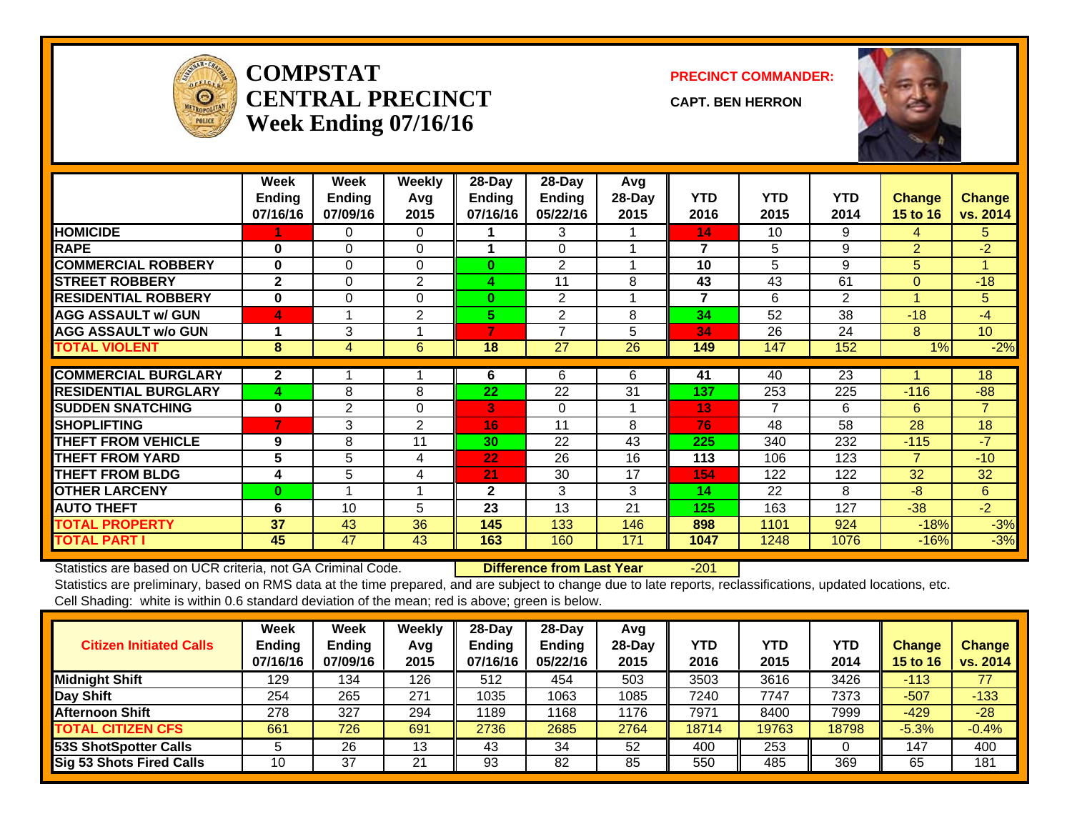

#### **COMPSTATCENTRAL PRECINCTWeek Ending 07/16/16**

**PRECINCT COMMANDER:**

**CAPT. BEN HERRON**



|                             | Week<br><b>Ending</b><br>07/16/16 | Week<br><b>Ending</b><br>07/09/16 | Weekly<br>Avq<br>2015 | $28$ -Day<br><b>Ending</b><br>07/16/16 | $28$ -Day<br><b>Ending</b><br>05/22/16 | Avg<br>28-Day<br>2015 | <b>YTD</b><br>2016 | <b>YTD</b><br>2015 | <b>YTD</b><br>2014 | <b>Change</b><br>15 to 16 | <b>Change</b><br>vs. 2014 |
|-----------------------------|-----------------------------------|-----------------------------------|-----------------------|----------------------------------------|----------------------------------------|-----------------------|--------------------|--------------------|--------------------|---------------------------|---------------------------|
| <b>HOMICIDE</b>             |                                   | 0                                 | 0                     |                                        | 3                                      |                       | 14                 | 10                 | 9                  | 4                         | 5.                        |
| <b>RAPE</b>                 | $\bf{0}$                          | $\Omega$                          | $\Omega$              |                                        | $\Omega$                               |                       | 7                  | 5                  | 9                  | $\overline{2}$            | $-2$                      |
| <b>COMMERCIAL ROBBERY</b>   | $\bf{0}$                          | 0                                 | $\Omega$              | $\bf{0}$                               | $\overline{2}$                         | 4                     | 10                 | 5                  | 9                  | 5                         | 4                         |
| <b>STREET ROBBERY</b>       | $\mathbf{2}$                      | $\Omega$                          | 2                     | 4                                      | 11                                     | 8                     | 43                 | 43                 | 61                 | $\Omega$                  | $-18$                     |
| <b>RESIDENTIAL ROBBERY</b>  | $\bf{0}$                          | 0                                 | 0                     | $\bf{0}$                               | $\overline{2}$                         |                       | $\overline{7}$     | 6                  | $\overline{2}$     |                           | 5                         |
| <b>AGG ASSAULT w/ GUN</b>   | 4                                 |                                   | 2                     | 5.                                     | $\overline{2}$                         | 8                     | 34                 | 52                 | 38                 | $-18$                     | $-4$                      |
| <b>AGG ASSAULT w/o GUN</b>  |                                   | 3                                 |                       | 7                                      | 7                                      | 5                     | 34                 | 26                 | 24                 | 8                         | 10 <sup>°</sup>           |
| <b>TOTAL VIOLENT</b>        | 8                                 | 4                                 | 6                     | 18                                     | 27                                     | 26                    | 149                | 147                | 152                | 1%                        | $-2%$                     |
|                             |                                   |                                   |                       |                                        |                                        |                       |                    |                    |                    |                           |                           |
| <b>COMMERCIAL BURGLARY</b>  | $\mathbf{2}$                      |                                   |                       | 6                                      | 6                                      | 6                     | 41                 | 40                 | 23                 |                           | 18                        |
| <b>RESIDENTIAL BURGLARY</b> | 4                                 | 8                                 | 8                     | 22                                     | 22                                     | 31                    | 137                | 253                | 225                | $-116$                    | $-88$                     |
| <b>SUDDEN SNATCHING</b>     | $\bf{0}$                          | $\overline{2}$                    | $\Omega$              | 3                                      | 0                                      |                       | 13                 | 7                  | 6                  | 6                         | $\overline{7}$            |
| <b>SHOPLIFTING</b>          |                                   | 3                                 | 2                     | 16                                     | 11                                     | 8                     | 76                 | 48                 | 58                 | 28                        | 18                        |
| <b>THEFT FROM VEHICLE</b>   | 9                                 | 8                                 | 11                    | 30                                     | 22                                     | 43                    | 225                | 340                | 232                | $-115$                    | $-7$                      |
| <b>THEFT FROM YARD</b>      | 5                                 | 5                                 | 4                     | 22                                     | 26                                     | 16                    | 113                | 106                | 123                | $\overline{7}$            | $-10$                     |
| <b>THEFT FROM BLDG</b>      | 4                                 | 5                                 | 4                     | 21                                     | 30                                     | 17                    | 154                | 122                | 122                | 32                        | 32                        |
| <b>OTHER LARCENY</b>        | $\bf{0}$                          |                                   |                       | $\mathbf{2}$                           | 3                                      | 3                     | 14                 | 22                 | 8                  | $-8$                      | 6                         |
| <b>AUTO THEFT</b>           | 6                                 | 10                                | 5                     | 23                                     | 13                                     | 21                    | 125                | 163                | 127                | $-38$                     | $-2$                      |
| <b>TOTAL PROPERTY</b>       | 37                                | 43                                | 36                    | 145                                    | 133                                    | 146                   | 898                | 1101               | 924                | $-18%$                    | $-3%$                     |
| <b>TOTAL PART I</b>         | 45                                | 47                                | 43                    | 163                                    | 160                                    | 171                   | 1047               | 1248               | 1076               | $-16%$                    | $-3%$                     |

Statistics are based on UCR criteria, not GA Criminal Code. **Difference from Last Year** -201

| <b>Citizen Initiated Calls</b>  | Week<br><b>Ending</b><br>07/16/16 | <b>Week</b><br><b>Ending</b><br>07/09/16 | Weekly<br>Avg<br>2015 | $28-Dav$<br><b>Ending</b><br>07/16/16 | 28-Dav<br><b>Endina</b><br>05/22/16 | Avg<br>28-Dav<br>2015 | YTD<br>2016 | <b>YTD</b><br>2015 | <b>YTD</b><br>2014 | Change<br><b>15 to 16</b> | <b>Change</b><br>vs. 2014 |
|---------------------------------|-----------------------------------|------------------------------------------|-----------------------|---------------------------------------|-------------------------------------|-----------------------|-------------|--------------------|--------------------|---------------------------|---------------------------|
| <b>Midnight Shift</b>           | 129                               | 134                                      | 126                   | 512                                   | 454                                 | 503                   | 3503        | 3616               | 3426               | $-113$                    | 77                        |
| Day Shift                       | 254                               | 265                                      | 271                   | 1035                                  | 1063                                | 1085                  | 7240        | 7747               | 7373               | $-507$                    | $-133$                    |
| <b>Afternoon Shift</b>          | 278                               | 327                                      | 294                   | 1189                                  | '168                                | 1176                  | 7971        | 8400               | 7999               | $-429$                    | $-28$                     |
| <b>TOTAL CITIZEN CFS</b>        | 661                               | 726                                      | 691                   | 2736                                  | 2685                                | 2764                  | 18714       | 19763              | 18798              | $-5.3%$                   | $-0.4%$                   |
| 53S ShotSpotter Calls           | 5                                 | 26                                       | 13                    | 43                                    | 34                                  | 52                    | 400         | 253                |                    | 147                       | 400                       |
| <b>Sig 53 Shots Fired Calls</b> | 10                                | 37                                       | 21                    | 93                                    | 82                                  | 85                    | 550         | 485                | 369                | 65                        | 181                       |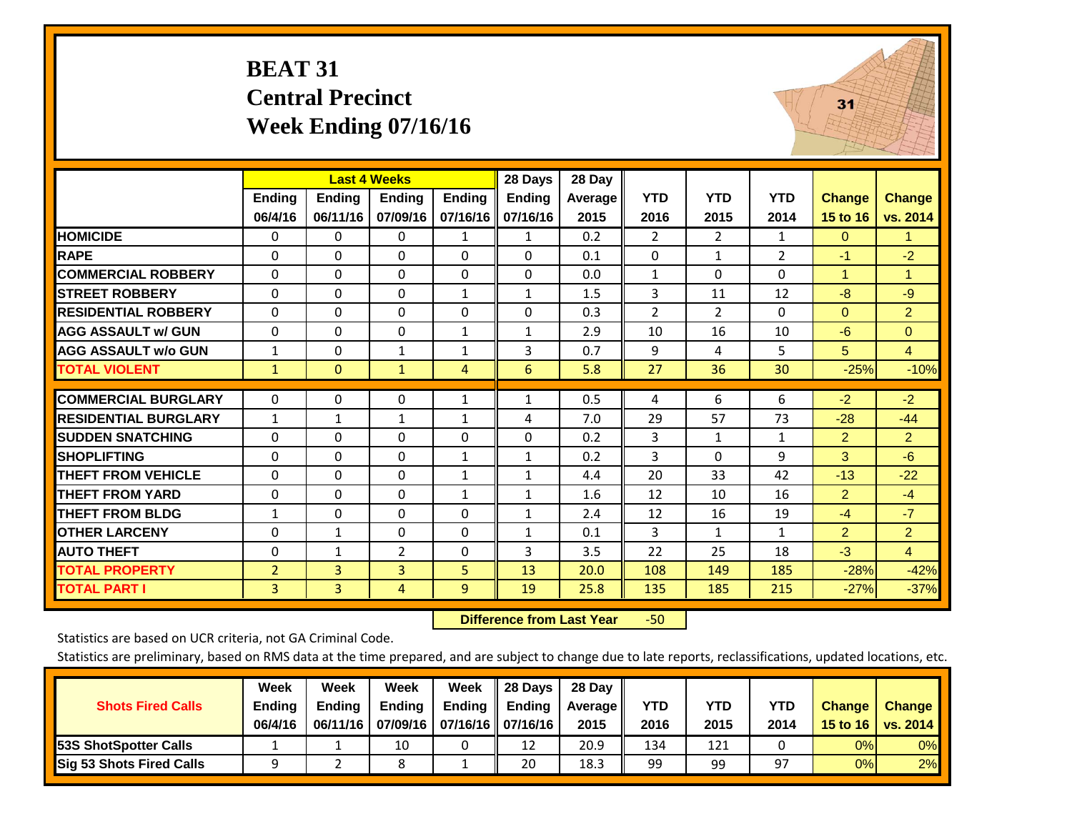#### **BEAT 31 Central Precinct Week Ending 07/16/16**



|                             |                |                | <b>Last 4 Weeks</b> |               | 28 Days       | 28 Day  |                |                |                |                |                      |
|-----------------------------|----------------|----------------|---------------------|---------------|---------------|---------|----------------|----------------|----------------|----------------|----------------------|
|                             | <b>Ending</b>  | <b>Ending</b>  | <b>Ending</b>       | <b>Endina</b> | <b>Ending</b> | Average | <b>YTD</b>     | <b>YTD</b>     | <b>YTD</b>     | Change         | <b>Change</b>        |
|                             | 06/4/16        | 06/11/16       | 07/09/16            | 07/16/16      | 07/16/16      | 2015    | 2016           | 2015           | 2014           | 15 to 16       | vs. 2014             |
| <b>HOMICIDE</b>             | 0              | 0              | 0                   | 1             | 1             | 0.2     | $\overline{2}$ | $\overline{2}$ | 1              | $\mathbf{0}$   | $\mathbf{1}$         |
| <b>RAPE</b>                 | 0              | 0              | $\Omega$            | $\Omega$      | $\Omega$      | 0.1     | 0              | 1              | $\overline{2}$ | $-1$           | $-2$                 |
| <b>COMMERCIAL ROBBERY</b>   | $\mathbf{0}$   | $\Omega$       | 0                   | $\mathbf{0}$  | $\Omega$      | 0.0     | $\mathbf{1}$   | $\Omega$       | 0              | $\mathbf{1}$   | $\blacktriangleleft$ |
| <b>STREET ROBBERY</b>       | $\Omega$       | $\Omega$       | $\Omega$            | $\mathbf{1}$  | 1             | 1.5     | 3              | 11             | 12             | $-8$           | $-9$                 |
| <b>RESIDENTIAL ROBBERY</b>  | $\mathbf{0}$   | $\Omega$       | 0                   | $\mathbf{0}$  | $\Omega$      | 0.3     | $\overline{2}$ | $\overline{2}$ | 0              | $\Omega$       | $\overline{2}$       |
| <b>AGG ASSAULT w/ GUN</b>   | $\Omega$       | 0              | $\Omega$            | $\mathbf{1}$  | 1             | 2.9     | 10             | 16             | 10             | $-6$           | $\Omega$             |
| <b>AGG ASSAULT w/o GUN</b>  | $\mathbf{1}$   | $\Omega$       | $\mathbf{1}$        | $\mathbf{1}$  | 3             | 0.7     | 9              | 4              | 5              | 5              | $\overline{4}$       |
| <b>TOTAL VIOLENT</b>        | $\mathbf{1}$   | $\overline{0}$ | $\mathbf{1}$        | 4             | 6             | 5.8     | 27             | 36             | 30             | $-25%$         | $-10%$               |
|                             |                |                |                     |               |               |         |                |                |                |                |                      |
| <b>COMMERCIAL BURGLARY</b>  | $\mathbf{0}$   | $\Omega$       | 0                   | $\mathbf{1}$  | $\mathbf{1}$  | 0.5     | 4              | 6              | 6              | $-2$           | $-2$                 |
| <b>RESIDENTIAL BURGLARY</b> | 1              | 1              | 1                   | 1             | 4             | 7.0     | 29             | 57             | 73             | $-28$          | $-44$                |
| <b>SUDDEN SNATCHING</b>     | $\Omega$       | 0              | 0                   | $\mathbf{0}$  | $\Omega$      | 0.2     | 3              | $\mathbf{1}$   | $\mathbf{1}$   | $\overline{2}$ | $\overline{2}$       |
| <b>SHOPLIFTING</b>          | $\Omega$       | $\Omega$       | $\Omega$            | 1             | $\mathbf{1}$  | 0.2     | 3              | $\Omega$       | 9              | 3              | $-6$                 |
| <b>THEFT FROM VEHICLE</b>   | 0              | $\Omega$       | 0                   | 1             | $\mathbf{1}$  | 4.4     | 20             | 33             | 42             | $-13$          | $-22$                |
| <b>THEFT FROM YARD</b>      | $\mathbf{0}$   | $\Omega$       | 0                   | $\mathbf{1}$  | $\mathbf{1}$  | 1.6     | 12             | 10             | 16             | $\overline{2}$ | $-4$                 |
| <b>THEFT FROM BLDG</b>      | 1              | 0              | 0                   | $\mathbf{0}$  | 1             | 2.4     | 12             | 16             | 19             | $-4$           | $-7$                 |
| <b>OTHER LARCENY</b>        | 0              | $\mathbf{1}$   | 0                   | $\mathbf{0}$  | $\mathbf{1}$  | 0.1     | 3              | $\mathbf{1}$   | $\mathbf{1}$   | $\overline{2}$ | $\overline{2}$       |
| <b>AUTO THEFT</b>           | 0              | $\mathbf{1}$   | $\overline{2}$      | 0             | 3             | 3.5     | 22             | 25             | 18             | $-3$           | $\overline{4}$       |
| <b>TOTAL PROPERTY</b>       | $\overline{2}$ | $\overline{3}$ | 3                   | 5             | 13            | 20.0    | 108            | 149            | 185            | $-28%$         | $-42%$               |
| <b>TOTAL PART I</b>         | $\overline{3}$ | $\overline{3}$ | 4                   | 9             | 19            | 25.8    | 135            | 185            | 215            | $-27%$         | $-37%$               |

 **Difference from Last Year**r -50

Statistics are based on UCR criteria, not GA Criminal Code.

|                                 | Week          | Week          | <b>Week</b>   | Week                           | 28 Days | 28 Dav     |            |      |            |               |                                    |
|---------------------------------|---------------|---------------|---------------|--------------------------------|---------|------------|------------|------|------------|---------------|------------------------------------|
| <b>Shots Fired Calls</b>        | <b>Ending</b> | <b>Endina</b> | <b>Ending</b> | <b>Ending</b>                  | Endina  | Average II | <b>YTD</b> | YTD  | <b>YTD</b> | <b>Change</b> | <b>Change</b>                      |
|                                 | 06/4/16       | 06/11/16      |               | 07/09/16   07/16/16   07/16/16 |         | 2015       | 2016       | 2015 | 2014       |               | 15 to 16   vs. 2014 $\blacksquare$ |
| <b>153S ShotSpotter Calls</b>   |               |               | 10            |                                | 12      | 20.9       | 134        | 121  |            | 0%            | 0%                                 |
| <b>Sig 53 Shots Fired Calls</b> |               |               |               |                                | 20      | 18.3       | 99         | 99   | 97         | 0%            | 2%                                 |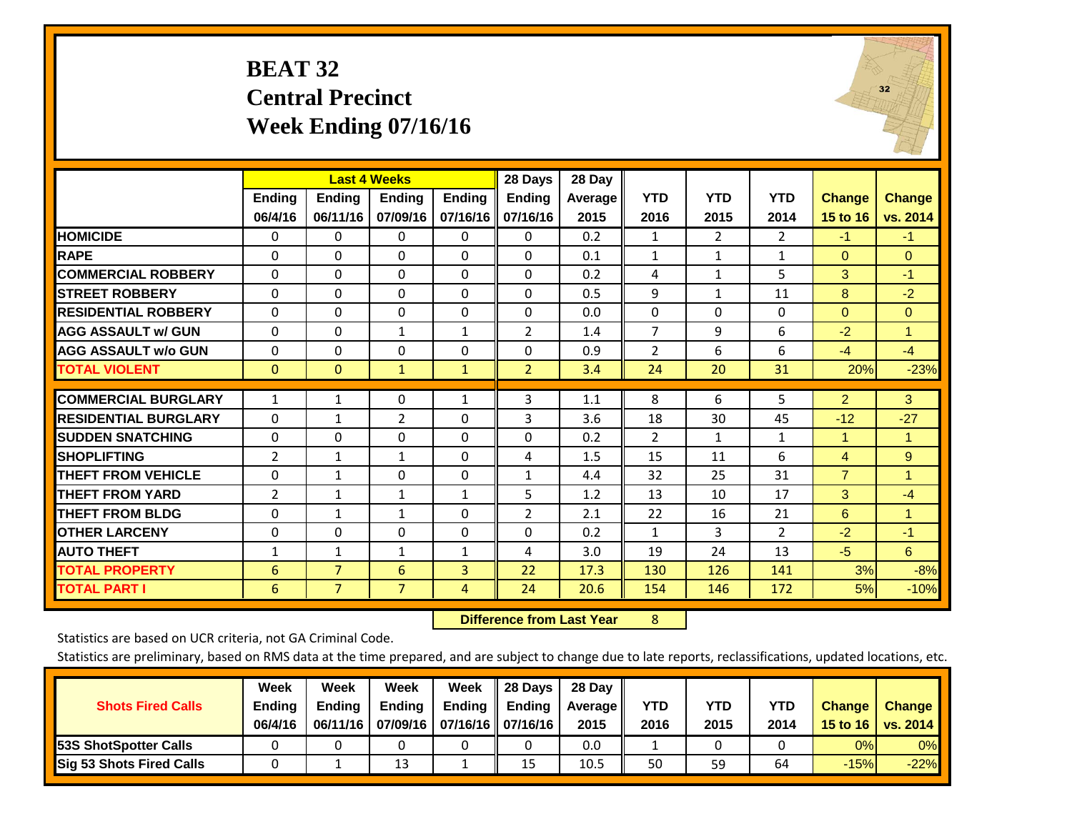#### **BEAT 32 Central Precinct Week Ending 07/16/16**



|                             |               |                | <b>Last 4 Weeks</b> |               | 28 Days        | 28 Day  |                |                |                |                |                      |
|-----------------------------|---------------|----------------|---------------------|---------------|----------------|---------|----------------|----------------|----------------|----------------|----------------------|
|                             | <b>Ending</b> | <b>Ending</b>  | <b>Endina</b>       | <b>Ending</b> | <b>Ending</b>  | Average | <b>YTD</b>     | <b>YTD</b>     | <b>YTD</b>     | <b>Change</b>  | <b>Change</b>        |
|                             | 06/4/16       | 06/11/16       | 07/09/16            | 07/16/16      | 07/16/16       | 2015    | 2016           | 2015           | 2014           | 15 to 16       | vs. 2014             |
| <b>HOMICIDE</b>             | $\mathbf{0}$  | 0              | $\Omega$            | $\Omega$      | $\Omega$       | 0.2     | 1              | $\overline{2}$ | $\overline{2}$ | $-1$           | $-1$                 |
| <b>RAPE</b>                 | $\Omega$      | $\Omega$       | $\Omega$            | $\Omega$      | $\Omega$       | 0.1     | $\mathbf{1}$   | $\mathbf{1}$   | 1              | $\mathbf{0}$   | $\Omega$             |
| <b>COMMERCIAL ROBBERY</b>   | $\Omega$      | $\Omega$       | $\Omega$            | $\Omega$      | $\Omega$       | 0.2     | 4              | $\mathbf{1}$   | 5              | 3              | $-1$                 |
| <b>STREET ROBBERY</b>       | $\Omega$      | 0              | 0                   | $\mathbf{0}$  | $\Omega$       | 0.5     | 9              | $\mathbf{1}$   | 11             | 8              | $-2$                 |
| <b>RESIDENTIAL ROBBERY</b>  | $\Omega$      | 0              | 0                   | $\mathbf{0}$  | 0              | 0.0     | $\Omega$       | $\Omega$       | 0              | $\Omega$       | $\mathbf{0}$         |
| <b>AGG ASSAULT w/ GUN</b>   | $\Omega$      | 0              | $\mathbf{1}$        | $\mathbf{1}$  | 2              | 1.4     | 7              | 9              | 6              | $-2$           | $\overline{1}$       |
| <b>AGG ASSAULT w/o GUN</b>  | $\mathbf 0$   | $\Omega$       | $\Omega$            | $\Omega$      | $\Omega$       | 0.9     | $\overline{2}$ | 6              | 6              | $-4$           | $-4$                 |
| <b>TOTAL VIOLENT</b>        | $\mathbf{0}$  | $\mathbf{0}$   | $\mathbf{1}$        | $\mathbf{1}$  | $\overline{2}$ | 3.4     | 24             | 20             | 31             | 20%            | $-23%$               |
|                             |               |                |                     |               |                |         |                |                |                |                |                      |
| <b>COMMERCIAL BURGLARY</b>  | $\mathbf{1}$  | 1              | 0                   | $\mathbf{1}$  | 3              | 1.1     | 8              | 6              | 5.             | $\overline{2}$ | 3 <sup>°</sup>       |
| <b>RESIDENTIAL BURGLARY</b> | $\Omega$      | 1              | $\overline{2}$      | $\Omega$      | 3              | 3.6     | 18             | 30             | 45             | $-12$          | $-27$                |
| <b>SUDDEN SNATCHING</b>     | $\mathbf 0$   | 0              | $\Omega$            | $\mathbf{0}$  | $\Omega$       | 0.2     | 2              | 1              | $\mathbf{1}$   | 1              | $\blacktriangleleft$ |
| <b>SHOPLIFTING</b>          | 2             | 1              | $\mathbf{1}$        | $\Omega$      | 4              | 1.5     | 15             | 11             | 6              | 4              | 9                    |
| <b>THEFT FROM VEHICLE</b>   | 0             | 1              | 0                   | $\mathbf 0$   | $\mathbf{1}$   | 4.4     | 32             | 25             | 31             | $\overline{7}$ | -1                   |
| <b>THEFT FROM YARD</b>      | 2             | 1              | 1                   | 1             | 5              | 1.2     | 13             | 10             | 17             | 3              | $-4$                 |
| <b>THEFT FROM BLDG</b>      | $\mathbf 0$   | 1              | $\mathbf{1}$        | $\Omega$      | 2              | 2.1     | 22             | 16             | 21             | 6              | $\blacktriangleleft$ |
| <b>OTHER LARCENY</b>        | $\mathbf 0$   | $\Omega$       | $\Omega$            | $\Omega$      | $\Omega$       | 0.2     | $\mathbf{1}$   | 3              | $\overline{2}$ | $-2$           | $-1$                 |
| <b>AUTO THEFT</b>           | $\mathbf{1}$  | 1              | $\mathbf{1}$        | 1             | 4              | 3.0     | 19             | 24             | 13             | $-5$           | 6                    |
| <b>TOTAL PROPERTY</b>       | 6             | $\overline{7}$ | 6                   | 3             | 22             | 17.3    | 130            | 126            | 141            | 3%             | $-8%$                |
| <b>TOTAL PART I</b>         | 6             | $\overline{7}$ | $\overline{7}$      | 4             | 24             | 20.6    | 154            | 146            | 172            | 5%             | $-10%$               |

 **Difference from Last Year**r 8

Statistics are based on UCR criteria, not GA Criminal Code.

|                                 | Week          | Week          | Week          | Week                | II 28 Davs | 28 Day         |      |      |      |               |               |
|---------------------------------|---------------|---------------|---------------|---------------------|------------|----------------|------|------|------|---------------|---------------|
| <b>Shots Fired Calls</b>        | <b>Ending</b> | <b>Endina</b> | <b>Ending</b> | <b>Ending</b>       | Ending     | <b>Average</b> | YTD  | YTD  | YTD  | <b>Change</b> | <b>Change</b> |
|                                 | 06/4/16       | 06/11/16      | 07/09/16      | 07/16/16   07/16/16 |            | 2015           | 2016 | 2015 | 2014 | 15 to 16      | vs. 2014      |
| <b>153S ShotSpotter Calls</b>   |               |               |               |                     |            | 0.0            |      |      |      | 0%            | $0\%$         |
| <b>Sig 53 Shots Fired Calls</b> |               |               | 13            |                     | 15         | 10.5           | 50   | 59   | 64   | $-15%$        | $-22%$        |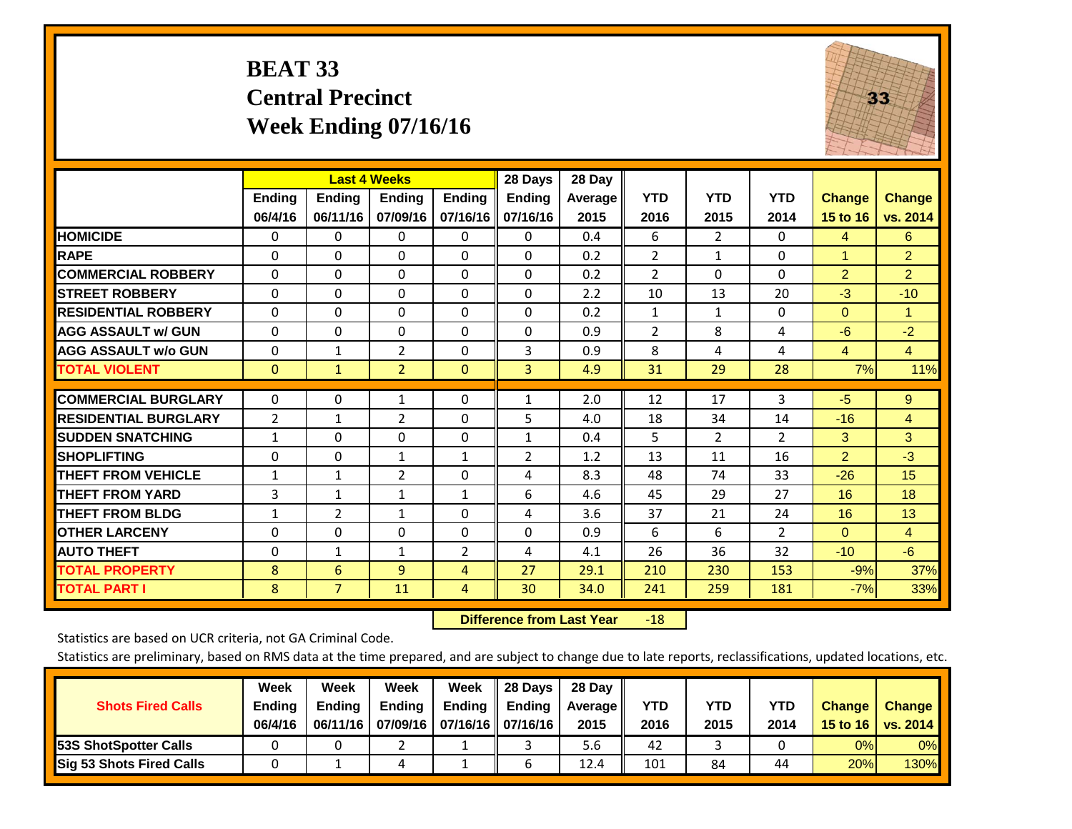## **BEAT 33 Central Precinct Week Ending 07/16/16**



|                             |                | <b>Last 4 Weeks</b> |                |               | 28 Days        | 28 Day     |                |                |                |                |                |
|-----------------------------|----------------|---------------------|----------------|---------------|----------------|------------|----------------|----------------|----------------|----------------|----------------|
|                             | <b>Ending</b>  | <b>Ending</b>       | Ending         | <b>Ending</b> | <b>Ending</b>  | Average II | <b>YTD</b>     | <b>YTD</b>     | <b>YTD</b>     | <b>Change</b>  | <b>Change</b>  |
|                             | 06/4/16        | 06/11/16            | 07/09/16       | 07/16/16      | 07/16/16       | 2015       | 2016           | 2015           | 2014           | 15 to 16       | vs. 2014       |
| <b>HOMICIDE</b>             | 0              | 0                   | $\Omega$       | $\Omega$      | $\mathbf{0}$   | 0.4        | 6              | $\overline{2}$ | 0              | 4              | 6              |
| <b>RAPE</b>                 | 0              | $\Omega$            | $\Omega$       | $\Omega$      | $\Omega$       | 0.2        | $\overline{2}$ | 1              | 0              | 1              | $\overline{2}$ |
| <b>COMMERCIAL ROBBERY</b>   | $\Omega$       | 0                   | $\Omega$       | 0             | $\Omega$       | 0.2        | $\overline{2}$ | $\mathbf{0}$   | 0              | $\overline{2}$ | $\overline{2}$ |
| <b>ISTREET ROBBERY</b>      | $\Omega$       | $\Omega$            | $\Omega$       | $\Omega$      | $\Omega$       | 2.2        | 10             | 13             | 20             | $-3$           | $-10$          |
| <b>RESIDENTIAL ROBBERY</b>  | $\Omega$       | 0                   | $\Omega$       | $\Omega$      | $\Omega$       | 0.2        | 1              | 1              | 0              | $\Omega$       | 1              |
| <b>AGG ASSAULT w/ GUN</b>   | $\Omega$       | 0                   | $\mathbf{0}$   | $\mathbf{0}$  | $\Omega$       | 0.9        | $\overline{2}$ | 8              | 4              | -6             | $-2$           |
| <b>AGG ASSAULT w/o GUN</b>  | $\Omega$       | 1                   | $\overline{2}$ | $\Omega$      | 3              | 0.9        | 8              | 4              | 4              | $\overline{4}$ | $\overline{4}$ |
| <b>TOTAL VIOLENT</b>        | $\mathbf{0}$   | $\mathbf{1}$        | $\overline{2}$ | $\mathbf{0}$  | 3              | 4.9        | 31             | 29             | 28             | 7%             | 11%            |
| <b>COMMERCIAL BURGLARY</b>  | $\Omega$       | 0                   | $\mathbf{1}$   | 0             | 1              | 2.0        | 12             | 17             | 3              | $-5$           | $9^{\circ}$    |
| <b>RESIDENTIAL BURGLARY</b> | $\overline{2}$ | 1                   | $\overline{2}$ | $\mathbf{0}$  | 5              | 4.0        | 18             | 34             | 14             | $-16$          | 4              |
| <b>ISUDDEN SNATCHING</b>    | $\mathbf{1}$   | 0                   | $\Omega$       | $\mathbf{0}$  | 1              | 0.4        | 5              | $\overline{2}$ | 2              | 3              | 3              |
| <b>SHOPLIFTING</b>          | 0              | 0                   | 1              | 1             | $\overline{2}$ | 1.2        | 13             | 11             | 16             | $\overline{2}$ | $-3$           |
| <b>THEFT FROM VEHICLE</b>   | $\mathbf{1}$   | $\mathbf{1}$        | $\overline{2}$ | $\Omega$      | 4              | 8.3        | 48             | 74             | 33             | $-26$          | 15             |
| <b>THEFT FROM YARD</b>      | 3              | 1                   | 1              | 1             | 6              | 4.6        | 45             | 29             | 27             | 16             | 18             |
| <b>THEFT FROM BLDG</b>      | 1              | 2                   | $\mathbf{1}$   | 0             | 4              | 3.6        | 37             | 21             | 24             | 16             | 13             |
| <b>OTHER LARCENY</b>        | 0              | 0                   | $\mathbf{0}$   | $\Omega$      | $\Omega$       | 0.9        | 6              | 6              | $\overline{2}$ | $\mathbf{0}$   | $\overline{4}$ |
| <b>AUTO THEFT</b>           | 0              | $\mathbf{1}$        | $\mathbf{1}$   | 2             | 4              | 4.1        | 26             | 36             | 32             | $-10$          | $-6$           |
| <b>TOTAL PROPERTY</b>       | 8              | 6                   | 9              | 4             | 27             | 29.1       | 210            | 230            | 153            | $-9%$          | 37%            |
| <b>TOTAL PART I</b>         | 8              | $\overline{7}$      | 11             | 4             | 30             | 34.0       | 241            | 259            | 181            | $-7%$          | 33%            |

 **Difference from Last Year**r -18

Statistics are based on UCR criteria, not GA Criminal Code.

| <b>Shots Fired Calls</b>        | Week<br><b>Ending</b> | Week<br><b>Endina</b> | Week<br><b>Ending</b> | Week                           | II 28 Davs<br>Ending $\parallel$ Ending | 28 Day<br>Average | <b>YTD</b> | <b>YTD</b> | YTD  | <b>Change</b> | <b>Change</b> |
|---------------------------------|-----------------------|-----------------------|-----------------------|--------------------------------|-----------------------------------------|-------------------|------------|------------|------|---------------|---------------|
|                                 | 06/4/16               | 06/11/16              |                       | 07/09/16   07/16/16   07/16/16 |                                         | 2015              | 2016       | 2015       | 2014 | 15 to 16      | vs. 2014      |
| <b>153S ShotSpotter Calls</b>   |                       |                       |                       |                                |                                         | 5.6               | 42         |            |      | 0%            | $0\%$         |
| <b>Sig 53 Shots Fired Calls</b> |                       |                       |                       |                                |                                         | 12.4              | 101        | 84         | 44   | 20%           | 130%          |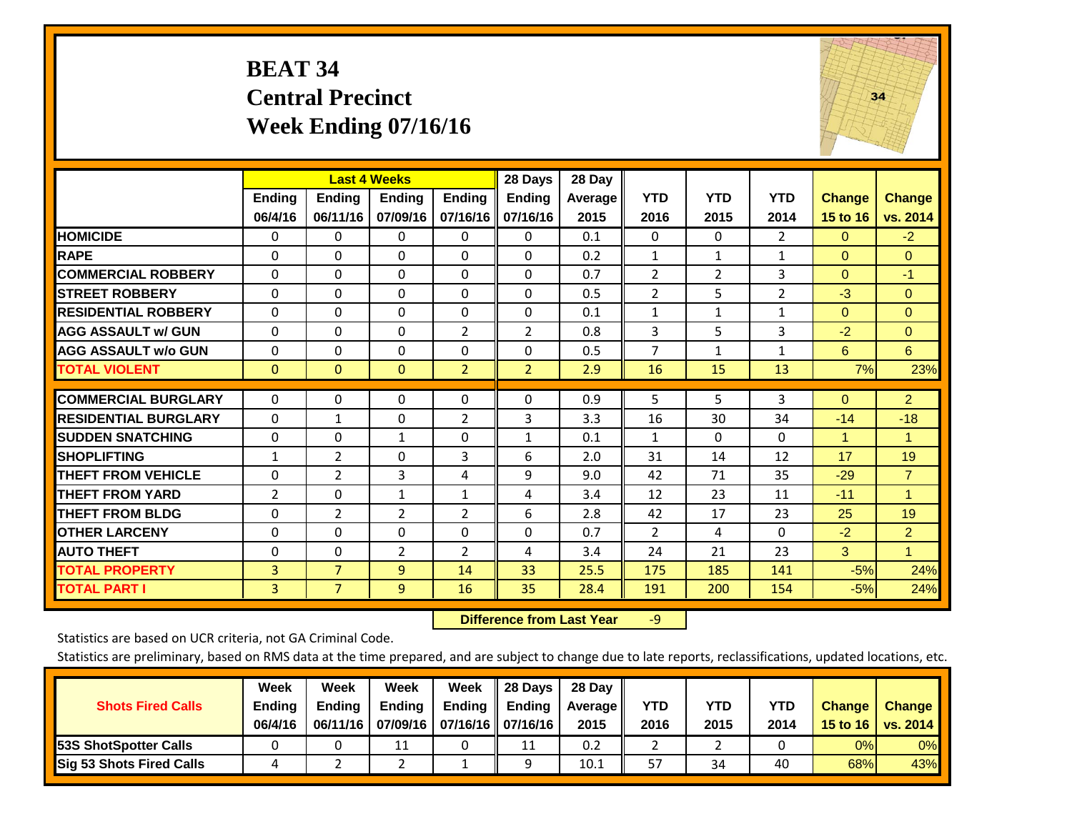#### **BEAT 34 Central Precinct Week Ending 07/16/16**



|                             |                | <b>Last 4 Weeks</b> |                |                | 28 Days        | 28 Day  |                |                |                |               |                |
|-----------------------------|----------------|---------------------|----------------|----------------|----------------|---------|----------------|----------------|----------------|---------------|----------------|
|                             | Ending         | <b>Ending</b>       | <b>Ending</b>  | <b>Ending</b>  | <b>Ending</b>  | Average | <b>YTD</b>     | <b>YTD</b>     | <b>YTD</b>     | <b>Change</b> | <b>Change</b>  |
|                             | 06/4/16        | 06/11/16            | 07/09/16       | 07/16/16       | 07/16/16       | 2015    | 2016           | 2015           | 2014           | 15 to 16      | vs. 2014       |
| <b>HOMICIDE</b>             | 0              | 0                   | 0              | $\Omega$       | 0              | 0.1     | $\mathbf{0}$   | $\Omega$       | $\overline{2}$ | $\Omega$      | $-2$           |
| <b>RAPE</b>                 | $\Omega$       | $\Omega$            | $\Omega$       | 0              | $\Omega$       | 0.2     | $\mathbf{1}$   | $\mathbf{1}$   | $\mathbf{1}$   | $\Omega$      | $\Omega$       |
| <b>COMMERCIAL ROBBERY</b>   | $\Omega$       | $\Omega$            | $\mathbf{0}$   | $\Omega$       | $\Omega$       | 0.7     | $\overline{2}$ | $\overline{2}$ | 3              | $\Omega$      | $-1$           |
| <b>STREET ROBBERY</b>       | $\mathbf 0$    | $\Omega$            | $\Omega$       | $\Omega$       | $\Omega$       | 0.5     | $\overline{2}$ | 5              | 2              | $-3$          | $\Omega$       |
| <b>RESIDENTIAL ROBBERY</b>  | $\Omega$       | $\Omega$            | $\Omega$       | $\Omega$       | $\Omega$       | 0.1     | $\mathbf{1}$   | $\mathbf{1}$   | $\mathbf{1}$   | $\Omega$      | $\mathbf{0}$   |
| <b>AGG ASSAULT w/ GUN</b>   | $\Omega$       | $\Omega$            | $\Omega$       | $\overline{2}$ | $\overline{2}$ | 0.8     | 3              | 5              | 3              | $-2$          | $\Omega$       |
| <b>AGG ASSAULT w/o GUN</b>  | $\mathbf 0$    | $\Omega$            | $\Omega$       | $\Omega$       | $\Omega$       | 0.5     | $\overline{7}$ | $\mathbf{1}$   | $\mathbf{1}$   | 6             | 6              |
| <b>TOTAL VIOLENT</b>        | $\mathbf{0}$   | $\mathbf{0}$        | $\mathbf{0}$   | $\overline{2}$ | $\overline{2}$ | 2.9     | 16             | 15             | 13             | 7%            | 23%            |
|                             |                |                     |                |                |                |         |                |                |                |               |                |
| <b>COMMERCIAL BURGLARY</b>  | $\Omega$       | $\Omega$            | $\Omega$       | $\Omega$       | 0              | 0.9     | 5              | 5              | 3              | $\Omega$      | $\overline{2}$ |
| <b>RESIDENTIAL BURGLARY</b> | $\Omega$       | 1                   | $\Omega$       | $\overline{2}$ | 3              | 3.3     | 16             | 30             | 34             | $-14$         | $-18$          |
| <b>SUDDEN SNATCHING</b>     | $\Omega$       | $\Omega$            | 1              | $\Omega$       | 1              | 0.1     | $\mathbf{1}$   | $\Omega$       | $\Omega$       | 1             | 1              |
| <b>SHOPLIFTING</b>          | 1              | $\overline{2}$      | $\Omega$       | 3              | 6              | 2.0     | 31             | 14             | 12             | 17            | 19             |
| <b>THEFT FROM VEHICLE</b>   | $\Omega$       | $\overline{2}$      | 3              | 4              | 9              | 9.0     | 42             | 71             | 35             | $-29$         | $\overline{7}$ |
| <b>THEFT FROM YARD</b>      | $\overline{2}$ | $\Omega$            | $\mathbf{1}$   | $\mathbf{1}$   | 4              | 3.4     | 12             | 23             | 11             | $-11$         | $\overline{1}$ |
| <b>THEFT FROM BLDG</b>      | 0              | 2                   | $\overline{2}$ | $\overline{2}$ | 6              | 2.8     | 42             | 17             | 23             | 25            | 19             |
| <b>OTHER LARCENY</b>        | $\Omega$       | $\Omega$            | $\Omega$       | $\Omega$       | 0              | 0.7     | $\overline{2}$ | 4              | $\Omega$       | $-2$          | $\overline{2}$ |
| <b>AUTO THEFT</b>           | $\Omega$       | $\Omega$            | $\overline{2}$ | $\overline{2}$ | 4              | 3.4     | 24             | 21             | 23             | 3             | $\blacksquare$ |
| <b>TOTAL PROPERTY</b>       | 3              | $\overline{7}$      | 9              | 14             | 33             | 25.5    | 175            | 185            | 141            | $-5%$         | 24%            |
| <b>TOTAL PART I</b>         | 3              | $\overline{7}$      | $\overline{9}$ | 16             | 35             | 28.4    | 191            | 200            | 154            | $-5%$         | 24%            |

 **Difference from Last Year**r -9

Statistics are based on UCR criteria, not GA Criminal Code.

| <b>Shots Fired Calls</b>        | Week<br><b>Ending</b><br>06/4/16 | Week<br><b>Endina</b><br>06/11/16 | <b>Week</b><br>Ending | Week<br>Ending<br>07/09/16   07/16/16   07/16/16 | 28 Days<br><b>Ending</b> | 28 Day<br>Average II<br>2015 | YTD<br>2016 | YTD<br>2015 | <b>YTD</b><br>2014 | <b>Change</b><br>15 to 16 | <b>Change</b><br>vs. 2014 |
|---------------------------------|----------------------------------|-----------------------------------|-----------------------|--------------------------------------------------|--------------------------|------------------------------|-------------|-------------|--------------------|---------------------------|---------------------------|
| <b>153S ShotSpotter Calls</b>   |                                  |                                   |                       |                                                  | 11                       | 0.2                          |             |             |                    | 0%                        | 0%                        |
| <b>Sig 53 Shots Fired Calls</b> |                                  |                                   |                       |                                                  | $\Omega$                 | 10.1                         | 57          | 34          | 40                 | 68%                       | 43%                       |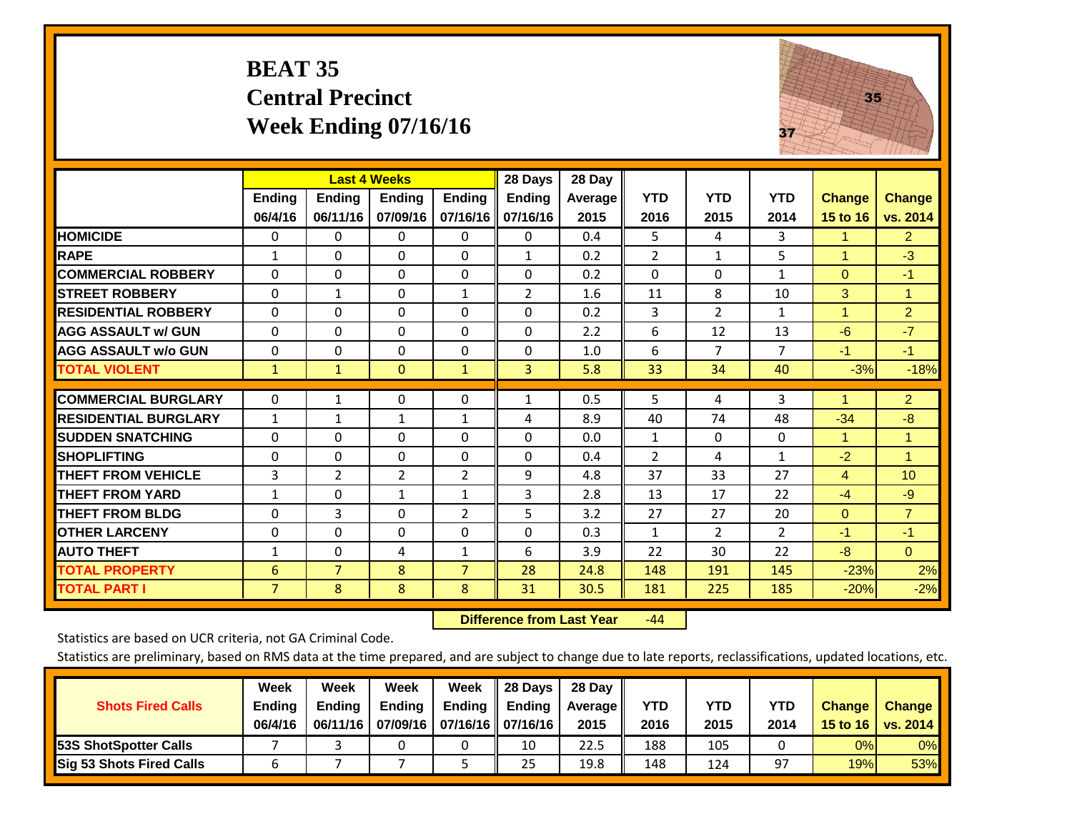#### **BEAT 35 Central Precinct Week Ending 07/16/16**



|                             |                | <b>Last 4 Weeks</b> |                |                | 28 Days        | 28 Day     |                |                |                |                      |                      |
|-----------------------------|----------------|---------------------|----------------|----------------|----------------|------------|----------------|----------------|----------------|----------------------|----------------------|
|                             | <b>Ending</b>  | <b>Ending</b>       | <b>Ending</b>  | <b>Ending</b>  | <b>Ending</b>  | Average II | <b>YTD</b>     | <b>YTD</b>     | <b>YTD</b>     | <b>Change</b>        | <b>Change</b>        |
|                             | 06/4/16        | 06/11/16            | 07/09/16       | 07/16/16       | 07/16/16       | 2015       | 2016           | 2015           | 2014           | 15 to 16             | vs. 2014             |
| <b>HOMICIDE</b>             | 0              | $\mathbf{0}$        | $\Omega$       | $\Omega$       | 0              | 0.4        | 5              | $\overline{4}$ | 3              | $\mathbf{1}$         | 2 <sup>1</sup>       |
| <b>RAPE</b>                 | 1              | 0                   | $\Omega$       | $\mathbf{0}$   | $\mathbf{1}$   | 0.2        | $\overline{2}$ | $\mathbf{1}$   | 5              | 1                    | $-3$                 |
| <b>COMMERCIAL ROBBERY</b>   | $\Omega$       | $\Omega$            | $\Omega$       | $\Omega$       | $\Omega$       | 0.2        | $\Omega$       | $\Omega$       | $\mathbf{1}$   | $\Omega$             | $-1$                 |
| <b>STREET ROBBERY</b>       | $\Omega$       | $\mathbf{1}$        | $\Omega$       | $\mathbf{1}$   | $\overline{2}$ | 1.6        | 11             | 8              | 10             | 3                    | $\mathbf{1}$         |
| <b>RESIDENTIAL ROBBERY</b>  | $\Omega$       | 0                   | $\Omega$       | $\Omega$       | $\Omega$       | 0.2        | 3              | $\overline{2}$ | $\mathbf{1}$   | $\blacktriangleleft$ | $\overline{2}$       |
| <b>AGG ASSAULT w/ GUN</b>   | $\Omega$       | $\Omega$            | $\Omega$       | $\Omega$       | $\Omega$       | 2.2        | 6              | 12             | 13             | $-6$                 | $-7$                 |
| <b>AGG ASSAULT w/o GUN</b>  | $\Omega$       | 0                   | $\Omega$       | $\Omega$       | 0              | 1.0        | 6              | 7              | $\overline{7}$ | $-1$                 | $-1$                 |
| <b>TOTAL VIOLENT</b>        | $\mathbf{1}$   | $\mathbf{1}$        | $\mathbf{0}$   | $\mathbf{1}$   | 3              | 5.8        | 33             | 34             | 40             | $-3%$                | $-18%$               |
| <b>COMMERCIAL BURGLARY</b>  | $\mathbf 0$    | 1                   | 0              | 0              | 1              | 0.5        | 5              | 4              | 3              |                      | $\overline{2}$       |
| <b>RESIDENTIAL BURGLARY</b> | $\mathbf{1}$   | 1                   | $\mathbf{1}$   | 1              | 4              | 8.9        | 40             | 74             | 48             | $-34$                | -8                   |
| <b>SUDDEN SNATCHING</b>     | 0              | $\Omega$            | $\Omega$       | $\mathbf{0}$   | $\Omega$       | 0.0        | $\mathbf{1}$   | $\Omega$       | 0              | 1                    | $\blacktriangleleft$ |
| <b>SHOPLIFTING</b>          | $\Omega$       | $\Omega$            | $\Omega$       | $\Omega$       | $\Omega$       | 0.4        | $\overline{2}$ | 4              | $\mathbf{1}$   | $-2$                 | 1                    |
| <b>THEFT FROM VEHICLE</b>   | 3              | $\overline{2}$      | $\overline{2}$ | $\overline{2}$ | 9              | 4.8        | 37             | 33             | 27             | 4                    | 10                   |
| <b>THEFT FROM YARD</b>      | $\mathbf{1}$   | $\Omega$            | $\mathbf{1}$   | 1              | 3              | 2.8        | 13             | 17             | 22             | $-4$                 | $-9$                 |
| <b>THEFT FROM BLDG</b>      | 0              | 3                   | $\Omega$       | $\overline{2}$ | 5              | 3.2        | 27             | 27             | 20             | $\Omega$             | $\overline{7}$       |
| <b>OTHER LARCENY</b>        | 0              | $\Omega$            | $\Omega$       | $\Omega$       | $\Omega$       | 0.3        | $\mathbf{1}$   | $\overline{2}$ | $\overline{2}$ | $-1$                 | $-1$                 |
| <b>AUTO THEFT</b>           | $\mathbf{1}$   | $\Omega$            | 4              | $\mathbf{1}$   | 6              | 3.9        | 22             | 30             | 22             | $-8$                 | $\overline{0}$       |
| <b>TOTAL PROPERTY</b>       | 6              | $\overline{7}$      | 8              | $\overline{7}$ | 28             | 24.8       | 148            | 191            | 145            | $-23%$               | 2%                   |
| <b>TOTAL PART I</b>         | $\overline{7}$ | 8                   | 8              | 8              | 31             | 30.5       | 181            | 225            | 185            | $-20%$               | $-2%$                |

 **Difference from Last Year**r -44

Statistics are based on UCR criteria, not GA Criminal Code.

|                                 | Week          | Week          | <b>Week</b> | Week                           | 28 Days       | 28 Day     |      |      |            |               |               |
|---------------------------------|---------------|---------------|-------------|--------------------------------|---------------|------------|------|------|------------|---------------|---------------|
| <b>Shots Fired Calls</b>        | <b>Ending</b> | <b>Endina</b> | Ending      | Ending                         | <b>Ending</b> | Average II | YTD  | YTD  | <b>YTD</b> | <b>Change</b> | <b>Change</b> |
|                                 | 06/4/16       | 06/11/16      |             | 07/09/16   07/16/16   07/16/16 |               | 2015       | 2016 | 2015 | 2014       | 15 to 16      | vs. 2014      |
| <b>153S ShotSpotter Calls</b>   |               |               |             |                                | 10            | 22.5       | 188  | 105  |            | 0%            | 0%            |
| <b>Sig 53 Shots Fired Calls</b> |               |               |             |                                | 25            | 19.8       | 148  | 124  | 97         | 19%           | 53%           |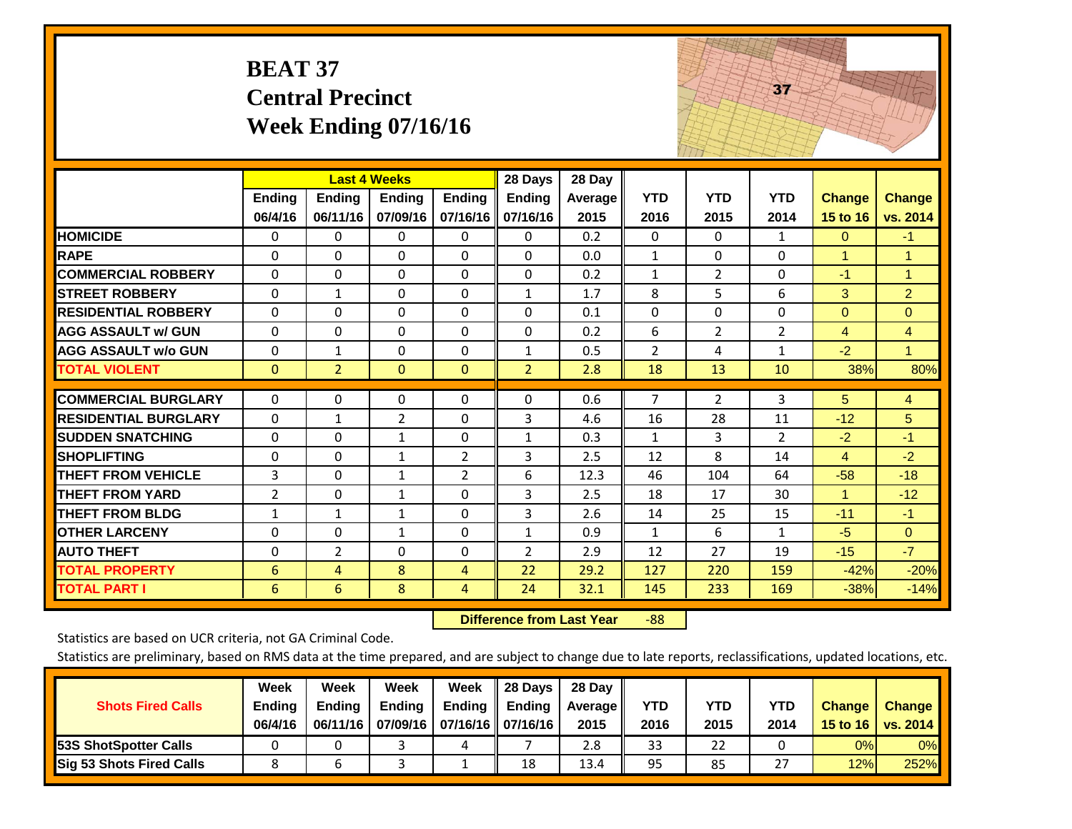|                             | <b>BEAT 37</b>    | <b>Central Precinct</b>   | <b>Week Ending 07/16/16</b>               |                           |                                      |                           |                    |                    | 37                 |                           |                           |
|-----------------------------|-------------------|---------------------------|-------------------------------------------|---------------------------|--------------------------------------|---------------------------|--------------------|--------------------|--------------------|---------------------------|---------------------------|
|                             | Ending<br>06/4/16 | <b>Ending</b><br>06/11/16 | <b>Last 4 Weeks</b><br>Ending<br>07/09/16 | <b>Ending</b><br>07/16/16 | 28 Days<br><b>Ending</b><br>07/16/16 | 28 Day<br>Average<br>2015 | <b>YTD</b><br>2016 | <b>YTD</b><br>2015 | <b>YTD</b><br>2014 | <b>Change</b><br>15 to 16 | <b>Change</b><br>vs. 2014 |
| <b>HOMICIDE</b>             | 0                 | 0                         | $\Omega$                                  | 0                         | 0                                    | 0.2                       | $\Omega$           | $\Omega$           | $\mathbf{1}$       | $\mathbf{0}$              | $-1$                      |
| <b>RAPE</b>                 | $\Omega$          | 0                         | $\overline{0}$                            | $\Omega$                  | $\Omega$                             | 0.0                       | $\mathbf{1}$       | 0                  | $\Omega$           | $\mathbf{1}$              | $\mathbf{1}$              |
| <b>COMMERCIAL ROBBERY</b>   | $\Omega$          | $\Omega$                  | $\Omega$                                  | $\Omega$                  | $\Omega$                             | 0.2                       | $\mathbf{1}$       | $\overline{2}$     | $\Omega$           | $-1$                      | $\mathbf{1}$              |
| <b>STREET ROBBERY</b>       | 0                 | $\mathbf{1}$              | $\Omega$                                  | 0                         | $\mathbf{1}$                         | 1.7                       | 8                  | 5                  | 6                  | 3                         | $\overline{2}$            |
| <b>RESIDENTIAL ROBBERY</b>  | $\Omega$          | 0                         | $\overline{0}$                            | $\Omega$                  | $\Omega$                             | 0.1                       | $\mathbf{0}$       | 0                  | $\Omega$           | $\mathbf{0}$              | $\Omega$                  |
| <b>AGG ASSAULT w/ GUN</b>   | $\Omega$          | $\Omega$                  | $\Omega$                                  | $\Omega$                  | $\Omega$                             | 0.2                       | 6                  | $\overline{2}$     | $\overline{2}$     | $\overline{4}$            | $\overline{4}$            |
| <b>AGG ASSAULT w/o GUN</b>  | $\Omega$          | $\mathbf{1}$              | $\Omega$                                  | $\Omega$                  | $\mathbf{1}$                         | 0.5                       | $\overline{2}$     | 4                  | $\mathbf{1}$       | $-2$                      | $\mathbf{1}$              |
| <b>TOTAL VIOLENT</b>        | $\mathbf{0}$      | $\overline{2}$            | $\overline{0}$                            | $\mathbf{0}$              | $\overline{2}$                       | 2.8                       | 18                 | 13                 | 10                 | 38%                       | 80%                       |
| <b>COMMERCIAL BURGLARY</b>  | $\Omega$          | 0                         | $\mathbf{0}$                              | $\Omega$                  | $\Omega$                             | 0.6                       | 7                  | $\overline{2}$     | 3                  | 5                         | 4                         |
| <b>RESIDENTIAL BURGLARY</b> | $\Omega$          | $\mathbf{1}$              | $\overline{2}$                            | $\Omega$                  | 3                                    | 4.6                       | 16                 | 28                 | 11                 | $-12$                     | 5                         |
| <b>SUDDEN SNATCHING</b>     | $\Omega$          | $\Omega$                  | $\mathbf{1}$                              | 0                         | $\mathbf{1}$                         | 0.3                       | 1                  | 3                  | $\overline{2}$     | $-2$                      | $-1$                      |
| <b>SHOPLIFTING</b>          | 0                 | 0                         | $\mathbf{1}$                              | $\overline{2}$            | 3                                    | 2.5                       | 12                 | 8                  | 14                 | $\overline{4}$            | $-2$                      |
| <b>THEFT FROM VEHICLE</b>   | 3                 | $\Omega$                  | $\mathbf{1}$                              | $\overline{2}$            | 6                                    | 12.3                      | 46                 | 104                | 64                 | $-58$                     | $-18$                     |
| <b>THEFT FROM YARD</b>      | $\overline{2}$    | $\Omega$                  | $\mathbf{1}$                              | 0                         | 3                                    | 2.5                       | 18                 | 17                 | 30                 | 1                         | $-12$                     |
| <b>THEFT FROM BLDG</b>      | $\mathbf{1}$      | $\mathbf{1}$              | $\mathbf{1}$                              | $\Omega$                  | 3                                    | 2.6                       | 14                 | 25                 | 15                 | $-11$                     | $-1$                      |
| <b>OTHER LARCENY</b>        | $\Omega$          | $\Omega$                  | $\mathbf{1}$                              | $\Omega$                  | $\mathbf{1}$                         | 0.9                       | $\mathbf{1}$       | 6                  | $\mathbf{1}$       | $-5$                      | $\mathbf{0}$              |
| <b>AUTO THEFT</b>           | 0                 | $\overline{2}$            | $\mathbf 0$                               | $\Omega$                  | $\overline{2}$                       | 2.9                       | 12                 | 27                 | 19                 | $-15$                     | $-7$                      |
| <b>TOTAL PROPERTY</b>       | 6                 | 4                         | 8                                         | 4                         | 22                                   | 29.2                      | 127                | 220                | 159                | $-42%$                    | $-20%$                    |
| <b>TOTAL PART I</b>         | 6                 | 6                         | 8                                         | 4                         | 24                                   | 32.1                      | 145                | 233                | 169                | $-38%$                    | $-14%$                    |

 **Difference from Last Year**‐88 The state of the state of the state

Statistics are based on UCR criteria, not GA Criminal Code.

| <b>Shots Fired Calls</b>        | Week<br><b>Ending</b><br>06/4/16 | Week<br><b>Endina</b><br>06/11/16 | <b>Week</b><br>Ending | Week<br>Ending<br>07/09/16   07/16/16   07/16/16 | 28 Days<br><b>Ending</b> | 28 Day<br>Average II<br>2015 | YTD<br>2016 | YTD<br>2015 | YTD<br>2014    | <b>Change</b><br>15 to 16 | <b>Change</b><br>vs. 2014 |
|---------------------------------|----------------------------------|-----------------------------------|-----------------------|--------------------------------------------------|--------------------------|------------------------------|-------------|-------------|----------------|---------------------------|---------------------------|
| <b>153S ShotSpotter Calls</b>   |                                  |                                   |                       | 4                                                |                          | 2.8                          | 33          | 22          |                | 0%                        | 0%                        |
| <b>Sig 53 Shots Fired Calls</b> |                                  |                                   |                       |                                                  | 18                       | 13.4                         | 95          | 85          | 55<br><u>.</u> | 12%                       | 252%                      |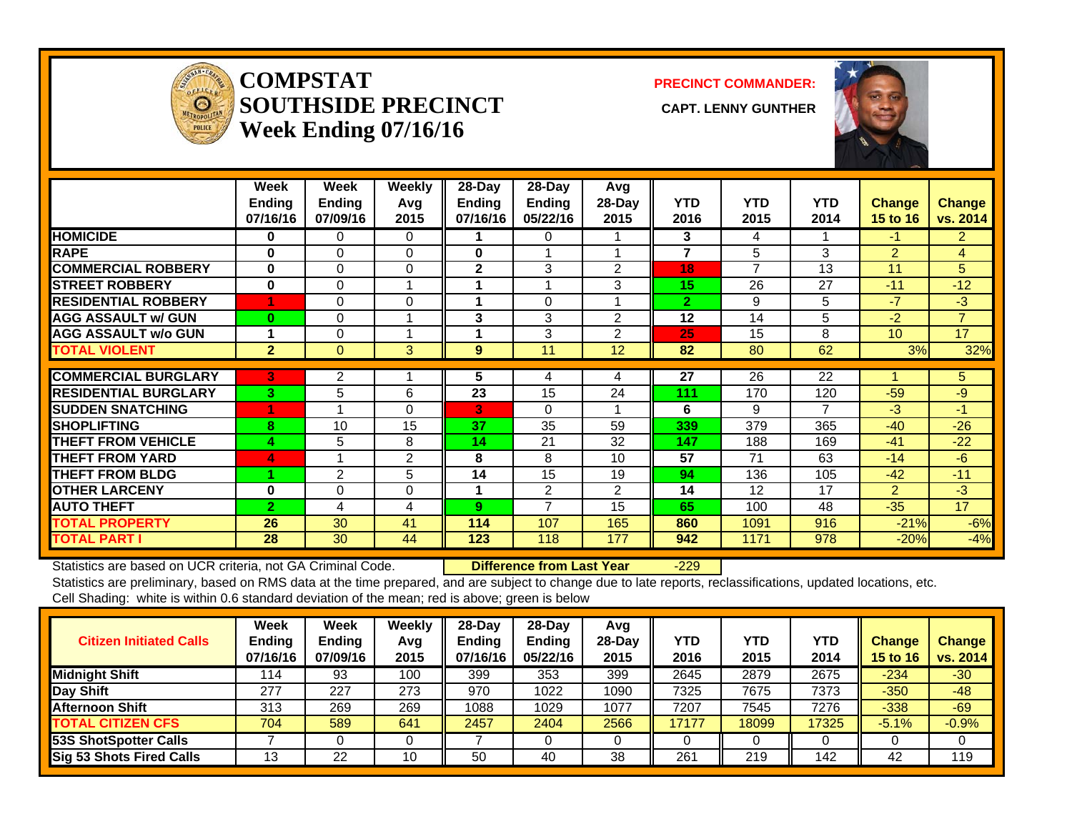

#### **COMPSTATSOUTHSIDE PRECINCT** CAPT. LENNY GUNTHER **Week Ending 07/16/16**

**PRECINCT COMMANDER:**



|                             | Week<br><b>Ending</b><br>07/16/16 | Week<br><b>Ending</b><br>07/09/16 | <b>Weekly</b><br>Avg<br>2015 | $28 - Day$<br>Ending<br>07/16/16 | $28 - Day$<br><b>Ending</b><br>05/22/16 | Avg<br>28-Day<br>2015 | <b>YTD</b><br>2016 | <b>YTD</b><br>2015 | <b>YTD</b><br>2014 | <b>Change</b><br><b>15 to 16</b> | <b>Change</b><br>vs. 2014 |
|-----------------------------|-----------------------------------|-----------------------------------|------------------------------|----------------------------------|-----------------------------------------|-----------------------|--------------------|--------------------|--------------------|----------------------------------|---------------------------|
| <b>HOMICIDE</b>             | 0                                 | 0                                 | $\Omega$                     |                                  | $\Omega$                                |                       | 3                  | 4                  |                    | $-1$                             | $\overline{2}$            |
| <b>RAPE</b>                 | 0                                 | 0                                 | $\Omega$                     | 0                                | 1                                       |                       | $\overline{7}$     | 5                  | 3                  | $\overline{2}$                   | 4                         |
| <b>COMMERCIAL ROBBERY</b>   | 0                                 | $\Omega$                          | $\Omega$                     | $\mathbf{2}$                     | 3                                       | $\overline{2}$        | 18                 | $\overline{7}$     | 13                 | 11                               | 5                         |
| <b>STREET ROBBERY</b>       | 0                                 | 0                                 |                              |                                  | 1                                       | 3                     | 15                 | 26                 | 27                 | $-11$                            | $-12$                     |
| <b>RESIDENTIAL ROBBERY</b>  |                                   | 0                                 | 0                            | 4                                | 0                                       |                       | $\overline{2}$     | 9                  | 5                  | $-7$                             | $-3$                      |
| <b>AGG ASSAULT w/ GUN</b>   | $\bf{0}$                          | $\Omega$                          |                              | 3                                | 3                                       | $\overline{2}$        | 12                 | 14                 | 5                  | $-2$                             | $\overline{7}$            |
| <b>AGG ASSAULT w/o GUN</b>  |                                   | 0                                 |                              |                                  | 3                                       | $\mathfrak{p}$        | 25                 | 15                 | 8                  | 10 <sup>1</sup>                  | 17                        |
| <b>TOTAL VIOLENT</b>        | $\overline{2}$                    | $\overline{0}$                    | 3                            | 9                                | 11                                      | 12                    | 82                 | 80                 | 62                 | 3%                               | 32%                       |
|                             |                                   |                                   |                              |                                  |                                         |                       |                    |                    |                    |                                  |                           |
| <b>COMMERCIAL BURGLARY</b>  | 3                                 | 2                                 |                              | 5                                | 4                                       | 4                     | 27                 | 26                 | 22                 |                                  | 5                         |
| <b>RESIDENTIAL BURGLARY</b> | 3                                 | 5                                 | 6                            | 23                               | 15                                      | 24                    | 111                | 170                | 120                | $-59$                            | $-9$                      |
| <b>ISUDDEN SNATCHING</b>    | 4                                 |                                   | 0                            | 3                                | $\Omega$                                |                       | 6                  | 9                  | $\overline{7}$     | $-3$                             | $-1$                      |
| <b>SHOPLIFTING</b>          | 8                                 | 10                                | 15                           | 37                               | 35                                      | 59                    | 339                | 379                | 365                | $-40$                            | $-26$                     |
| <b>THEFT FROM VEHICLE</b>   | 4                                 | 5                                 | 8                            | 14                               | 21                                      | 32                    | 147                | 188                | 169                | $-41$                            | $-22$                     |
| <b>THEFT FROM YARD</b>      | 4                                 |                                   | $\overline{2}$               | 8                                | 8                                       | 10                    | 57                 | 71                 | 63                 | $-14$                            | $-6$                      |
| <b>THEFT FROM BLDG</b>      |                                   | $\overline{2}$                    | 5                            | 14                               | 15                                      | 19                    | 94                 | 136                | 105                | $-42$                            | $-11$                     |
| <b>OTHER LARCENY</b>        | 0                                 | $\Omega$                          | 0                            | 1                                | $\overline{2}$                          | $\overline{2}$        | 14                 | 12                 | 17                 | $\overline{2}$                   | $-3$                      |
| <b>AUTO THEFT</b>           | $\overline{2}$                    | 4                                 | 4                            | 9                                | 7                                       | 15                    | 65                 | 100                | 48                 | $-35$                            | 17                        |
| <b>TOTAL PROPERTY</b>       | 26                                | 30                                | 41                           | 114                              | 107                                     | 165                   | 860                | 1091               | 916                | $-21%$                           | $-6%$                     |
| <b>TOTAL PART I</b>         | 28                                | 30                                | 44                           | 123                              | 118                                     | 177                   | 942                | 1171               | 978                | $-20%$                           | $-4%$                     |

Statistics are based on UCR criteria, not GA Criminal Code. **Difference from Last Year** -229 Statistics are preliminary, based on RMS data at the time prepared, and are subject to change due to late reports, reclassifications, updated locations, etc.

Cell Shading: white is within 0.6 standard deviation of the mean; red is above; green is below

| <b>Citizen Initiated Calls</b> | Week<br>Ending<br>07/16/16 | <b>Week</b><br><b>Ending</b><br>07/09/16 | Weekly<br>Avg<br>2015 | $28$ -Dav<br><b>Ending</b><br>07/16/16 | $28$ -Day<br><b>Ending</b><br>05/22/16 | Avg<br>$28-Day$<br>2015 | YTD<br>2016 | YTD<br>2015 | <b>YTD</b><br>2014 | Change<br>15 to 16 | <b>Change</b><br>vs. 2014 |
|--------------------------------|----------------------------|------------------------------------------|-----------------------|----------------------------------------|----------------------------------------|-------------------------|-------------|-------------|--------------------|--------------------|---------------------------|
| Midnight Shift                 | 114                        | 93                                       | 100                   | 399                                    | 353                                    | 399                     | 2645        | 2879        | 2675               | $-234$             | $-30$                     |
| Day Shift                      | 277                        | 227                                      | 273                   | 970                                    | 1022                                   | 1090                    | 7325        | 7675        | 7373               | $-350$             | $-48$                     |
| <b>Afternoon Shift</b>         | 313                        | 269                                      | 269                   | 1088                                   | 1029                                   | 1077                    | 7207        | 7545        | 7276               | $-338$             | $-69$                     |
| <b>TOTAL CITIZEN CFS</b>       | 704                        | 589                                      | 641                   | 2457                                   | 2404                                   | 2566                    | 17177       | 18099       | 17325              | $-5.1%$            | $-0.9%$                   |
| <b>53S ShotSpotter Calls</b>   |                            |                                          |                       |                                        |                                        |                         |             |             |                    |                    |                           |
| Sig 53 Shots Fired Calls       | 13                         | 22                                       | 10                    | 50                                     | 40                                     | 38                      | 261         | 219         | 142                | 42                 | 119                       |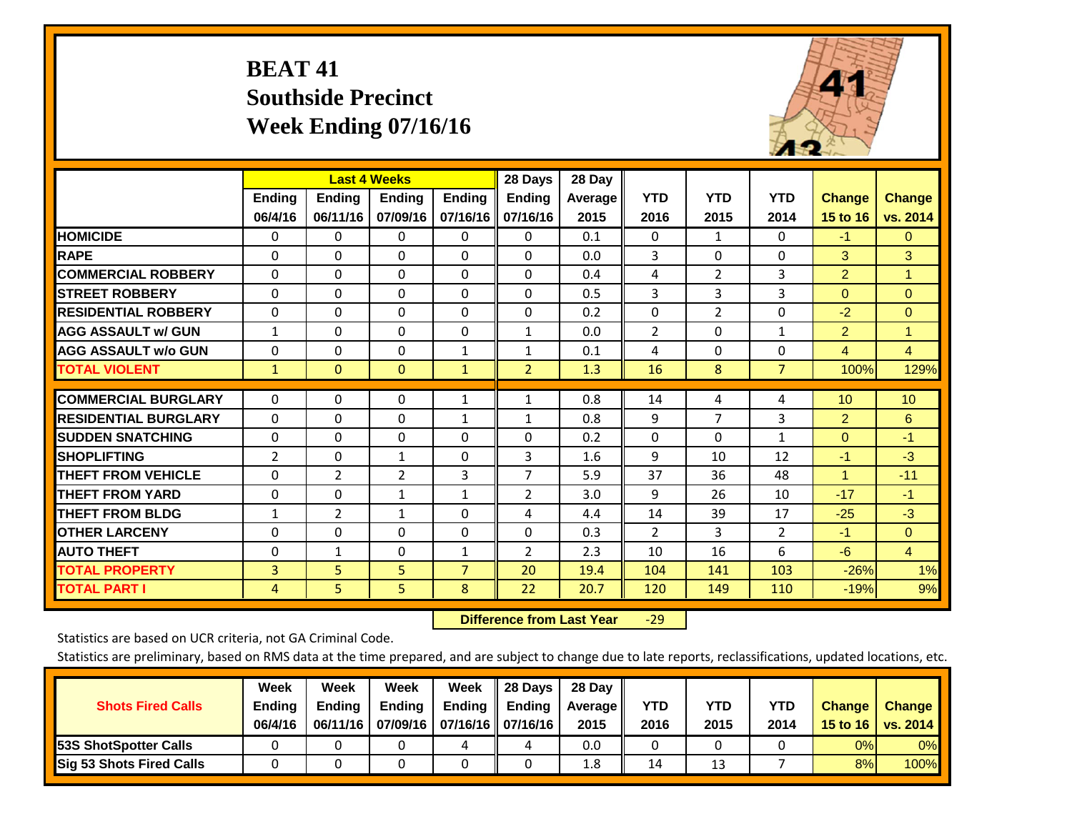# **BEAT 41 Southside Precinct Week Ending 07/16/16**



|                             |                | <b>Last 4 Weeks</b> |                |                | 28 Days        | 28 Day  |                |                |                |                 |                |
|-----------------------------|----------------|---------------------|----------------|----------------|----------------|---------|----------------|----------------|----------------|-----------------|----------------|
|                             | <b>Ending</b>  | <b>Ending</b>       | <b>Ending</b>  | <b>Endina</b>  | <b>Ending</b>  | Average | <b>YTD</b>     | <b>YTD</b>     | <b>YTD</b>     | <b>Change</b>   | <b>Change</b>  |
|                             | 06/4/16        | 06/11/16            | 07/09/16       | 07/16/16       | 07/16/16       | 2015    | 2016           | 2015           | 2014           | <b>15 to 16</b> | vs. 2014       |
| <b>HOMICIDE</b>             | 0              | $\mathbf{0}$        | 0              | 0              | $\Omega$       | 0.1     | $\Omega$       | $\mathbf{1}$   | 0              | $-1$            | $\mathbf{0}$   |
| <b>RAPE</b>                 | $\Omega$       | $\Omega$            | $\Omega$       | 0              | 0              | 0.0     | 3              | $\Omega$       | $\Omega$       | 3               | 3              |
| <b>COMMERCIAL ROBBERY</b>   | $\Omega$       | $\Omega$            | $\mathbf{0}$   | $\Omega$       | $\Omega$       | 0.4     | 4              | $\overline{2}$ | 3              | $\overline{2}$  | 1              |
| <b>STREET ROBBERY</b>       | $\mathbf 0$    | $\Omega$            | 0              | $\Omega$       | 0              | 0.5     | 3              | 3              | 3              | $\Omega$        | $\overline{0}$ |
| <b>RESIDENTIAL ROBBERY</b>  | $\Omega$       | $\Omega$            | $\Omega$       | $\Omega$       | $\Omega$       | 0.2     | $\mathbf{0}$   | $\overline{2}$ | 0              | $-2$            | $\mathbf{0}$   |
| <b>AGG ASSAULT w/ GUN</b>   | $\mathbf{1}$   | $\Omega$            | $\Omega$       | $\Omega$       | $\mathbf{1}$   | 0.0     | $\overline{2}$ | $\Omega$       | $\mathbf{1}$   | $\overline{2}$  | $\mathbf{1}$   |
| <b>AGG ASSAULT w/o GUN</b>  | $\Omega$       | $\Omega$            | $\Omega$       | $\mathbf{1}$   | $\mathbf{1}$   | 0.1     | 4              | $\Omega$       | $\Omega$       | 4               | $\overline{4}$ |
| <b>TOTAL VIOLENT</b>        | $\mathbf{1}$   | $\mathbf{0}$        | $\mathbf{0}$   | $\mathbf{1}$   | $\overline{2}$ | 1.3     | 16             | 8              | $\overline{7}$ | 100%            | 129%           |
| <b>COMMERCIAL BURGLARY</b>  |                |                     |                |                |                |         |                |                |                |                 |                |
|                             | $\mathbf 0$    | $\Omega$            | 0              | 1              | $\mathbf{1}$   | 0.8     | 14             | 4              | 4              | 10              | 10             |
| <b>RESIDENTIAL BURGLARY</b> | $\Omega$       | $\Omega$            | $\Omega$       | $\mathbf{1}$   | $\mathbf{1}$   | 0.8     | 9              | 7              | 3              | 2               | 6              |
| <b>SUDDEN SNATCHING</b>     | $\Omega$       | $\Omega$            | $\Omega$       | $\Omega$       | 0              | 0.2     | $\Omega$       | $\Omega$       | $\mathbf{1}$   | $\mathbf{0}$    | $-1$           |
| <b>SHOPLIFTING</b>          | $\overline{2}$ | $\Omega$            | $\mathbf{1}$   | 0              | 3              | 1.6     | 9              | 10             | 12             | $-1$            | $-3$           |
| <b>THEFT FROM VEHICLE</b>   | $\Omega$       | $\overline{2}$      | $\overline{2}$ | 3              | $\overline{7}$ | 5.9     | 37             | 36             | 48             | 1               | $-11$          |
| <b>THEFT FROM YARD</b>      | $\mathbf 0$    | $\Omega$            | $\mathbf{1}$   | $\mathbf{1}$   | 2              | 3.0     | 9              | 26             | 10             | $-17$           | $-1$           |
| <b>THEFT FROM BLDG</b>      | $\mathbf{1}$   | 2                   | 1              | $\Omega$       | 4              | 4.4     | 14             | 39             | 17             | $-25$           | $-3$           |
| <b>OTHER LARCENY</b>        | $\Omega$       | $\Omega$            | $\Omega$       | $\Omega$       | 0              | 0.3     | $\overline{2}$ | 3              | $\overline{2}$ | $-1$            | $\overline{0}$ |
| <b>AUTO THEFT</b>           | $\Omega$       | $\mathbf{1}$        | $\Omega$       | $\mathbf{1}$   | 2              | 2.3     | 10             | 16             | 6              | $-6$            | $\overline{4}$ |
| <b>TOTAL PROPERTY</b>       | 3              | 5                   | 5              | $\overline{7}$ | 20             | 19.4    | 104            | 141            | 103            | $-26%$          | 1%             |
| <b>TOTAL PART I</b>         | 4              | 5                   | 5              | 8              | 22             | 20.7    | 120            | 149            | 110            | $-19%$          | 9%             |

 **Difference from Last Year**‐29

Statistics are based on UCR criteria, not GA Criminal Code.

| <b>Shots Fired Calls</b>        | Week<br><b>Ending</b><br>06/4/16 | Week<br><b>Endina</b><br>06/11/16 | Week<br>Ending | Week<br>Ending | 28 Days<br><b>Ending</b><br>07/09/16 07/16/16 07/16/16 | 28 Day<br><b>Average</b> II<br>2015 | YTD<br>2016 | YTD<br>2015 | <b>YTD</b><br>2014 | <b>Change</b><br>15 to 16 $\vert$ | <b>Change</b><br>vs. 2014 |
|---------------------------------|----------------------------------|-----------------------------------|----------------|----------------|--------------------------------------------------------|-------------------------------------|-------------|-------------|--------------------|-----------------------------------|---------------------------|
| <b>53S ShotSpotter Calls</b>    |                                  |                                   |                |                | 4                                                      | 0.0                                 |             |             |                    | 0%                                | 0%                        |
| <b>Sig 53 Shots Fired Calls</b> |                                  |                                   |                |                |                                                        | 1.8                                 | 14          | 13          |                    | 8%                                | 100%                      |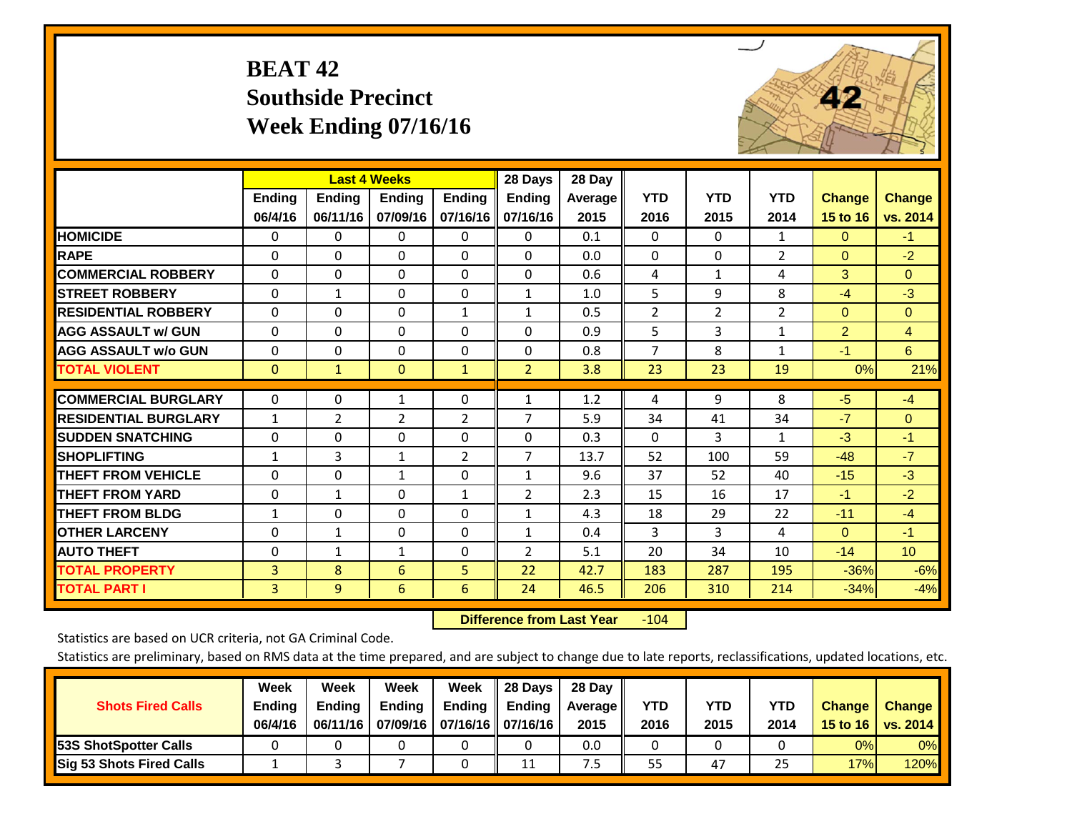# **BEAT 42 Southside Precinct Week Ending 07/16/16**



|                             |               | <b>Last 4 Weeks</b> |                |                | 28 Days        | 28 Day  |                |                |              |                |                 |
|-----------------------------|---------------|---------------------|----------------|----------------|----------------|---------|----------------|----------------|--------------|----------------|-----------------|
|                             | <b>Ending</b> | <b>Ending</b>       | <b>Endina</b>  | <b>Ending</b>  | <b>Ending</b>  | Average | <b>YTD</b>     | <b>YTD</b>     | <b>YTD</b>   | <b>Change</b>  | Change          |
|                             | 06/4/16       | 06/11/16            | 07/09/16       | 07/16/16       | 07/16/16       | 2015    | 2016           | 2015           | 2014         | 15 to 16       | vs. 2014        |
| <b>HOMICIDE</b>             | 0             | $\Omega$            | $\mathbf{0}$   | $\Omega$       | $\mathbf{0}$   | 0.1     | $\Omega$       | $\mathbf{0}$   | $\mathbf{1}$ | $\mathbf{0}$   | $-1$            |
| <b>RAPE</b>                 | 0             | 0                   | $\Omega$       | $\mathbf{0}$   | 0              | 0.0     | $\Omega$       | $\Omega$       | 2            | $\mathbf{0}$   | $-2$            |
| <b>COMMERCIAL ROBBERY</b>   | $\Omega$      | $\Omega$            | $\Omega$       | $\Omega$       | $\Omega$       | 0.6     | 4              | $\mathbf{1}$   | 4            | 3              | $\Omega$        |
| <b>ISTREET ROBBERY</b>      | 0             | $\mathbf{1}$        | $\Omega$       | 0              | $\mathbf{1}$   | 1.0     | 5              | 9              | 8            | $-4$           | $-3$            |
| <b>RESIDENTIAL ROBBERY</b>  | $\Omega$      | $\Omega$            | $\Omega$       | 1              | 1              | 0.5     | $\overline{2}$ | $\overline{2}$ | 2            | $\mathbf{0}$   | $\Omega$        |
| <b>AGG ASSAULT w/ GUN</b>   | $\Omega$      | $\Omega$            | $\Omega$       | $\Omega$       | $\Omega$       | 0.9     | 5              | 3              | $\mathbf{1}$ | $\overline{2}$ | $\overline{4}$  |
| <b>AGG ASSAULT w/o GUN</b>  | $\Omega$      | $\Omega$            | $\Omega$       | $\Omega$       | $\Omega$       | 0.8     | $\overline{7}$ | 8              | $\mathbf{1}$ | $-1$           | 6               |
| <b>TOTAL VIOLENT</b>        | $\mathbf{0}$  | $\mathbf{1}$        | $\mathbf{0}$   | $\mathbf{1}$   | $\overline{2}$ | 3.8     | 23             | 23             | 19           | 0%             | 21%             |
| <b>COMMERCIAL BURGLARY</b>  | $\Omega$      | 0                   | 1              | $\mathbf 0$    | 1              | 1.2     | 4              | 9              | 8            | $-5$           | $-4$            |
| <b>RESIDENTIAL BURGLARY</b> | $\mathbf{1}$  | $\overline{2}$      | $\overline{2}$ | $\overline{2}$ | 7              | 5.9     | 34             | 41             | 34           | $-7$           | $\Omega$        |
| <b>SUDDEN SNATCHING</b>     | 0             | 0                   | $\Omega$       | $\mathbf{0}$   | 0              | 0.3     | 0              | 3              | 1            | -3             | $-1$            |
| <b>SHOPLIFTING</b>          | $\mathbf{1}$  | 3                   | 1              | 2              | 7              | 13.7    | 52             | 100            | 59           | $-48$          | $-7$            |
| <b>THEFT FROM VEHICLE</b>   | $\Omega$      | 0                   | $\mathbf{1}$   | $\mathbf{0}$   | $\mathbf{1}$   | 9.6     | 37             | 52             | 40           | $-15$          | $-3$            |
| <b>THEFT FROM YARD</b>      | 0             | 1                   | $\Omega$       | $\mathbf{1}$   | 2              | 2.3     | 15             | 16             | 17           | $-1$           | $-2$            |
| <b>THEFT FROM BLDG</b>      | 1             | 0                   | $\Omega$       | $\mathbf{0}$   | $\mathbf{1}$   | 4.3     | 18             | 29             | 22           | $-11$          | $-4$            |
| <b>OTHER LARCENY</b>        | 0             | $\mathbf{1}$        | $\mathbf{0}$   | $\Omega$       | 1              | 0.4     | 3              | 3              | 4            | $\mathbf{0}$   | $-1$            |
| <b>AUTO THEFT</b>           | $\Omega$      | $\mathbf{1}$        | 1              | 0              | 2              | 5.1     | 20             | 34             | 10           | $-14$          | 10 <sup>°</sup> |
| <b>TOTAL PROPERTY</b>       | 3             | 8                   | 6              | 5 <sup>1</sup> | 22             | 42.7    | 183            | 287            | 195          | $-36%$         | $-6%$           |
| <b>TOTAL PART I</b>         | 3             | 9                   | 6              | 6              | 24             | 46.5    | 206            | 310            | 214          | $-34%$         | $-4%$           |

 **Difference from Last Year**r -104

Statistics are based on UCR criteria, not GA Criminal Code.

| <b>Shots Fired Calls</b>        | Week<br><b>Ending</b><br>06/4/16 | Week<br><b>Endina</b><br>06/11/16 | Week<br>Ending | Week<br>Ending<br>07/09/16   07/16/16   07/16/16 | 28 Days<br><b>Ending</b> | 28 Day<br>Average II<br>2015 | YTD<br>2016 | YTD<br>2015 | YTD<br>2014 | <b>Change</b><br>15 to 16 | <b>Change</b><br>vs. 2014 |
|---------------------------------|----------------------------------|-----------------------------------|----------------|--------------------------------------------------|--------------------------|------------------------------|-------------|-------------|-------------|---------------------------|---------------------------|
| <b>153S ShotSpotter Calls</b>   |                                  |                                   |                |                                                  |                          | 0.0                          |             |             |             | 0%                        | 0%                        |
| <b>Sig 53 Shots Fired Calls</b> |                                  |                                   |                |                                                  | 11                       | ט.                           | 55          | 47          | 25          | 17%                       | 120%                      |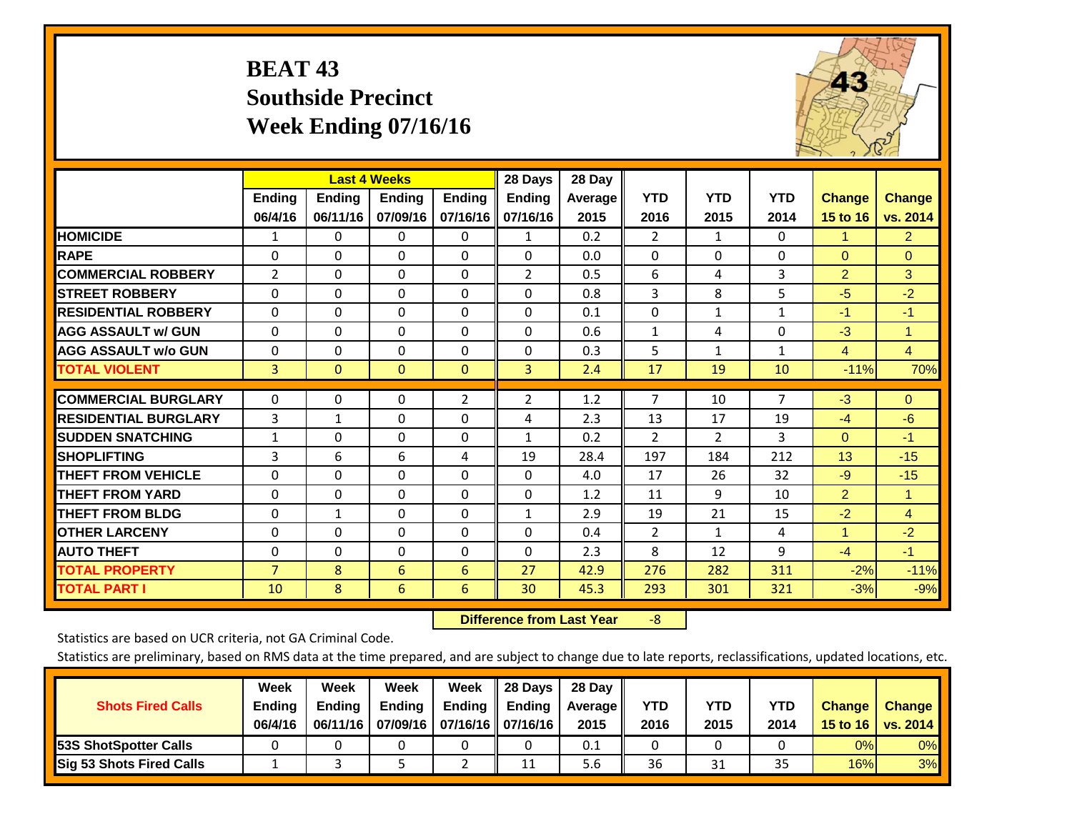# **BEAT 43 Southside Precinct Week Ending 07/16/16**



|                             |                | <b>Last 4 Weeks</b> |                |                | 28 Days        | 28 Day         |                |                |                |                |                |
|-----------------------------|----------------|---------------------|----------------|----------------|----------------|----------------|----------------|----------------|----------------|----------------|----------------|
|                             | <b>Ending</b>  | <b>Ending</b>       | <b>Ending</b>  | <b>Endina</b>  | <b>Ending</b>  | <b>Average</b> | <b>YTD</b>     | <b>YTD</b>     | <b>YTD</b>     | <b>Change</b>  | <b>Change</b>  |
|                             | 06/4/16        | 06/11/16            | 07/09/16       | 07/16/16       | 07/16/16       | 2015           | 2016           | 2015           | 2014           | 15 to 16       | vs. 2014       |
| <b>HOMICIDE</b>             | 1              | 0                   | 0              | $\Omega$       | $\mathbf{1}$   | 0.2            | 2              | $\mathbf{1}$   | 0              | 1.             | $\overline{2}$ |
| <b>RAPE</b>                 | $\Omega$       | $\Omega$            | $\Omega$       | $\Omega$       | $\Omega$       | 0.0            | $\mathbf{0}$   | 0              | $\Omega$       | $\mathbf{0}$   | $\Omega$       |
| <b>COMMERCIAL ROBBERY</b>   | 2              | $\Omega$            | $\Omega$       | $\Omega$       | 2              | 0.5            | 6              | 4              | 3              | $\overline{2}$ | 3              |
| <b>STREET ROBBERY</b>       | 0              | $\Omega$            | 0              | 0              | $\Omega$       | 0.8            | 3              | 8              | 5              | $-5$           | $-2$           |
| <b>RESIDENTIAL ROBBERY</b>  | $\Omega$       | $\Omega$            | $\Omega$       | 0              | $\Omega$       | 0.1            | $\mathbf{0}$   | $\mathbf{1}$   | $\mathbf{1}$   | $-1$           | $-1$           |
| <b>AGG ASSAULT w/ GUN</b>   | $\Omega$       | $\Omega$            | $\Omega$       | 0              | $\Omega$       | 0.6            | $\mathbf{1}$   | 4              | $\Omega$       | $-3$           | $\mathbf{1}$   |
| <b>AGG ASSAULT w/o GUN</b>  | $\Omega$       | $\Omega$            | $\Omega$       | 0              | $\Omega$       | 0.3            | 5              | $\mathbf{1}$   | $\mathbf{1}$   | $\overline{4}$ | $\overline{4}$ |
| <b>TOTAL VIOLENT</b>        | 3              | $\mathbf{0}$        | $\overline{0}$ | $\overline{0}$ | 3              | 2.4            | 17             | 19             | 10             | $-11%$         | 70%            |
| <b>COMMERCIAL BURGLARY</b>  |                |                     |                |                |                |                |                |                | $\overline{7}$ |                |                |
|                             | 0              | $\Omega$            | $\Omega$       | 2              | $\overline{2}$ | 1.2            | 7              | 10             |                | $-3$           | $\Omega$       |
| <b>RESIDENTIAL BURGLARY</b> | 3              | $\mathbf{1}$        | $\Omega$       | 0              | 4              | 2.3            | 13             | 17             | 19             | $-4$           | $-6$           |
| <b>SUDDEN SNATCHING</b>     | $\mathbf{1}$   | $\Omega$            | $\mathbf{0}$   | 0              | $\mathbf{1}$   | 0.2            | $\overline{2}$ | $\overline{2}$ | 3              | $\mathbf{0}$   | $-1$           |
| <b>SHOPLIFTING</b>          | 3              | 6                   | 6              | 4              | 19             | 28.4           | 197            | 184            | 212            | 13             | $-15$          |
| <b>THEFT FROM VEHICLE</b>   | $\Omega$       | $\Omega$            | $\Omega$       | 0              | $\Omega$       | 4.0            | 17             | 26             | 32             | $-9$           | $-15$          |
| <b>THEFT FROM YARD</b>      | $\mathbf 0$    | $\Omega$            | $\Omega$       | $\Omega$       | $\Omega$       | 1.2            | 11             | 9              | 10             | $\overline{2}$ | $\mathbf{1}$   |
| <b>THEFT FROM BLDG</b>      | 0              | $\mathbf{1}$        | $\Omega$       | $\Omega$       | 1              | 2.9            | 19             | 21             | 15             | $-2$           | $\overline{4}$ |
| <b>OTHER LARCENY</b>        | $\Omega$       | $\Omega$            | $\Omega$       | $\Omega$       | $\Omega$       | 0.4            | $\overline{2}$ | $\mathbf{1}$   | 4              | $\mathbf{1}$   | $-2$           |
| <b>AUTO THEFT</b>           | $\Omega$       | $\Omega$            | $\Omega$       | $\Omega$       | $\Omega$       | 2.3            | 8              | 12             | 9              | $-4$           | $-1$           |
| <b>TOTAL PROPERTY</b>       | $\overline{7}$ | 8                   | 6              | 6              | 27             | 42.9           | 276            | 282            | 311            | $-2%$          | $-11%$         |
| <b>TOTAL PART I</b>         | 10             | 8                   | 6              | 6              | 30             | 45.3           | 293            | 301            | 321            | $-3%$          | $-9%$          |

 **Difference from Last Year**‐8

Statistics are based on UCR criteria, not GA Criminal Code.

| <b>Shots Fired Calls</b>        | Week<br><b>Ending</b><br>06/4/16 | Week<br><b>Endina</b><br>06/11/16 | Week<br>Ending | Week<br>Ending<br>07/09/16   07/16/16   07/16/16 | 28 Days<br><b>Ending</b> | 28 Day<br>Average II<br>2015 | YTD<br>2016 | YTD<br>2015 | YTD<br>2014 | <b>Change</b><br>15 to 16 | <b>Change</b><br>vs. 2014 |
|---------------------------------|----------------------------------|-----------------------------------|----------------|--------------------------------------------------|--------------------------|------------------------------|-------------|-------------|-------------|---------------------------|---------------------------|
| <b>153S ShotSpotter Calls</b>   |                                  |                                   |                |                                                  |                          | 0.1                          |             |             |             | 0%                        | 0%                        |
| <b>Sig 53 Shots Fired Calls</b> |                                  |                                   |                |                                                  | 11                       | 5.6                          | 36          | 31          | 35          | 16%                       | 3%                        |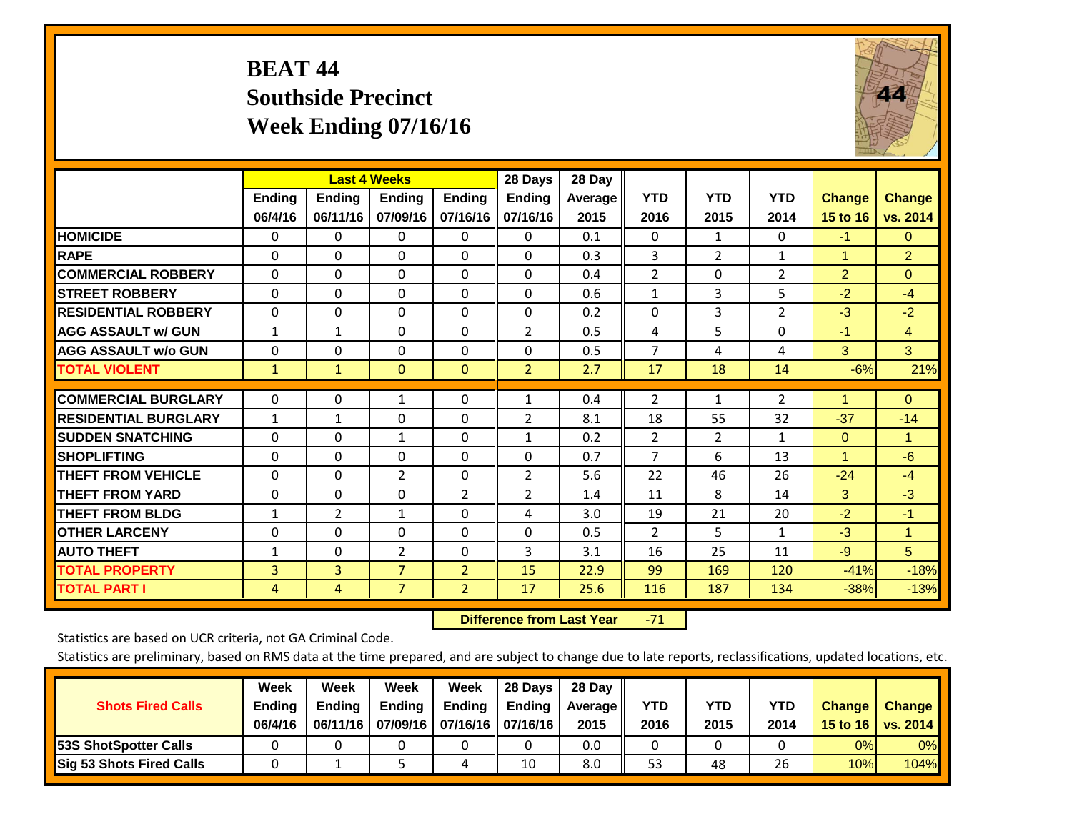# **BEAT 44 Southside Precinct Week Ending 07/16/16**



|                             |               | <b>Last 4 Weeks</b> |                |                | 28 Days        | 28 Day  |                |                |                |                |                |
|-----------------------------|---------------|---------------------|----------------|----------------|----------------|---------|----------------|----------------|----------------|----------------|----------------|
|                             | <b>Ending</b> | <b>Ending</b>       | <b>Endina</b>  | <b>Ending</b>  | <b>Ending</b>  | Average | <b>YTD</b>     | <b>YTD</b>     | <b>YTD</b>     | <b>Change</b>  | <b>Change</b>  |
|                             | 06/4/16       | 06/11/16            | 07/09/16       | 07/16/16       | 07/16/16       | 2015    | 2016           | 2015           | 2014           | 15 to 16       | vs. 2014       |
| <b>HOMICIDE</b>             | 0             | 0                   | $\Omega$       | $\Omega$       | 0              | 0.1     | $\mathbf{0}$   | 1              | 0              | $-1$           | 0              |
| <b>RAPE</b>                 | 0             | $\Omega$            | $\Omega$       | $\Omega$       | $\Omega$       | 0.3     | 3              | $\overline{2}$ | $\mathbf{1}$   | 1              | 2 <sup>1</sup> |
| <b>COMMERCIAL ROBBERY</b>   | $\Omega$      | $\Omega$            | $\Omega$       | $\Omega$       | 0              | 0.4     | $\overline{2}$ | $\Omega$       | $\overline{2}$ | $\overline{2}$ | $\Omega$       |
| <b>ISTREET ROBBERY</b>      | $\Omega$      | $\Omega$            | $\Omega$       | $\Omega$       | $\Omega$       | 0.6     | $\mathbf{1}$   | 3              | 5              | $-2$           | $-4$           |
| <b>RESIDENTIAL ROBBERY</b>  | $\Omega$      | $\Omega$            | $\Omega$       | $\Omega$       | $\Omega$       | 0.2     | $\Omega$       | 3              | $\overline{2}$ | $-3$           | $-2$           |
| <b>AGG ASSAULT w/ GUN</b>   | $\mathbf{1}$  | $\mathbf{1}$        | $\Omega$       | $\Omega$       | $\overline{2}$ | 0.5     | 4              | 5              | 0              | $-1$           | $\overline{4}$ |
| <b>AGG ASSAULT w/o GUN</b>  | $\mathbf 0$   | 0                   | $\Omega$       | $\Omega$       | $\Omega$       | 0.5     | $\overline{7}$ | 4              | 4              | 3              | 3              |
| <b>TOTAL VIOLENT</b>        | $\mathbf{1}$  | $\mathbf{1}$        | $\mathbf{0}$   | $\mathbf{0}$   | $\overline{2}$ | 2.7     | 17             | 18             | 14             | $-6%$          | 21%            |
|                             |               |                     |                |                |                |         |                |                |                |                |                |
| <b>COMMERCIAL BURGLARY</b>  | $\Omega$      | $\Omega$            | 1              | $\mathbf{0}$   | 1              | 0.4     | $\overline{2}$ | $\mathbf{1}$   | $\overline{2}$ | 1              | $\Omega$       |
| <b>RESIDENTIAL BURGLARY</b> | $\mathbf{1}$  | 1                   | $\mathbf{0}$   | $\Omega$       | 2              | 8.1     | 18             | 55             | 32             | $-37$          | $-14$          |
| <b>SUDDEN SNATCHING</b>     | 0             | 0                   | $\mathbf{1}$   | $\Omega$       | $\mathbf{1}$   | 0.2     | $\overline{2}$ | $\overline{2}$ | $\mathbf{1}$   | $\mathbf{0}$   | $\mathbf{1}$   |
| <b>SHOPLIFTING</b>          | $\Omega$      | $\Omega$            | $\Omega$       | $\Omega$       | $\Omega$       | 0.7     | $\overline{7}$ | 6              | 13             | $\mathbf{1}$   | $-6$           |
| <b>THEFT FROM VEHICLE</b>   | $\Omega$      | $\Omega$            | $\overline{2}$ | $\mathbf{0}$   | $\overline{2}$ | 5.6     | 22             | 46             | 26             | $-24$          | $-4$           |
| <b>THEFT FROM YARD</b>      | 0             | $\Omega$            | $\Omega$       | 2              | $\overline{2}$ | 1.4     | 11             | 8              | 14             | 3              | $-3$           |
| <b>THEFT FROM BLDG</b>      | $\mathbf{1}$  | $\overline{2}$      | $\mathbf{1}$   | $\Omega$       | 4              | 3.0     | 19             | 21             | 20             | $-2$           | $-1$           |
| <b>OTHER LARCENY</b>        | 0             | 0                   | $\Omega$       | $\Omega$       | $\Omega$       | 0.5     | $\overline{2}$ | 5.             | 1              | $-3$           | $\mathbf{1}$   |
| <b>AUTO THEFT</b>           | $\mathbf{1}$  | 0                   | $\overline{2}$ | 0              | 3              | 3.1     | 16             | 25             | 11             | $-9$           | 5 <sup>5</sup> |
| <b>TOTAL PROPERTY</b>       | 3             | 3                   | $\overline{7}$ | $\overline{2}$ | 15             | 22.9    | 99             | 169            | 120            | $-41%$         | $-18%$         |
| <b>TOTAL PART I</b>         | 4             | 4                   | $\overline{7}$ | $\overline{2}$ | 17             | 25.6    | 116            | 187            | 134            | $-38%$         | $-13%$         |

 **Difference from Last Year**‐71

Statistics are based on UCR criteria, not GA Criminal Code.

|                                 | Week          | Week          | Week          | Week                           | II 28 Davs         | 28 Day         |            |            |      |               |               |
|---------------------------------|---------------|---------------|---------------|--------------------------------|--------------------|----------------|------------|------------|------|---------------|---------------|
| <b>Shots Fired Calls</b>        | <b>Ending</b> | <b>Endina</b> | <b>Ending</b> | Ending $\parallel$             | $\parallel$ Ending | <b>Average</b> | <b>YTD</b> | <b>YTD</b> | YTD  | <b>Change</b> | <b>Change</b> |
|                                 | 06/4/16       | 06/11/16      |               | 07/09/16   07/16/16   07/16/16 |                    | 2015           | 2016       | 2015       | 2014 | 15 to 16      | vs. 2014      |
| <b>153S ShotSpotter Calls</b>   |               |               |               |                                |                    | 0.0            |            |            |      | 0%            | $0\%$         |
| <b>Sig 53 Shots Fired Calls</b> |               |               |               | 4                              | 10                 | 8.0            | 53         | 48         | 26   | 10%           | <b>104%</b>   |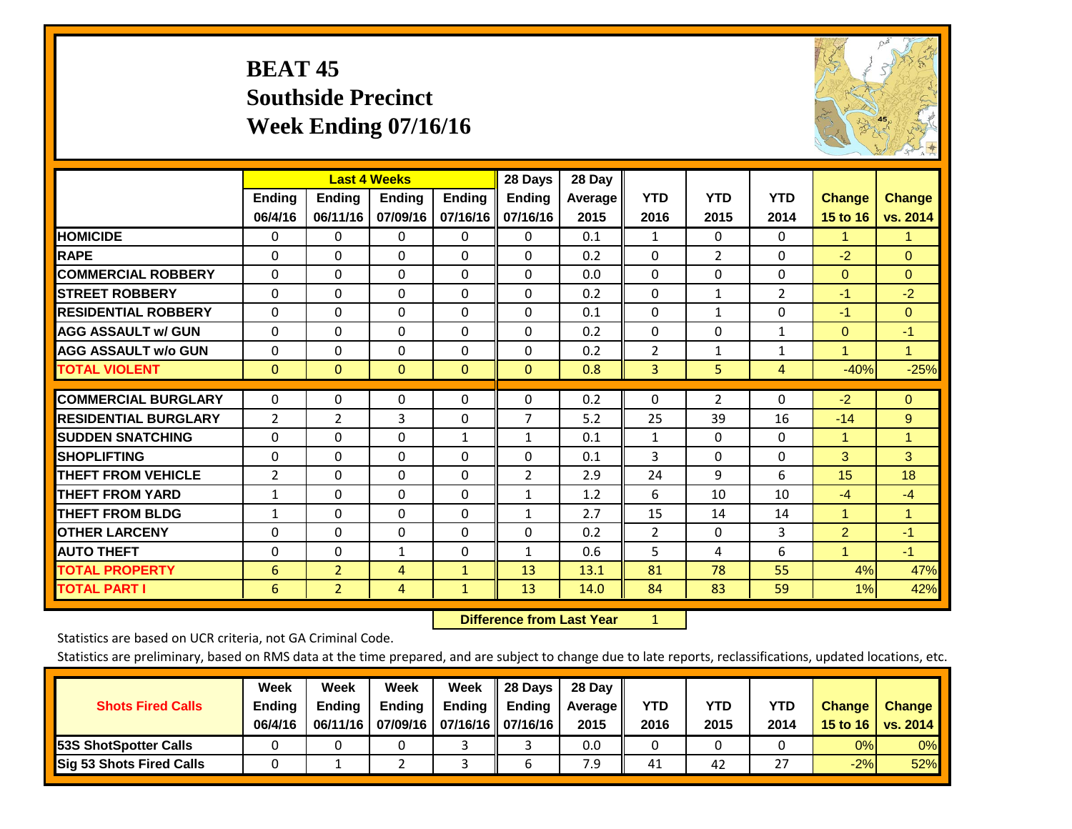# **BEAT 45 Southside Precinct Week Ending 07/16/16**



|                             |                | <b>Last 4 Weeks</b> |               |               | 28 Days        | 28 Day  |                |                |                |                |               |
|-----------------------------|----------------|---------------------|---------------|---------------|----------------|---------|----------------|----------------|----------------|----------------|---------------|
|                             | <b>Ending</b>  | Ending              | <b>Ending</b> | <b>Ending</b> | <b>Ending</b>  | Average | <b>YTD</b>     | <b>YTD</b>     | <b>YTD</b>     | <b>Change</b>  | <b>Change</b> |
|                             | 06/4/16        | 06/11/16            | 07/09/16      | 07/16/16      | 07/16/16       | 2015    | 2016           | 2015           | 2014           | 15 to 16       | vs. 2014      |
| <b>HOMICIDE</b>             | 0              | 0                   | 0             | $\Omega$      | $\Omega$       | 0.1     | 1              | 0              | 0              | 1.             | $\mathbf{1}$  |
| <b>RAPE</b>                 | $\Omega$       | $\Omega$            | $\Omega$      | 0             | 0              | 0.2     | $\Omega$       | $\overline{2}$ | 0              | $-2$           | $\Omega$      |
| <b>COMMERCIAL ROBBERY</b>   | $\Omega$       | $\Omega$            | $\Omega$      | $\Omega$      | $\Omega$       | 0.0     | $\Omega$       | $\Omega$       | $\Omega$       | $\mathbf{0}$   | $\Omega$      |
| <b>STREET ROBBERY</b>       | $\Omega$       | $\Omega$            | $\Omega$      | $\Omega$      | 0              | 0.2     | $\mathbf{0}$   | $\mathbf{1}$   | $\overline{2}$ | $-1$           | $-2$          |
| <b>RESIDENTIAL ROBBERY</b>  | $\Omega$       | $\Omega$            | 0             | $\Omega$      | $\Omega$       | 0.1     | $\mathbf{0}$   | 1              | 0              | $-1$           | $\Omega$      |
| <b>AGG ASSAULT w/ GUN</b>   | $\Omega$       | $\Omega$            | $\Omega$      | $\Omega$      | 0              | 0.2     | $\Omega$       | 0              | 1              | $\mathbf{0}$   | $-1$          |
| <b>AGG ASSAULT w/o GUN</b>  | 0              | $\Omega$            | $\Omega$      | $\Omega$      | $\Omega$       | 0.2     | $\overline{2}$ | 1              | $\mathbf{1}$   | 1              | $\mathbf{1}$  |
| <b>TOTAL VIOLENT</b>        | $\mathbf{0}$   | $\mathbf{0}$        | $\mathbf{0}$  | $\mathbf{0}$  | $\overline{0}$ | 0.8     | 3              | 5              | 4              | $-40%$         | $-25%$        |
|                             |                |                     |               |               |                |         |                |                |                |                |               |
| <b>COMMERCIAL BURGLARY</b>  | $\Omega$       | 0                   | $\mathbf 0$   | $\Omega$      | $\Omega$       | 0.2     | 0              | $\overline{2}$ | 0              | $-2$           | $\mathbf{0}$  |
| <b>RESIDENTIAL BURGLARY</b> | 2              | 2                   | 3             | $\Omega$      | $\overline{7}$ | 5.2     | 25             | 39             | 16             | $-14$          | 9             |
| <b>SUDDEN SNATCHING</b>     | $\Omega$       | 0                   | $\Omega$      | $\mathbf{1}$  | $\mathbf{1}$   | 0.1     | 1              | 0              | 0              | 1              | $\mathbf{1}$  |
| <b>SHOPLIFTING</b>          | $\Omega$       | $\Omega$            | $\Omega$      | 0             | 0              | 0.1     | 3              | 0              | 0              | 3              | 3             |
| <b>THEFT FROM VEHICLE</b>   | $\overline{2}$ | 0                   | $\Omega$      | 0             | 2              | 2.9     | 24             | 9              | 6              | 15             | 18            |
| <b>THEFT FROM YARD</b>      | $\mathbf{1}$   | $\Omega$            | $\Omega$      | $\Omega$      | $\mathbf{1}$   | 1.2     | 6              | 10             | 10             | $-4$           | $-4$          |
| <b>THEFT FROM BLDG</b>      | 1              | 0                   | $\Omega$      | 0             | $\mathbf{1}$   | 2.7     | 15             | 14             | 14             | 1              | 1.            |
| <b>OTHER LARCENY</b>        | $\Omega$       | $\Omega$            | $\Omega$      | 0             | $\Omega$       | 0.2     | $\overline{2}$ | 0              | 3              | $\overline{2}$ | $-1$          |
| <b>AUTO THEFT</b>           | 0              | $\Omega$            | 1             | $\Omega$      | $\mathbf{1}$   | 0.6     | 5              | 4              | 6              | $\overline{1}$ | $-1$          |
| <b>TOTAL PROPERTY</b>       | 6              | $\overline{2}$      | 4             | $\mathbf{1}$  | 13             | 13.1    | 81             | 78             | 55             | 4%             | 47%           |
| <b>TOTAL PART I</b>         | 6              | $\overline{2}$      | 4             | $\mathbf{1}$  | 13             | 14.0    | 84             | 83             | 59             | 1%             | 42%           |

 **Difference from Last Year**r <u>1</u>

Statistics are based on UCR criteria, not GA Criminal Code.

| <b>Shots Fired Calls</b>        | Week<br><b>Ending</b><br>06/4/16 | Week<br><b>Endina</b><br>06/11/16 | Week<br>Ending | Week<br>Ending<br>07/09/16   07/16/16   07/16/16 | 28 Days<br><b>Ending</b> | 28 Day<br>Average II<br>2015 | YTD<br>2016 | YTD<br>2015 | YTD<br>2014    | <b>Change</b><br>15 to 16 | <b>Change</b><br>vs. 2014 |
|---------------------------------|----------------------------------|-----------------------------------|----------------|--------------------------------------------------|--------------------------|------------------------------|-------------|-------------|----------------|---------------------------|---------------------------|
| <b>153S ShotSpotter Calls</b>   |                                  |                                   |                |                                                  |                          | 0.0                          |             |             |                | 0%                        | 0%                        |
| <b>Sig 53 Shots Fired Calls</b> |                                  |                                   |                |                                                  |                          | 7.9                          | 41          | 42          | --<br><u>.</u> | $-2%$                     | 52%                       |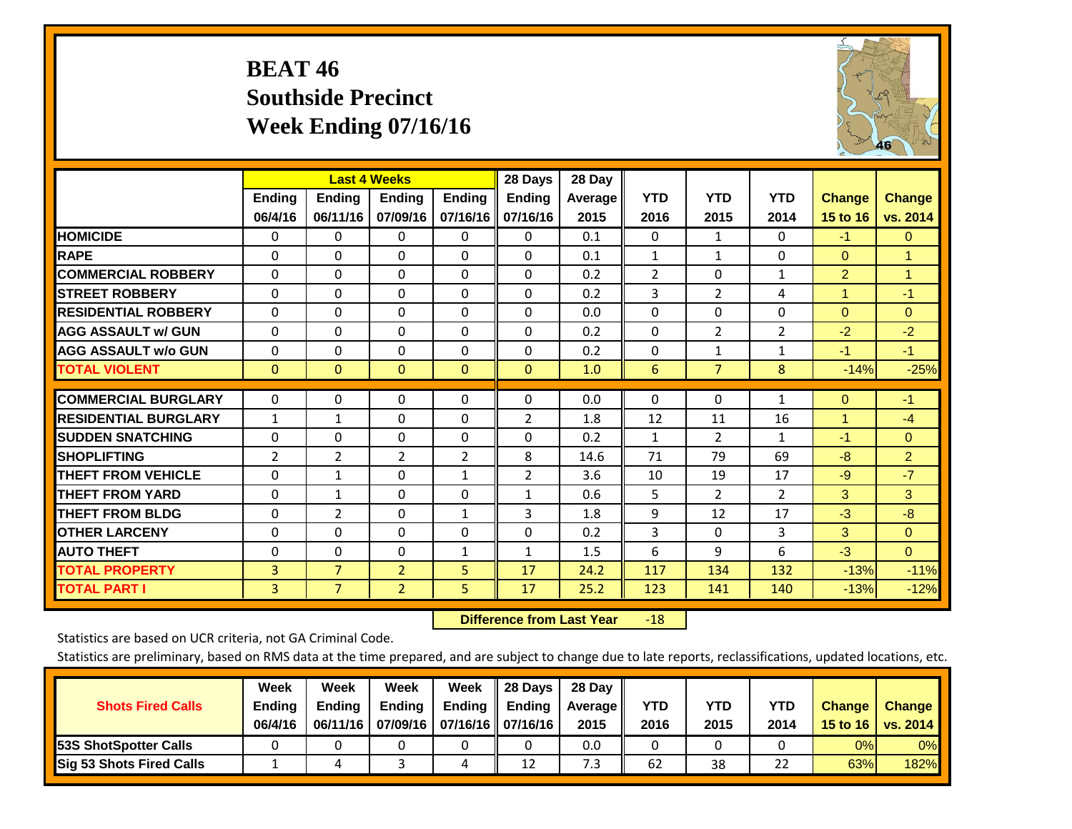# **BEAT 46 Southside Precinct Week Ending 07/16/16**



|                             |              | <b>Last 4 Weeks</b> |                |                | 28 Days        | 28 Day  |                |                |                |                |                |
|-----------------------------|--------------|---------------------|----------------|----------------|----------------|---------|----------------|----------------|----------------|----------------|----------------|
|                             | Ending       | <b>Ending</b>       | Ending         | <b>Ending</b>  | <b>Ending</b>  | Average | <b>YTD</b>     | <b>YTD</b>     | <b>YTD</b>     | <b>Change</b>  | <b>Change</b>  |
|                             | 06/4/16      | 06/11/16            | 07/09/16       | 07/16/16       | 07/16/16       | 2015    | 2016           | 2015           | 2014           | 15 to 16       | vs. 2014       |
| <b>HOMICIDE</b>             | $\Omega$     | 0                   | 0              | 0              | 0              | 0.1     | $\Omega$       | $\mathbf{1}$   | 0              | $-1$           | $\mathbf{0}$   |
| <b>RAPE</b>                 | $\Omega$     | $\Omega$            | $\Omega$       | $\Omega$       | $\Omega$       | 0.1     | $\mathbf{1}$   | $\mathbf{1}$   | 0              | $\Omega$       | $\overline{1}$ |
| <b>COMMERCIAL ROBBERY</b>   | $\Omega$     | $\Omega$            | $\Omega$       | $\Omega$       | $\Omega$       | 0.2     | $\overline{2}$ | $\Omega$       | $\mathbf{1}$   | $\overline{2}$ | $\mathbf{1}$   |
| <b>STREET ROBBERY</b>       | $\mathbf{0}$ | $\Omega$            | $\Omega$       | $\mathbf{0}$   | $\Omega$       | 0.2     | 3              | $\overline{2}$ | 4              | $\overline{1}$ | $-1$           |
| <b>RESIDENTIAL ROBBERY</b>  | $\Omega$     | 0                   | $\Omega$       | $\mathbf{0}$   | $\Omega$       | 0.0     | $\mathbf{0}$   | 0              | 0              | $\Omega$       | $\Omega$       |
| <b>AGG ASSAULT w/ GUN</b>   | $\Omega$     | $\Omega$            | $\Omega$       | $\Omega$       | 0              | 0.2     | $\Omega$       | $\overline{2}$ | $\overline{2}$ | $-2$           | $-2$           |
| <b>AGG ASSAULT w/o GUN</b>  | $\Omega$     | $\Omega$            | $\Omega$       | $\mathbf{0}$   | $\Omega$       | 0.2     | $\mathbf{0}$   | $\mathbf{1}$   | $\mathbf{1}$   | $-1$           | $-1$           |
| <b>TOTAL VIOLENT</b>        | $\mathbf{0}$ | $\mathbf{0}$        | $\Omega$       | $\mathbf{0}$   | $\mathbf{0}$   | 1.0     | 6              | $\overline{7}$ | 8              | $-14%$         | $-25%$         |
|                             |              |                     |                |                |                |         |                |                |                |                |                |
| <b>COMMERCIAL BURGLARY</b>  | 0            | 0                   | 0              | 0              | $\Omega$       | 0.0     | $\mathbf 0$    | $\mathbf{0}$   | 1              | $\mathbf{0}$   | $-1$           |
| <b>RESIDENTIAL BURGLARY</b> | $\mathbf{1}$ | 1                   | $\Omega$       | $\mathbf{0}$   | $\overline{2}$ | 1.8     | 12             | 11             | 16             | 1              | $-4$           |
| <b>ISUDDEN SNATCHING</b>    | 0            | 0                   | $\Omega$       | 0              | 0              | 0.2     | 1              | $\overline{2}$ | $\mathbf{1}$   | $-1$           | $\mathbf{0}$   |
| <b>SHOPLIFTING</b>          | 2            | $\overline{2}$      | $\overline{2}$ | $\overline{2}$ | 8              | 14.6    | 71             | 79             | 69             | $-8$           | $\overline{2}$ |
| <b>THEFT FROM VEHICLE</b>   | $\Omega$     | $\mathbf{1}$        | $\Omega$       | $\mathbf{1}$   | $\overline{2}$ | 3.6     | 10             | 19             | 17             | $-9$           | $-7$           |
| <b>THEFT FROM YARD</b>      | $\Omega$     | 1                   | $\Omega$       | $\mathbf{0}$   | 1              | 0.6     | 5              | $\overline{2}$ | $\overline{2}$ | 3              | 3              |
| <b>THEFT FROM BLDG</b>      | 0            | $\overline{2}$      | $\Omega$       | $\mathbf{1}$   | 3              | 1.8     | 9              | 12             | 17             | $-3$           | $-8$           |
| <b>OTHER LARCENY</b>        | $\Omega$     | $\Omega$            | $\Omega$       | $\mathbf{0}$   | $\Omega$       | 0.2     | 3              | $\Omega$       | 3              | 3              | $\mathbf{0}$   |
| <b>AUTO THEFT</b>           | $\Omega$     | $\Omega$            | $\Omega$       | $\mathbf{1}$   | $\mathbf{1}$   | 1.5     | 6              | 9              | 6              | $-3$           | $\mathbf{0}$   |
| <b>TOTAL PROPERTY</b>       | 3            | $\overline{7}$      | $\overline{2}$ | 5              | 17             | 24.2    | 117            | 134            | 132            | $-13%$         | $-11%$         |
| <b>TOTAL PART I</b>         | 3            | $\overline{7}$      | $\overline{2}$ | 5              | 17             | 25.2    | 123            | 141            | 140            | $-13%$         | $-12%$         |

 **Difference from Last Year**r -18

Statistics are based on UCR criteria, not GA Criminal Code.

| <b>Shots Fired Calls</b>        | Week<br><b>Ending</b><br>06/4/16 | Week<br><b>Endina</b><br>06/11/16 | Week<br>Ending | Week<br>Ending<br>07/09/16   07/16/16   07/16/16 | 28 Days<br><b>Ending</b> | 28 Day<br>Average II<br>2015 | YTD<br>2016 | YTD<br>2015 | YTD<br>2014 | <b>Change</b><br>15 to 16 | <b>Change</b><br>vs. 2014 |
|---------------------------------|----------------------------------|-----------------------------------|----------------|--------------------------------------------------|--------------------------|------------------------------|-------------|-------------|-------------|---------------------------|---------------------------|
| <b>153S ShotSpotter Calls</b>   |                                  |                                   |                |                                                  |                          | 0.0                          |             |             |             | 0%                        | 0%                        |
| <b>Sig 53 Shots Fired Calls</b> |                                  |                                   |                |                                                  | 12                       | 7.3                          | 62          | 38          | 22          | 63%                       | 182%                      |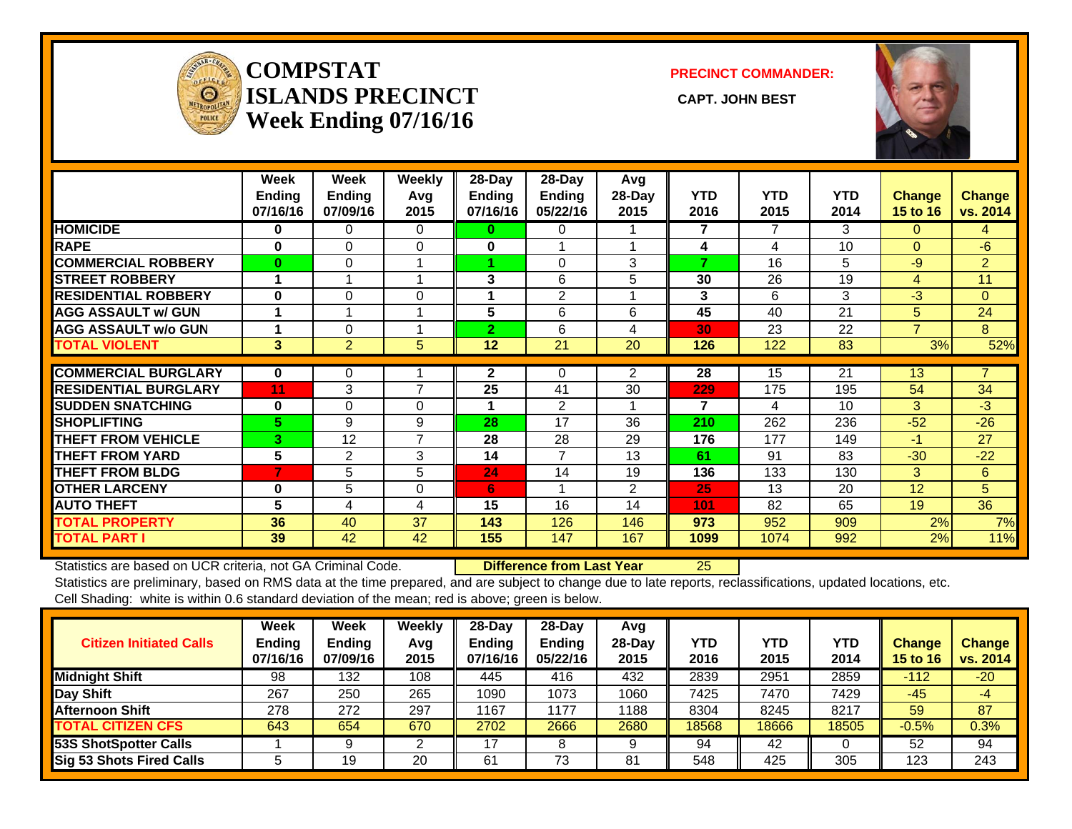

#### **COMPSTATISLANDS PRECINCT** CAPT. JOHN BEST **Week Ending 07/16/16**

**PRECINCT COMMANDER:**



|                             | Week<br><b>Ending</b> | Week<br><b>Endina</b> | <b>Weekly</b><br>Avg | 28-Day<br>Ending | 28-Day<br><b>Ending</b> | Avg<br>$28$ -Day | <b>YTD</b> | <b>YTD</b> | <b>YTD</b> | Change         | <b>Change</b>  |
|-----------------------------|-----------------------|-----------------------|----------------------|------------------|-------------------------|------------------|------------|------------|------------|----------------|----------------|
|                             | 07/16/16              | 07/09/16              | 2015                 | 07/16/16         | 05/22/16                | 2015             | 2016       | 2015       | 2014       | 15 to 16       | vs. 2014       |
| <b>HOMICIDE</b>             | $\bf{0}$              | $\Omega$              | $\Omega$             | 0                | 0                       |                  | 7          | 7          | 3          | 0              | 4              |
| <b>RAPE</b>                 | $\bf{0}$              | $\Omega$              | $\Omega$             | 0                |                         |                  | 4          | 4          | 10         | $\Omega$       | $-6$           |
| <b>COMMERCIAL ROBBERY</b>   | $\bf{0}$              | $\Omega$              |                      |                  | $\Omega$                | 3                | 7          | 16         | 5          | $-9$           | $\overline{2}$ |
| <b>ISTREET ROBBERY</b>      |                       |                       |                      | 3                | 6                       | 5                | 30         | 26         | 19         | 4              | 11             |
| <b>RESIDENTIAL ROBBERY</b>  | $\bf{0}$              | $\Omega$              | $\Omega$             | 4                | 2                       |                  | 3          | 6          | 3          | $-3$           | $\Omega$       |
| <b>AGG ASSAULT w/ GUN</b>   |                       |                       |                      | 5                | 6                       | 6                | 45         | 40         | 21         | 5              | 24             |
| <b>AGG ASSAULT w/o GUN</b>  |                       | 0                     |                      | $\overline{2}$   | 6                       | 4                | 30         | 23         | 22         | $\overline{7}$ | 8              |
| <b>TOTAL VIOLENT</b>        | 3 <sup>1</sup>        | $\overline{2}$        | 5                    | 12               | 21                      | 20               | 126        | 122        | 83         | 3%             | 52%            |
|                             |                       |                       |                      |                  |                         |                  |            |            |            |                |                |
| <b>COMMERCIAL BURGLARY</b>  | $\bf{0}$              | 0                     |                      | $\mathbf{2}$     | 0                       | 2                | 28         | 15         | 21         | 13             | $\overline{7}$ |
| <b>RESIDENTIAL BURGLARY</b> | 11                    | 3                     | $\overline{7}$       | 25               | 41                      | 30               | 229        | 175        | 195        | 54             | 34             |
| <b>SUDDEN SNATCHING</b>     | $\bf{0}$              | $\Omega$              | $\Omega$             |                  | 2                       |                  | 7          | 4          | 10         | 3              | $-3$           |
| <b>ISHOPLIFTING</b>         | 5.                    | 9                     | 9                    | 28               | 17                      | 36               | 210        | 262        | 236        | $-52$          | $-26$          |
| <b>THEFT FROM VEHICLE</b>   | 3.                    | 12                    | $\overline{7}$       | 28               | 28                      | 29               | 176        | 177        | 149        | $-1$           | 27             |
| <b>THEFT FROM YARD</b>      | 5                     | 2                     | 3                    | 14               | 7                       | 13               | 61         | 91         | 83         | $-30$          | $-22$          |
| <b>THEFT FROM BLDG</b>      | 7                     | 5                     | 5                    | 24               | 14                      | 19               | 136        | 133        | 130        | 3              | 6              |
| <b>OTHER LARCENY</b>        | $\bf{0}$              | 5                     | $\Omega$             | 6                |                         | $\overline{2}$   | 25         | 13         | 20         | 12             | 5              |
| <b>AUTO THEFT</b>           | 5                     | 4                     | 4                    | 15               | 16                      | 14               | 101        | 82         | 65         | 19             | 36             |
| <b>TOTAL PROPERTY</b>       | 36                    | 40                    | 37                   | 143              | 126                     | 146              | 973        | 952        | 909        | 2%             | 7%             |
| <b>TOTAL PART I</b>         | 39                    | 42                    | 42                   | 155              | 147                     | 167              | 1099       | 1074       | 992        | 2%             | 11%            |

Statistics are based on UCR criteria, not GA Criminal Code. **Difference from Last Year** 25 Statistics are preliminary, based on RMS data at the time prepared, and are subject to change due to late reports, reclassifications, updated locations, etc. Cell Shading: white is within 0.6 standard deviation of the mean; red is above; green is below.

| <b>Citizen Initiated Calls</b>  | <b>Week</b><br><b>Ending</b><br>07/16/16 | <b>Week</b><br>Ending<br>07/09/16 | Weekly<br>Avg<br>2015 | $28$ -Day<br>Ending<br>07/16/16 | $28$ -Dav<br><b>Ending</b><br>05/22/16 | Avg<br>$28-Day$<br>2015 | YTD<br>2016 | YTD<br>2015 | <b>YTD</b><br>2014 | Change<br><b>15 to 16</b> | <b>Change</b><br>vs. 2014 |
|---------------------------------|------------------------------------------|-----------------------------------|-----------------------|---------------------------------|----------------------------------------|-------------------------|-------------|-------------|--------------------|---------------------------|---------------------------|
| <b>Midnight Shift</b>           | 98                                       | 132                               | 108                   | 445                             | 416                                    | 432                     | 2839        | 2951        | 2859               | $-112$                    | $-20$                     |
| Day Shift                       | 267                                      | 250                               | 265                   | 1090                            | 1073                                   | 1060                    | 7425        | 7470        | 7429               | $-45$                     | $-4$                      |
| <b>Afternoon Shift</b>          | 278                                      | 272                               | 297                   | 1167                            | 177                                    | 1188                    | 8304        | 8245        | 8217               | 59                        | 87                        |
| <b>TOTAL CITIZEN CFS</b>        | 643                                      | 654                               | 670                   | 2702                            | 2666                                   | 2680                    | 18568       | 8666        | 18505              | $-0.5%$                   | $0.3\%$                   |
| <b>53S ShotSpotter Calls</b>    |                                          |                                   |                       | 17                              |                                        | 9                       | 94          | 42          |                    | 52                        | 94                        |
| <b>Sig 53 Shots Fired Calls</b> | э                                        | 19                                | 20                    | 61                              | 73                                     | 81                      | 548         | 425         | 305                | 123                       | 243                       |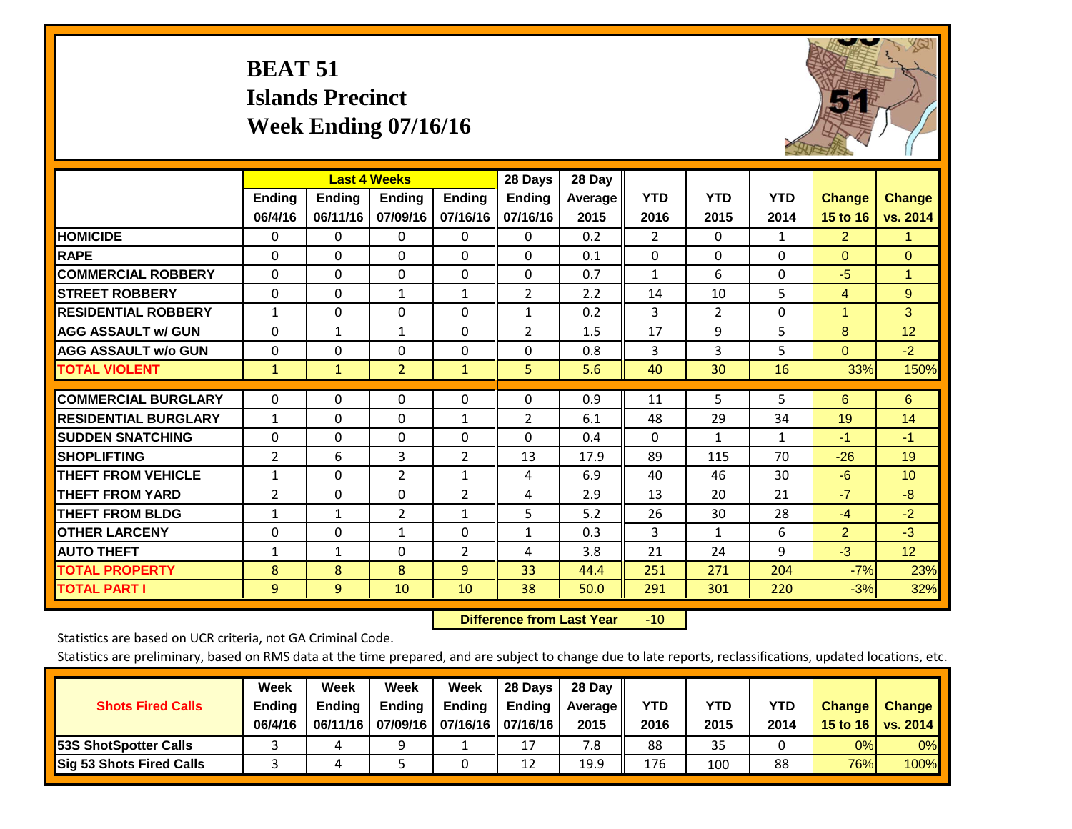# **BEAT 51 Islands Precinct Week Ending 07/16/16**



|                             |                | <b>Last 4 Weeks</b> |                |                | 28 Days        | 28 Day  |                |                |            |                      |                 |
|-----------------------------|----------------|---------------------|----------------|----------------|----------------|---------|----------------|----------------|------------|----------------------|-----------------|
|                             | Ending         | <b>Ending</b>       | Ending         | <b>Ending</b>  | <b>Ending</b>  | Average | <b>YTD</b>     | <b>YTD</b>     | <b>YTD</b> | <b>Change</b>        | <b>Change</b>   |
|                             | 06/4/16        | 06/11/16            | 07/09/16       | 07/16/16       | 07/16/16       | 2015    | 2016           | 2015           | 2014       | 15 to 16             | vs. 2014        |
| <b>HOMICIDE</b>             | $\mathbf{0}$   | $\Omega$            | $\mathbf{0}$   | $\Omega$       | 0              | 0.2     | $\overline{2}$ | $\Omega$       | 1          | $\overline{2}$       | 1.              |
| <b>RAPE</b>                 | 0              | $\Omega$            | $\Omega$       | $\Omega$       | $\Omega$       | 0.1     | $\Omega$       | $\Omega$       | $\Omega$   | $\Omega$             | $\Omega$        |
| <b>COMMERCIAL ROBBERY</b>   | $\Omega$       | 0                   | $\Omega$       | $\Omega$       | $\Omega$       | 0.7     | 1              | 6              | 0          | $-5$                 | $\mathbf{1}$    |
| <b>STREET ROBBERY</b>       | $\Omega$       | $\Omega$            | $\mathbf{1}$   | $\mathbf{1}$   | $\overline{2}$ | 2.2     | 14             | 10             | 5          | 4                    | 9               |
| <b>RESIDENTIAL ROBBERY</b>  | $\mathbf{1}$   | $\Omega$            | $\Omega$       | $\Omega$       | $\mathbf{1}$   | 0.2     | 3              | $\overline{2}$ | $\Omega$   | $\blacktriangleleft$ | 3               |
| <b>AGG ASSAULT w/ GUN</b>   | $\Omega$       | 1                   | $\mathbf{1}$   | $\mathbf{0}$   | $\overline{2}$ | 1.5     | 17             | 9              | 5          | 8                    | 12              |
| <b>AGG ASSAULT w/o GUN</b>  | $\Omega$       | 0                   | $\Omega$       | $\Omega$       | $\Omega$       | 0.8     | 3              | 3              | 5          | $\mathbf{0}$         | $-2$            |
| <b>TOTAL VIOLENT</b>        | $\mathbf{1}$   | $\mathbf{1}$        | $\overline{2}$ | 1              | 5              | 5.6     | 40             | 30             | 16         | 33%                  | 150%            |
|                             |                |                     |                |                |                |         |                |                |            |                      |                 |
| <b>COMMERCIAL BURGLARY</b>  | $\Omega$       | 0                   | 0              | 0              | 0              | 0.9     | 11             | 5              | 5          | 6                    | 6               |
| <b>RESIDENTIAL BURGLARY</b> | $\mathbf{1}$   | $\Omega$            | $\Omega$       | 1              | $\overline{2}$ | 6.1     | 48             | 29             | 34         | 19                   | 14              |
| <b>ISUDDEN SNATCHING</b>    | 0              | 0                   | $\Omega$       | $\Omega$       | $\Omega$       | 0.4     | 0              | $\mathbf{1}$   | 1          | $-1$                 | $-1$            |
| <b>SHOPLIFTING</b>          | 2              | 6                   | 3              | $\overline{2}$ | 13             | 17.9    | 89             | 115            | 70         | $-26$                | 19              |
| <b>THEFT FROM VEHICLE</b>   | $\mathbf{1}$   | $\Omega$            | $\overline{2}$ | $\mathbf{1}$   | 4              | 6.9     | 40             | 46             | 30         | $-6$                 | 10              |
| <b>THEFT FROM YARD</b>      | $\overline{2}$ | $\Omega$            | $\Omega$       | 2              | 4              | 2.9     | 13             | 20             | 21         | $-7$                 | $-8$            |
| <b>THEFT FROM BLDG</b>      | 1              | 1                   | 2              | $\mathbf{1}$   | 5              | 5.2     | 26             | 30             | 28         | $-4$                 | $-2$            |
| <b>OTHER LARCENY</b>        | 0              | 0                   | $\mathbf{1}$   | $\Omega$       | $\mathbf{1}$   | 0.3     | 3              | $\mathbf{1}$   | 6          | 2                    | $-3$            |
| <b>AUTO THEFT</b>           | $\mathbf{1}$   | $\mathbf{1}$        | $\Omega$       | 2              | 4              | 3.8     | 21             | 24             | 9          | $-3$                 | 12 <sub>2</sub> |
| <b>TOTAL PROPERTY</b>       | 8              | 8                   | 8              | 9              | 33             | 44.4    | 251            | 271            | 204        | $-7%$                | 23%             |
| <b>TOTAL PART I</b>         | 9              | $\overline{9}$      | 10             | 10             | 38             | 50.0    | 291            | 301            | 220        | $-3%$                | 32%             |

 **Difference from Last Year**r -10

Statistics are based on UCR criteria, not GA Criminal Code.

| <b>Shots Fired Calls</b>        | Week<br><b>Ending</b><br>06/4/16 | Week<br><b>Endina</b><br>06/11/16 | <b>Week</b><br>Ending | Week<br>Ending<br>07/09/16   07/16/16   07/16/16 | 28 Days<br><b>Ending</b> | 28 Day<br>Average II<br>2015 | YTD<br>2016 | YTD<br>2015 | YTD<br>2014 | <b>Change</b><br>15 to 16 | <b>Change</b><br>vs. 2014 |
|---------------------------------|----------------------------------|-----------------------------------|-----------------------|--------------------------------------------------|--------------------------|------------------------------|-------------|-------------|-------------|---------------------------|---------------------------|
| <b>153S ShotSpotter Calls</b>   |                                  |                                   | ۵                     |                                                  | 17                       | 7.8                          | 88          | 35          |             | 0%                        | 0%                        |
| <b>Sig 53 Shots Fired Calls</b> |                                  |                                   |                       |                                                  | 12                       | 19.9                         | 176         | 100         | 88          | 76%                       | 100%                      |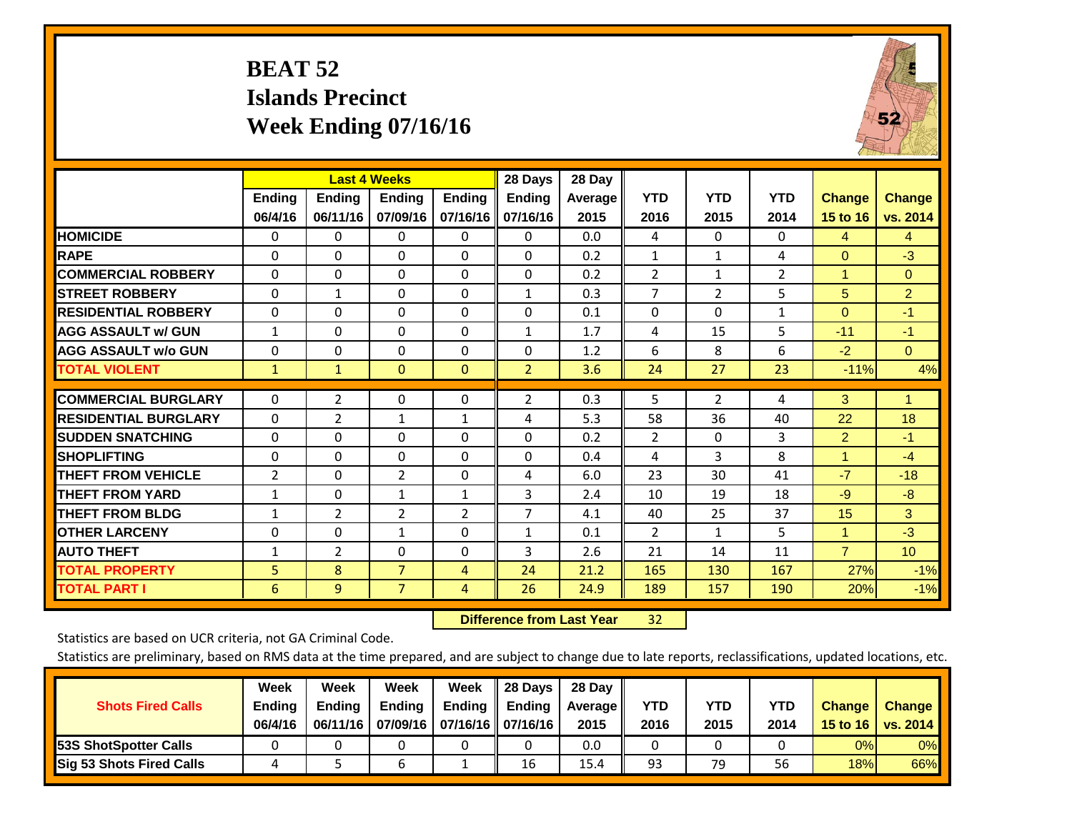# **BEAT 52 Islands Precinct Week Ending 07/16/16**



|                             |                          |                           | <b>Last 4 Weeks</b>       |                           | 28 Days                   | 28 Day          |                    |                    |                    |                           |                           |
|-----------------------------|--------------------------|---------------------------|---------------------------|---------------------------|---------------------------|-----------------|--------------------|--------------------|--------------------|---------------------------|---------------------------|
|                             | <b>Ending</b><br>06/4/16 | <b>Ending</b><br>06/11/16 | <b>Endina</b><br>07/09/16 | <b>Ending</b><br>07/16/16 | <b>Endina</b><br>07/16/16 | Average<br>2015 | <b>YTD</b><br>2016 | <b>YTD</b><br>2015 | <b>YTD</b><br>2014 | <b>Change</b><br>15 to 16 | <b>Change</b><br>vs. 2014 |
| <b>HOMICIDE</b>             | 0                        | 0                         | $\Omega$                  | 0                         | 0                         | 0.0             | 4                  | $\Omega$           | 0                  | 4                         | $\overline{4}$            |
| <b>RAPE</b>                 | 0                        | 0                         | $\Omega$                  | $\Omega$                  | $\Omega$                  | 0.2             | $\mathbf{1}$       | $\mathbf{1}$       | 4                  | $\Omega$                  | $-3$                      |
| <b>COMMERCIAL ROBBERY</b>   | $\Omega$                 | $\Omega$                  | $\Omega$                  | $\Omega$                  | $\Omega$                  | 0.2             | $\overline{2}$     | $\mathbf{1}$       | $\overline{2}$     | 1                         | $\Omega$                  |
| <b>ISTREET ROBBERY</b>      | $\Omega$                 | 1                         | $\Omega$                  | $\Omega$                  | $\mathbf{1}$              | 0.3             | $\overline{7}$     | $\overline{2}$     | 5                  | 5                         | $\overline{2}$            |
| <b>RESIDENTIAL ROBBERY</b>  | $\Omega$                 | 0                         | 0                         | $\Omega$                  | $\Omega$                  | 0.1             | 0                  | $\Omega$           | $\mathbf{1}$       | $\Omega$                  | $-1$                      |
| <b>AGG ASSAULT w/ GUN</b>   | $\mathbf{1}$             | 0                         | $\Omega$                  | $\mathbf{0}$              | $\mathbf{1}$              | 1.7             | 4                  | 15                 | 5                  | $-11$                     | $-1$                      |
| <b>AGG ASSAULT w/o GUN</b>  | $\Omega$                 | 0                         | $\Omega$                  | $\mathbf{0}$              | $\Omega$                  | 1.2             | 6                  | 8                  | 6                  | $-2$                      | $\Omega$                  |
| <b>TOTAL VIOLENT</b>        | $\mathbf{1}$             | $\mathbf{1}$              | $\mathbf{0}$              | $\mathbf{0}$              | $\overline{2}$            | 3.6             | 24                 | 27                 | 23                 | $-11%$                    | 4%                        |
| <b>COMMERCIAL BURGLARY</b>  | $\Omega$                 | $\overline{2}$            | 0                         | $\Omega$                  | 2                         | 0.3             | 5                  | $\overline{2}$     | 4                  | 3                         | 1                         |
| <b>RESIDENTIAL BURGLARY</b> | 0                        | 2                         | 1                         | 1                         | 4                         | 5.3             | 58                 | 36                 | 40                 | 22                        | 18                        |
| <b>SUDDEN SNATCHING</b>     | 0                        | 0                         | $\Omega$                  | $\Omega$                  | 0                         | 0.2             | 2                  | $\Omega$           | 3                  | $\overline{2}$            | $-1$                      |
| <b>SHOPLIFTING</b>          | 0                        | $\Omega$                  | 0                         | $\Omega$                  | $\Omega$                  | 0.4             | 4                  | 3                  | 8                  | 1                         | $-4$                      |
| <b>THEFT FROM VEHICLE</b>   | $\overline{2}$           | 0                         | 2                         | $\Omega$                  | 4                         | 6.0             | 23                 | 30                 | 41                 | $-7$                      | $-18$                     |
| <b>THEFT FROM YARD</b>      | $\mathbf{1}$             | $\Omega$                  | $\mathbf{1}$              | $\mathbf{1}$              | 3                         | 2.4             | 10                 | 19                 | 18                 | $-9$                      | $-8$                      |
| <b>THEFT FROM BLDG</b>      | 1                        | 2                         | $\overline{2}$            | $\overline{2}$            | 7                         | 4.1             | 40                 | 25                 | 37                 | 15                        | 3                         |
| <b>OTHER LARCENY</b>        | 0                        | 0                         | $\mathbf{1}$              | $\Omega$                  | $\mathbf{1}$              | 0.1             | $\overline{2}$     | $\mathbf{1}$       | 5                  | 1                         | $-3$                      |
| <b>AUTO THEFT</b>           | $\mathbf{1}$             | $\overline{2}$            | 0                         | $\Omega$                  | 3                         | 2.6             | 21                 | 14                 | 11                 | $\overline{7}$            | 10                        |
| <b>TOTAL PROPERTY</b>       | 5                        | 8                         | $\overline{7}$            | 4                         | 24                        | 21.2            | 165                | 130                | 167                | 27%                       | $-1%$                     |
| <b>TOTAL PART I</b>         | 6                        | $\overline{9}$            | $\overline{7}$            | 4                         | 26                        | 24.9            | 189                | 157                | 190                | 20%                       | $-1%$                     |

 **Difference from Last Year**32

Statistics are based on UCR criteria, not GA Criminal Code.

| <b>Shots Fired Calls</b>        | Week<br><b>Ending</b><br>06/4/16 | Week<br><b>Endina</b><br>06/11/16 | <b>Week</b><br>Ending | Week<br>Ending<br>07/09/16   07/16/16   07/16/16 | 28 Days<br><b>Ending</b> | 28 Day<br>Average II<br>2015 | YTD<br>2016 | YTD<br>2015 | YTD<br>2014 | <b>Change</b><br>15 to 16 | <b>Change</b><br>vs. 2014 |
|---------------------------------|----------------------------------|-----------------------------------|-----------------------|--------------------------------------------------|--------------------------|------------------------------|-------------|-------------|-------------|---------------------------|---------------------------|
| <b>153S ShotSpotter Calls</b>   |                                  |                                   |                       |                                                  |                          | 0.0                          |             |             |             | 0%                        | 0%                        |
| <b>Sig 53 Shots Fired Calls</b> |                                  |                                   |                       |                                                  | 16                       | 15.4                         | 93          | 79          | 56          | 18%                       | 66%                       |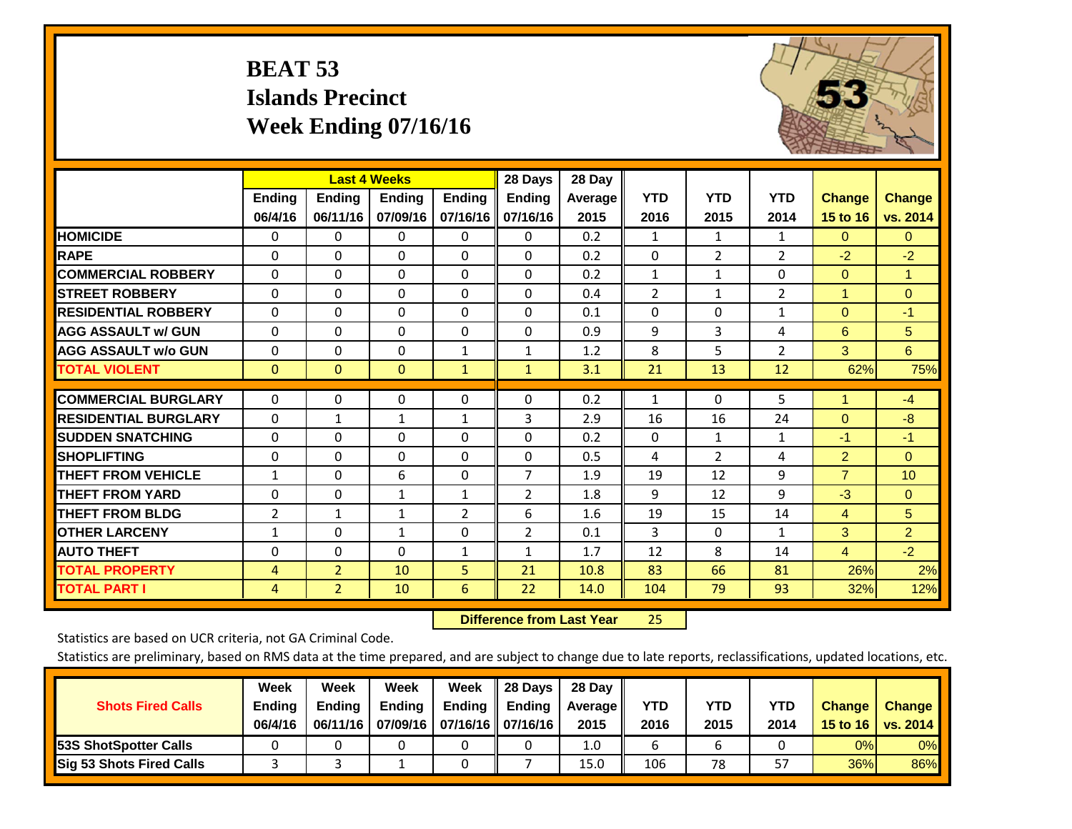# **BEAT 53 Islands Precinct Week Ending 07/16/16**



|                             |                |                | <b>Last 4 Weeks</b> |                | 28 Days        | 28 Day  |                |                |                |                |                |
|-----------------------------|----------------|----------------|---------------------|----------------|----------------|---------|----------------|----------------|----------------|----------------|----------------|
|                             | Ending         | <b>Ending</b>  | <b>Endina</b>       | <b>Endina</b>  | <b>Ending</b>  | Average | <b>YTD</b>     | <b>YTD</b>     | <b>YTD</b>     | <b>Change</b>  | <b>Change</b>  |
|                             | 06/4/16        | 06/11/16       | 07/09/16            | 07/16/16       | 07/16/16       | 2015    | 2016           | 2015           | 2014           | 15 to 16       | vs. 2014       |
| <b>HOMICIDE</b>             | 0              | $\Omega$       | 0                   | 0              | 0              | 0.2     | 1              | $\mathbf{1}$   | 1              | $\Omega$       | $\mathbf{0}$   |
| <b>RAPE</b>                 | $\Omega$       | $\Omega$       | $\Omega$            | $\Omega$       | $\Omega$       | 0.2     | $\mathbf{0}$   | $\overline{2}$ | $\overline{2}$ | $-2$           | $-2$           |
| <b>COMMERCIAL ROBBERY</b>   | $\Omega$       | $\Omega$       | $\Omega$            | 0              | $\Omega$       | 0.2     | 1              | 1              | $\Omega$       | $\mathbf{0}$   | $\mathbf{1}$   |
| <b>STREET ROBBERY</b>       | 0              | $\Omega$       | $\Omega$            | $\Omega$       | $\Omega$       | 0.4     | $\overline{2}$ | $\mathbf{1}$   | 2              | 1              | $\overline{0}$ |
| <b>RESIDENTIAL ROBBERY</b>  | 0              | $\Omega$       | $\Omega$            | 0              | $\Omega$       | 0.1     | $\mathbf{0}$   | $\Omega$       | 1              | $\mathbf{0}$   | $-1$           |
| <b>AGG ASSAULT w/ GUN</b>   | $\Omega$       | $\Omega$       | $\Omega$            | $\Omega$       | $\Omega$       | 0.9     | 9              | 3              | 4              | 6              | 5              |
| <b>AGG ASSAULT w/o GUN</b>  | $\Omega$       | $\Omega$       | $\Omega$            | 1              | 1              | 1.2     | 8              | 5              | $\overline{2}$ | 3              | 6              |
| <b>TOTAL VIOLENT</b>        | $\mathbf{0}$   | $\overline{0}$ | $\mathbf{0}$        | $\mathbf{1}$   | $\mathbf{1}$   | 3.1     | 21             | 13             | 12             | 62%            | 75%            |
|                             |                |                |                     |                |                |         |                |                |                |                |                |
| <b>COMMERCIAL BURGLARY</b>  | 0              | 0              | 0                   | 0              | $\Omega$       | 0.2     | 1              | 0              | 5              | 1              | $-4$           |
| <b>RESIDENTIAL BURGLARY</b> | $\Omega$       | $\mathbf{1}$   | $\mathbf{1}$        | $\mathbf{1}$   | 3              | 2.9     | 16             | 16             | 24             | $\mathbf{0}$   | $-8$           |
| <b>ISUDDEN SNATCHING</b>    | $\Omega$       | $\Omega$       | $\Omega$            | $\Omega$       | $\Omega$       | 0.2     | $\mathbf{0}$   | $\mathbf{1}$   | $\mathbf{1}$   | $-1$           | $-1$           |
| <b>SHOPLIFTING</b>          | $\Omega$       | $\Omega$       | $\Omega$            | 0              | $\Omega$       | 0.5     | 4              | $\overline{2}$ | 4              | $\overline{2}$ | $\Omega$       |
| <b>THEFT FROM VEHICLE</b>   | $\mathbf{1}$   | $\Omega$       | 6                   | 0              | $\overline{7}$ | 1.9     | 19             | 12             | 9              | $\overline{7}$ | 10             |
| <b>THEFT FROM YARD</b>      | 0              | $\Omega$       | $\mathbf{1}$        | $\mathbf{1}$   | $\overline{2}$ | 1.8     | 9              | 12             | 9              | $-3$           | $\Omega$       |
| <b>THEFT FROM BLDG</b>      | $\overline{2}$ | $\mathbf{1}$   | $\mathbf{1}$        | $\overline{2}$ | 6              | 1.6     | 19             | 15             | 14             | 4              | 5              |
| <b>OTHER LARCENY</b>        | 1              | $\Omega$       | $\mathbf{1}$        | 0              | 2              | 0.1     | 3              | $\Omega$       | 1              | 3              | $\overline{2}$ |
| <b>AUTO THEFT</b>           | 0              | $\Omega$       | $\Omega$            | $\mathbf{1}$   | $\mathbf{1}$   | 1.7     | 12             | 8              | 14             | $\overline{4}$ | $-2$           |
| <b>TOTAL PROPERTY</b>       | 4              | $\overline{2}$ | 10                  | 5              | 21             | 10.8    | 83             | 66             | 81             | 26%            | 2%             |
| <b>TOTAL PART I</b>         | 4              | $\overline{2}$ | 10                  | 6              | 22             | 14.0    | 104            | 79             | 93             | 32%            | 12%            |

 **Difference from Last Year**25

Statistics are based on UCR criteria, not GA Criminal Code.

| <b>Shots Fired Calls</b>        | Week<br><b>Ending</b><br>06/4/16 | Week<br><b>Endina</b><br>06/11/16 | Week<br>Ending | Week<br>Ending<br>07/09/16   07/16/16   07/16/16 | 28 Days<br><b>Ending</b> | 28 Day<br>Average II<br>2015 | YTD<br>2016 | YTD<br>2015 | YTD<br>2014 | <b>Change</b><br>15 to 16 | <b>Change</b><br>vs. 2014 |
|---------------------------------|----------------------------------|-----------------------------------|----------------|--------------------------------------------------|--------------------------|------------------------------|-------------|-------------|-------------|---------------------------|---------------------------|
| <b>153S ShotSpotter Calls</b>   |                                  |                                   |                |                                                  |                          | 1.0                          |             |             |             | 0%                        | 0%                        |
| <b>Sig 53 Shots Fired Calls</b> |                                  |                                   |                |                                                  |                          | 15.0                         | 106         | 78          | 57          | 36%                       | 86%                       |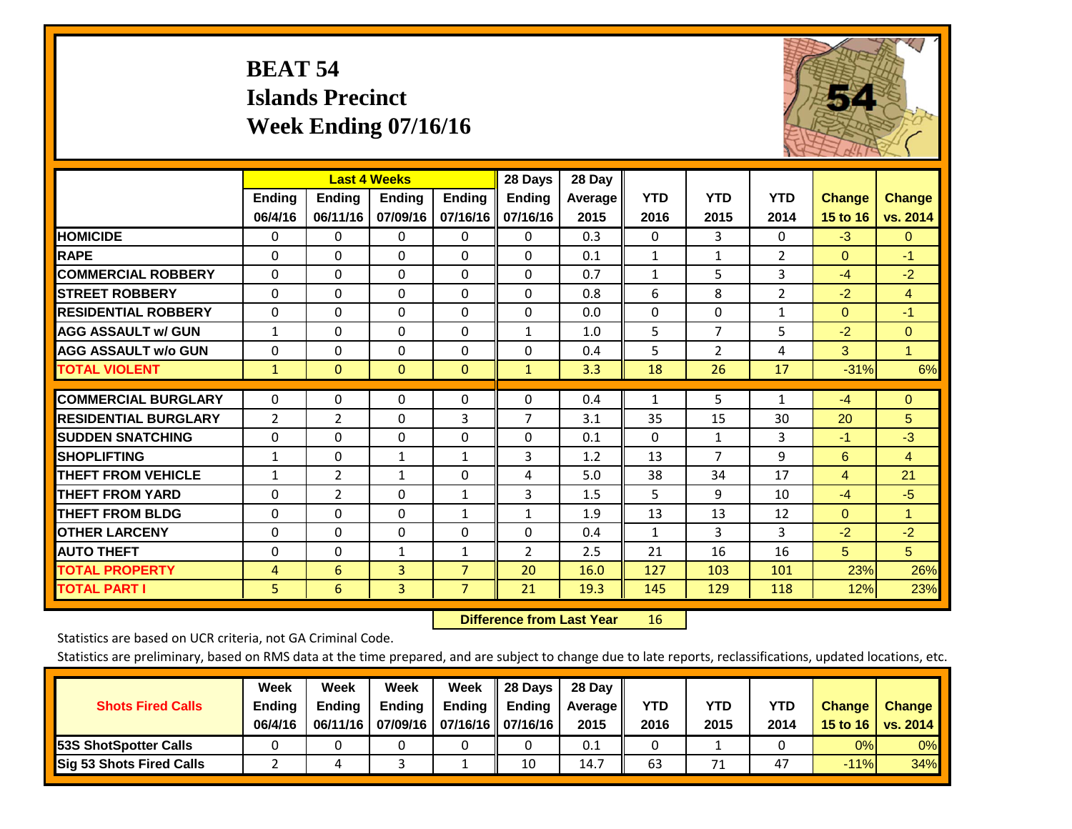# **BEAT 54 Islands Precinct Week Ending 07/16/16**



|                             |                | <b>Last 4 Weeks</b> |                |                | 28 Days        | 28 Day  |              |                |                |                |                |
|-----------------------------|----------------|---------------------|----------------|----------------|----------------|---------|--------------|----------------|----------------|----------------|----------------|
|                             | <b>Ending</b>  | Ending              | <b>Endina</b>  | <b>Ending</b>  | <b>Ending</b>  | Average | <b>YTD</b>   | <b>YTD</b>     | <b>YTD</b>     | <b>Change</b>  | <b>Change</b>  |
|                             | 06/4/16        | 06/11/16            | 07/09/16       | 07/16/16       | 07/16/16       | 2015    | 2016         | 2015           | 2014           | 15 to 16       | vs. 2014       |
| <b>HOMICIDE</b>             | 0              | $\Omega$            | 0              | 0              | 0              | 0.3     | $\Omega$     | 3              | 0              | $-3$           | $\mathbf{0}$   |
| <b>RAPE</b>                 | $\Omega$       | $\Omega$            | $\Omega$       | $\Omega$       | 0              | 0.1     | $\mathbf{1}$ | 1              | $\overline{2}$ | $\Omega$       | $-1$           |
| <b>COMMERCIAL ROBBERY</b>   | $\Omega$       | $\Omega$            | $\Omega$       | 0              | 0              | 0.7     | 1            | 5              | 3              | $-4$           | $-2$           |
| <b>STREET ROBBERY</b>       | $\Omega$       | $\Omega$            | $\Omega$       | $\Omega$       | 0              | 0.8     | 6            | 8              | $\overline{2}$ | $-2$           | $\overline{4}$ |
| <b>RESIDENTIAL ROBBERY</b>  | $\Omega$       | $\Omega$            | $\Omega$       | $\Omega$       | $\Omega$       | 0.0     | $\mathbf{0}$ | $\Omega$       | 1              | $\mathbf{0}$   | $-1$           |
| <b>AGG ASSAULT w/ GUN</b>   | $\mathbf{1}$   | $\Omega$            | $\mathbf{0}$   | $\Omega$       | $\mathbf{1}$   | 1.0     | 5            | $\overline{7}$ | 5              | $-2$           | $\mathbf{0}$   |
| <b>AGG ASSAULT w/o GUN</b>  | $\Omega$       | 0                   | $\Omega$       | 0              | 0              | 0.4     | 5            | $\overline{2}$ | 4              | 3              | $\mathbf{1}$   |
| <b>TOTAL VIOLENT</b>        | $\mathbf{1}$   | $\overline{0}$      | $\mathbf{0}$   | $\mathbf{0}$   | $\mathbf{1}$   | 3.3     | 18           | 26             | 17             | $-31%$         | 6%             |
| <b>COMMERCIAL BURGLARY</b>  | $\Omega$       | $\Omega$            | $\Omega$       | $\Omega$       | 0              | 0.4     | 1            | 5              | $\mathbf{1}$   | $-4$           | $\Omega$       |
| <b>RESIDENTIAL BURGLARY</b> | $\overline{2}$ | 2                   | $\Omega$       | 3              | $\overline{7}$ | 3.1     | 35           | 15             | 30             | 20             | 5              |
| <b>ISUDDEN SNATCHING</b>    | $\Omega$       | $\Omega$            | $\mathbf{0}$   | $\Omega$       | 0              | 0.1     | $\mathbf{0}$ | $\mathbf{1}$   | 3              | $-1$           | $-3$           |
| <b>SHOPLIFTING</b>          | $\mathbf{1}$   | $\Omega$            | $\mathbf{1}$   | $\mathbf{1}$   | 3              | 1.2     | 13           | $\overline{7}$ | 9              | 6              | $\overline{4}$ |
| <b>THEFT FROM VEHICLE</b>   | $\mathbf{1}$   | $\overline{2}$      | $\mathbf{1}$   | $\Omega$       | 4              | 5.0     | 38           | 34             | 17             | $\overline{4}$ | 21             |
| <b>THEFT FROM YARD</b>      | $\Omega$       | 2                   | $\Omega$       | $\mathbf{1}$   | 3              | 1.5     | 5            | 9              | 10             | $-4$           | $-5$           |
| <b>THEFT FROM BLDG</b>      | $\Omega$       | $\Omega$            | $\Omega$       | $\mathbf{1}$   | $\mathbf{1}$   | 1.9     | 13           | 13             | 12             | $\mathbf{0}$   | $\mathbf{1}$   |
| <b>OTHER LARCENY</b>        | $\Omega$       | $\Omega$            | $\Omega$       | $\Omega$       | 0              | 0.4     | $\mathbf{1}$ | 3              | 3              | $-2$           | $-2$           |
| <b>AUTO THEFT</b>           | 0              | $\Omega$            | $\mathbf{1}$   | 1              | $\overline{2}$ | 2.5     | 21           | 16             | 16             | 5 <sup>5</sup> | 5 <sup>5</sup> |
| <b>TOTAL PROPERTY</b>       | 4              | 6                   | 3              | $\overline{7}$ | 20             | 16.0    | 127          | 103            | 101            | 23%            | 26%            |
| <b>TOTAL PART I</b>         | 5              | 6                   | $\overline{3}$ | $\overline{7}$ | 21             | 19.3    | 145          | 129            | 118            | 12%            | 23%            |

 **Difference from Last Year**r 16

Statistics are based on UCR criteria, not GA Criminal Code.

| <b>Shots Fired Calls</b>        | Week<br><b>Ending</b><br>06/4/16 | Week<br><b>Endina</b><br>06/11/16 | Week<br>Ending | Week<br>Ending<br>07/09/16   07/16/16   07/16/16 | 28 Days<br><b>Ending</b> | 28 Day<br>Average II<br>2015 | YTD<br>2016 | YTD<br>2015 | <b>YTD</b><br>2014 | <b>Change</b><br>15 to 16 | <b>Change</b><br>vs. 2014 |
|---------------------------------|----------------------------------|-----------------------------------|----------------|--------------------------------------------------|--------------------------|------------------------------|-------------|-------------|--------------------|---------------------------|---------------------------|
| <b>153S ShotSpotter Calls</b>   |                                  |                                   |                |                                                  |                          | 0.1                          |             |             |                    | 0%                        | 0%                        |
| <b>Sig 53 Shots Fired Calls</b> |                                  |                                   |                |                                                  | 10                       | 14.7                         | 63          | 71          | 47                 | $-11%$                    | 34%                       |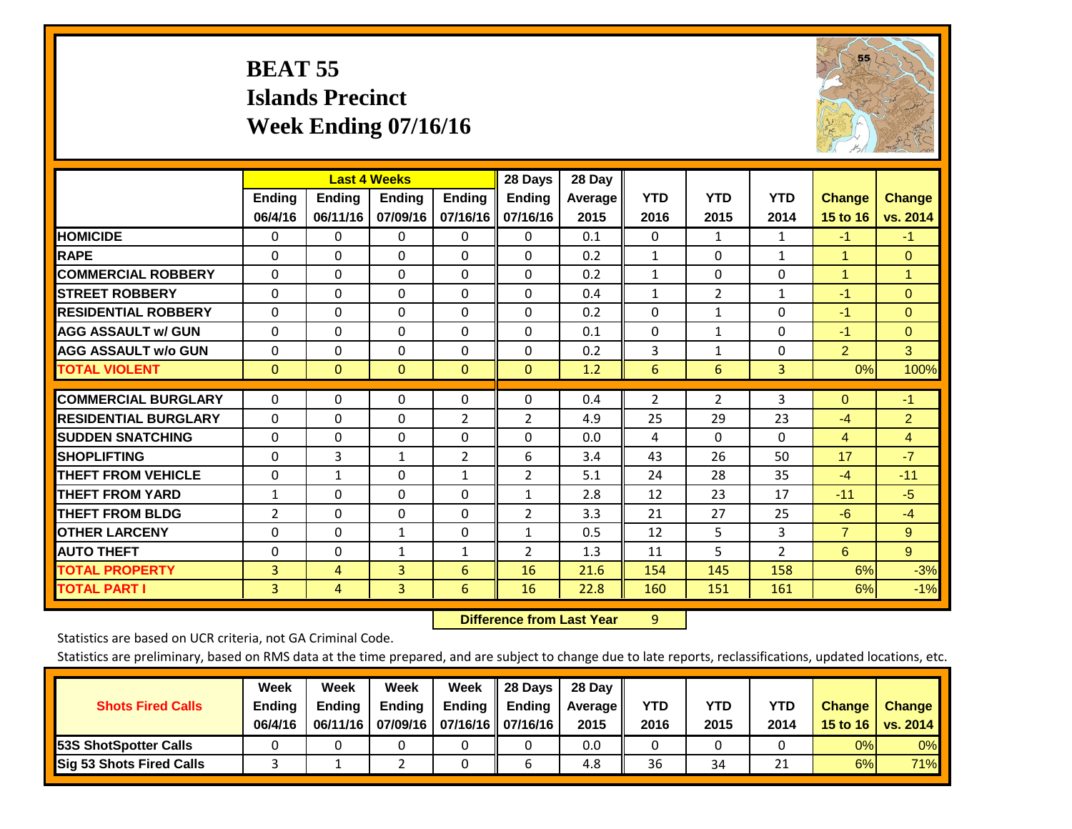# **BEAT 55 Islands Precinct Week Ending 07/16/16**



|                             | <b>Last 4 Weeks</b> |               |                |                | 28 Days        | 28 Day  |                |                |                |                |                      |
|-----------------------------|---------------------|---------------|----------------|----------------|----------------|---------|----------------|----------------|----------------|----------------|----------------------|
|                             | <b>Ending</b>       | <b>Ending</b> | Ending         | <b>Ending</b>  | <b>Ending</b>  | Average | <b>YTD</b>     | <b>YTD</b>     | <b>YTD</b>     | <b>Change</b>  | <b>Change</b>        |
|                             | 06/4/16             | 06/11/16      | 07/09/16       | 07/16/16       | 07/16/16       | 2015    | 2016           | 2015           | 2014           | 15 to 16       | vs. 2014             |
| <b>HOMICIDE</b>             | 0                   | 0             | $\Omega$       | $\Omega$       | $\mathbf{0}$   | 0.1     | $\mathbf{0}$   | 1              | 1              | $-1$           | $-1$                 |
| <b>RAPE</b>                 | 0                   | $\Omega$      | $\Omega$       | $\Omega$       | $\Omega$       | 0.2     | 1              | $\Omega$       | $\mathbf{1}$   | 1              | $\mathbf{0}$         |
| <b>COMMERCIAL ROBBERY</b>   | $\Omega$            | 0             | $\Omega$       | 0              | $\Omega$       | 0.2     | 1              | $\mathbf{0}$   | 0              | $\overline{1}$ | $\blacktriangleleft$ |
| <b>ISTREET ROBBERY</b>      | $\Omega$            | $\Omega$      | $\Omega$       | $\Omega$       | $\Omega$       | 0.4     | $\mathbf{1}$   | $\overline{2}$ | $\mathbf{1}$   | -1             | $\Omega$             |
| <b>RESIDENTIAL ROBBERY</b>  | $\Omega$            | 0             | $\Omega$       | $\Omega$       | $\Omega$       | 0.2     | $\Omega$       | 1              | 0              | $-1$           | $\Omega$             |
| <b>AGG ASSAULT w/ GUN</b>   | $\Omega$            | 0             | $\mathbf{0}$   | $\mathbf{0}$   | $\Omega$       | 0.1     | $\Omega$       | $\mathbf{1}$   | 0              | $-1$           | $\mathbf{0}$         |
| <b>AGG ASSAULT w/o GUN</b>  | $\Omega$            | 0             | $\Omega$       | $\Omega$       | $\Omega$       | 0.2     | 3              | 1              | 0              | $\overline{2}$ | 3                    |
| <b>TOTAL VIOLENT</b>        | $\mathbf{0}$        | $\mathbf{0}$  | $\mathbf{0}$   | $\mathbf{0}$   | $\mathbf{0}$   | 1.2     | 6              | 6              | 3              | 0%             | 100%                 |
| <b>COMMERCIAL BURGLARY</b>  | $\Omega$            | 0             | 0              | 0              | $\Omega$       | 0.4     | $\overline{2}$ | $\overline{2}$ | 3              | $\mathbf{0}$   | $-1$                 |
|                             |                     |               |                |                |                |         |                |                |                |                |                      |
| <b>RESIDENTIAL BURGLARY</b> | $\Omega$            | $\Omega$      | $\Omega$       | $\overline{2}$ | $\overline{2}$ | 4.9     | 25             | 29             | 23             | $-4$           | $\overline{2}$       |
| <b>ISUDDEN SNATCHING</b>    | $\Omega$            | 0             | $\mathbf{0}$   | $\mathbf{0}$   | $\Omega$       | 0.0     | 4              | $\Omega$       | $\Omega$       | 4              | 4                    |
| <b>SHOPLIFTING</b>          | 0                   | 3             | 1              | $\overline{2}$ | 6              | 3.4     | 43             | 26             | 50             | 17             | $-7$                 |
| <b>THEFT FROM VEHICLE</b>   | $\Omega$            | $\mathbf{1}$  | $\Omega$       | $\mathbf{1}$   | 2              | 5.1     | 24             | 28             | 35             | $-4$           | $-11$                |
| <b>THEFT FROM YARD</b>      | $\mathbf{1}$        | $\Omega$      | $\Omega$       | 0              | 1              | 2.8     | 12             | 23             | 17             | $-11$          | $-5$                 |
| <b>THEFT FROM BLDG</b>      | 2                   | 0             | $\mathbf{0}$   | 0              | $\overline{2}$ | 3.3     | 21             | 27             | 25             | $-6$           | $-4$                 |
| <b>OTHER LARCENY</b>        | 0                   | 0             | $\mathbf{1}$   | $\mathbf{0}$   | 1              | 0.5     | 12             | 5.             | 3              | $\overline{7}$ | 9                    |
| <b>AUTO THEFT</b>           | 0                   | 0             | $\mathbf{1}$   | 1              | 2              | 1.3     | 11             | 5              | $\overline{2}$ | 6              | 9 <sup>°</sup>       |
| <b>TOTAL PROPERTY</b>       | 3                   | 4             | 3              | 6              | 16             | 21.6    | 154            | 145            | 158            | 6%             | $-3%$                |
| <b>TOTAL PART I</b>         | 3                   | 4             | $\overline{3}$ | 6              | 16             | 22.8    | 160            | 151            | 161            | 6%             | $-1%$                |

 **Difference from Last Year**r 9

Statistics are based on UCR criteria, not GA Criminal Code.

| <b>Shots Fired Calls</b>        | Week<br><b>Ending</b><br>06/4/16 | Week<br><b>Endina</b><br>06/11/16 | Week<br>Ending | Week<br>Ending<br>07/09/16   07/16/16   07/16/16 | 28 Days<br><b>Ending</b> | 28 Day<br>Average II<br>2015 | YTD<br>2016 | YTD<br>2015 | <b>YTD</b><br>2014 | <b>Change</b><br>15 to 16 | <b>Change</b><br>vs. 2014 |
|---------------------------------|----------------------------------|-----------------------------------|----------------|--------------------------------------------------|--------------------------|------------------------------|-------------|-------------|--------------------|---------------------------|---------------------------|
| <b>153S ShotSpotter Calls</b>   |                                  |                                   |                |                                                  |                          | 0.0                          |             |             |                    | 0%                        | 0%                        |
| <b>Sig 53 Shots Fired Calls</b> |                                  |                                   |                |                                                  |                          | 4.8                          | 36          | 34          | ำ 1<br>ᅀᅩ          | 6%                        | 71%                       |